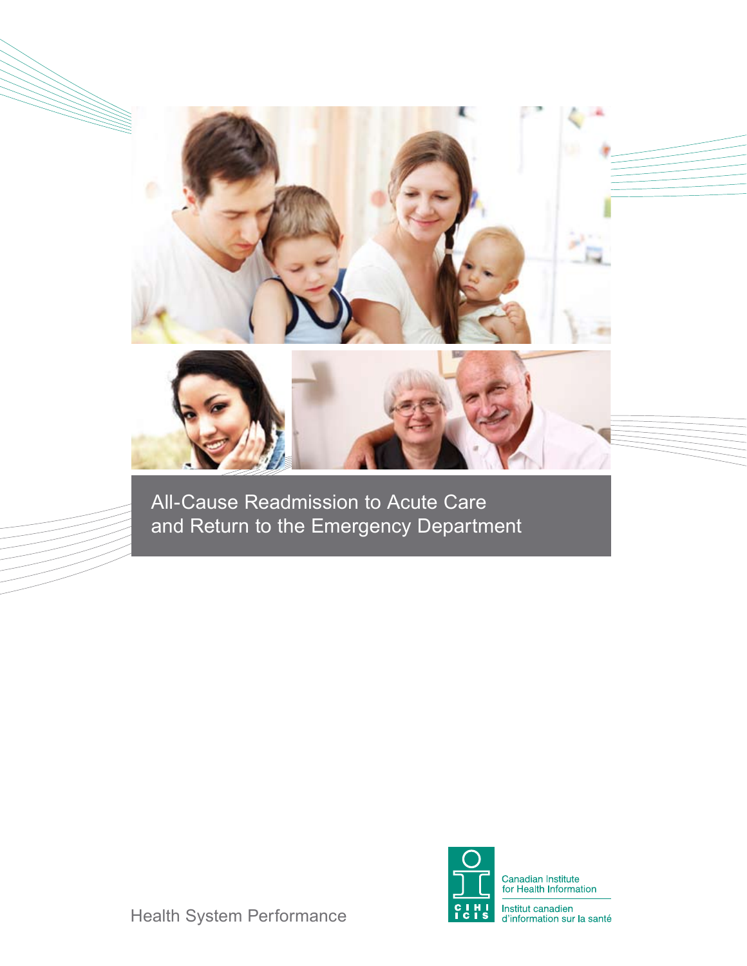

All-Cause Readmission to Acute Care and Return to the Emergency Department



Health System Performance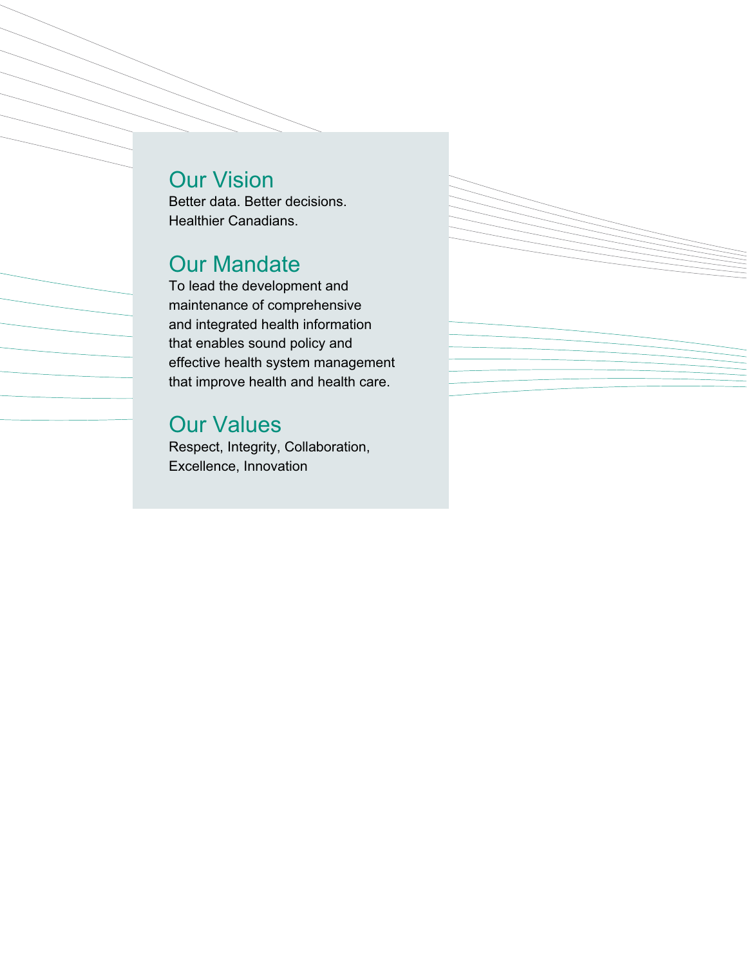# Our Vision

Better data. Better decisions. Healthier Canadians.

# Our Mandate

To lead the development and maintenance of comprehensive and integrated health information that enables sound policy and effective health system management that improve health and health care.

# Our Values

Respect, Integrity, Collaboration, Excellence, Innovation

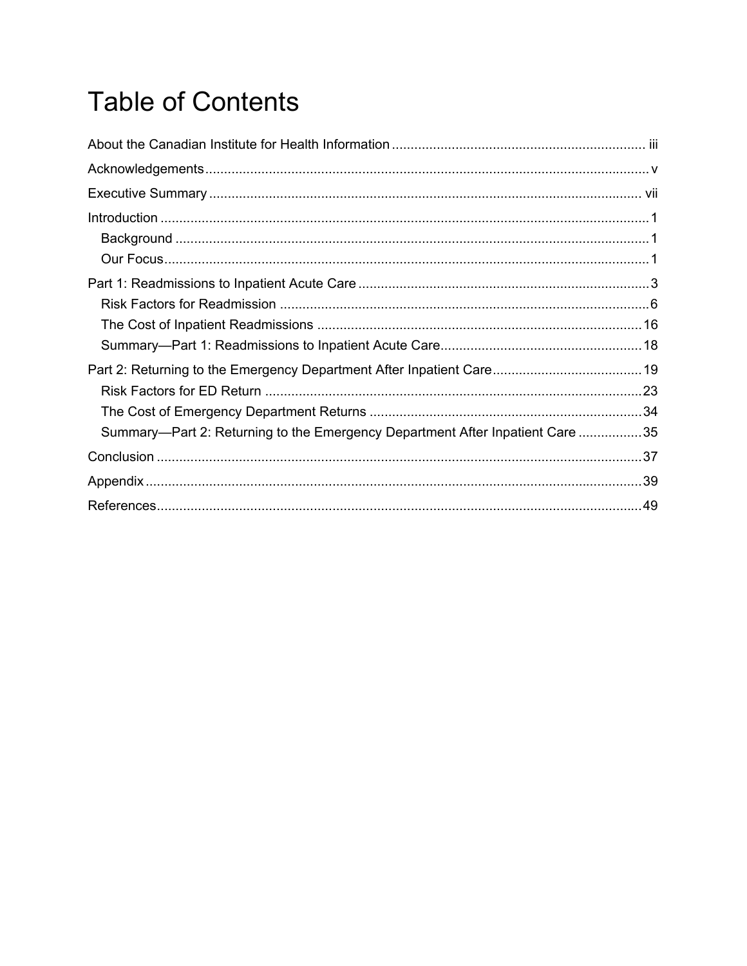# **Table of Contents**

| Summary—Part 2: Returning to the Emergency Department After Inpatient Care 35 |  |
|-------------------------------------------------------------------------------|--|
|                                                                               |  |
|                                                                               |  |
|                                                                               |  |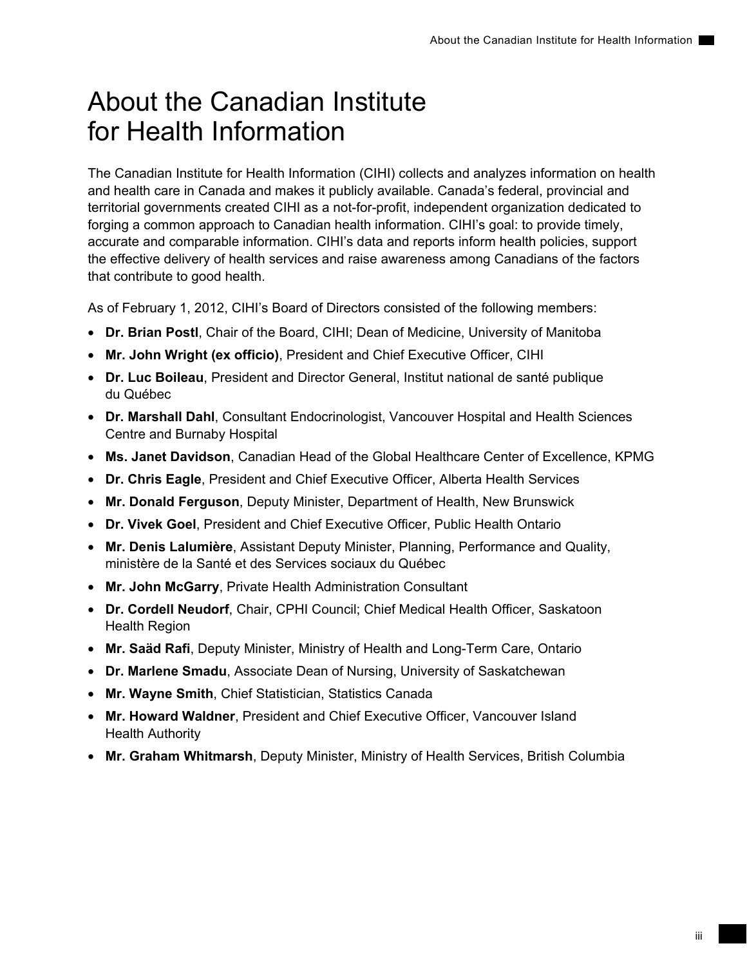# <span id="page-4-0"></span>About the Canadian Institute for Health Information

The Canadian Institute for Health Information (CIHI) collects and analyzes information on health and health care in Canada and makes it publicly available. Canada's federal, provincial and territorial governments created CIHI as a not-for-profit, independent organization dedicated to forging a common approach to Canadian health information. CIHI's goal: to provide timely, accurate and comparable information. CIHI's data and reports inform health policies, support the effective delivery of health services and raise awareness among Canadians of the factors that contribute to good health.

As of February 1, 2012, CIHI's Board of Directors consisted of the following members:

- **Dr. Brian Postl**, Chair of the Board, CIHI; Dean of Medicine, University of Manitoba
- **Mr. John Wright (ex officio)**, President and Chief Executive Officer, CIHI
- **Dr. Luc Boileau**, President and Director General, Institut national de santé publique du Québec
- **Dr. Marshall Dahl**, Consultant Endocrinologist, Vancouver Hospital and Health Sciences Centre and Burnaby Hospital
- **Ms. Janet Davidson**, Canadian Head of the Global Healthcare Center of Excellence, KPMG
- **Dr. Chris Eagle**, President and Chief Executive Officer, Alberta Health Services
- **Mr. Donald Ferguson**, Deputy Minister, Department of Health, New Brunswick
- **Dr. Vivek Goel**, President and Chief Executive Officer, Public Health Ontario
- **Mr. Denis Lalumière**, Assistant Deputy Minister, Planning, Performance and Quality, ministère de la Santé et des Services sociaux du Québec
- **Mr. John McGarry**, Private Health Administration Consultant
- **Dr. Cordell Neudorf**, Chair, CPHI Council; Chief Medical Health Officer, Saskatoon Health Region
- **Mr. Saäd Rafi**, Deputy Minister, Ministry of Health and Long-Term Care, Ontario
- **Dr. Marlene Smadu**, Associate Dean of Nursing, University of Saskatchewan
- **Mr. Wayne Smith**, Chief Statistician, Statistics Canada
- **Mr. Howard Waldner**, President and Chief Executive Officer, Vancouver Island Health Authority
- **Mr. Graham Whitmarsh**, Deputy Minister, Ministry of Health Services, British Columbia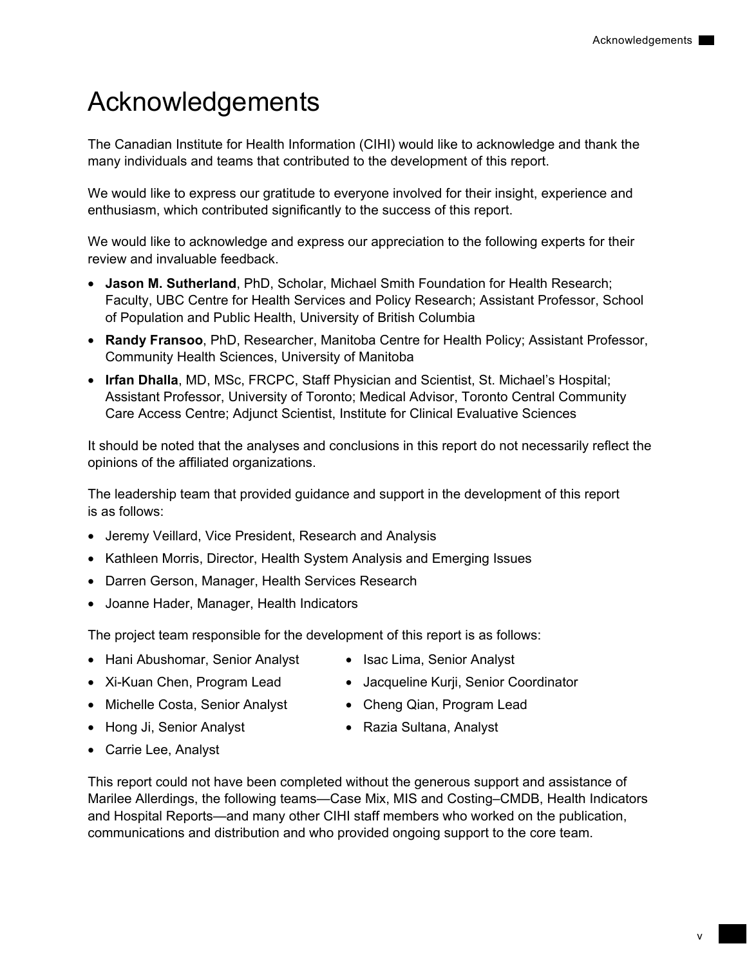# <span id="page-6-0"></span>Acknowledgements

The Canadian Institute for Health Information (CIHI) would like to acknowledge and thank the many individuals and teams that contributed to the development of this report.

We would like to express our gratitude to everyone involved for their insight, experience and enthusiasm, which contributed significantly to the success of this report.

We would like to acknowledge and express our appreciation to the following experts for their review and invaluable feedback.

- **Jason M. Sutherland**, PhD, Scholar, Michael Smith Foundation for Health Research; Faculty, UBC Centre for Health Services and Policy Research; Assistant Professor, School of Population and Public Health, University of British Columbia
- **Randy Fransoo**, PhD, Researcher, Manitoba Centre for Health Policy; Assistant Professor, Community Health Sciences, University of Manitoba
- **Irfan Dhalla**, MD, MSc, FRCPC, Staff Physician and Scientist, St. Michael's Hospital; Assistant Professor, University of Toronto; Medical Advisor, Toronto Central Community Care Access Centre; Adjunct Scientist, Institute for Clinical Evaluative Sciences

It should be noted that the analyses and conclusions in this report do not necessarily reflect the opinions of the affiliated organizations.

The leadership team that provided guidance and support in the development of this report is as follows:

- Jeremy Veillard, Vice President, Research and Analysis
- Kathleen Morris, Director, Health System Analysis and Emerging Issues
- Darren Gerson, Manager, Health Services Research
- Joanne Hader, Manager, Health Indicators

The project team responsible for the development of this report is as follows:

- Hani Abushomar, Senior Analyst
- Isac Lima, Senior Analyst
- Xi-Kuan Chen, Program Lead
- Michelle Costa, Senior Analyst
- Hong Ji, Senior Analyst
- Jacqueline Kurji, Senior Coordinator
- Cheng Qian, Program Lead
	- Razia Sultana, Analyst

• Carrie Lee, Analyst

This report could not have been completed without the generous support and assistance of Marilee Allerdings, the following teams—Case Mix, MIS and Costing–CMDB, Health Indicators and Hospital Reports—and many other CIHI staff members who worked on the publication, communications and distribution and who provided ongoing support to the core team.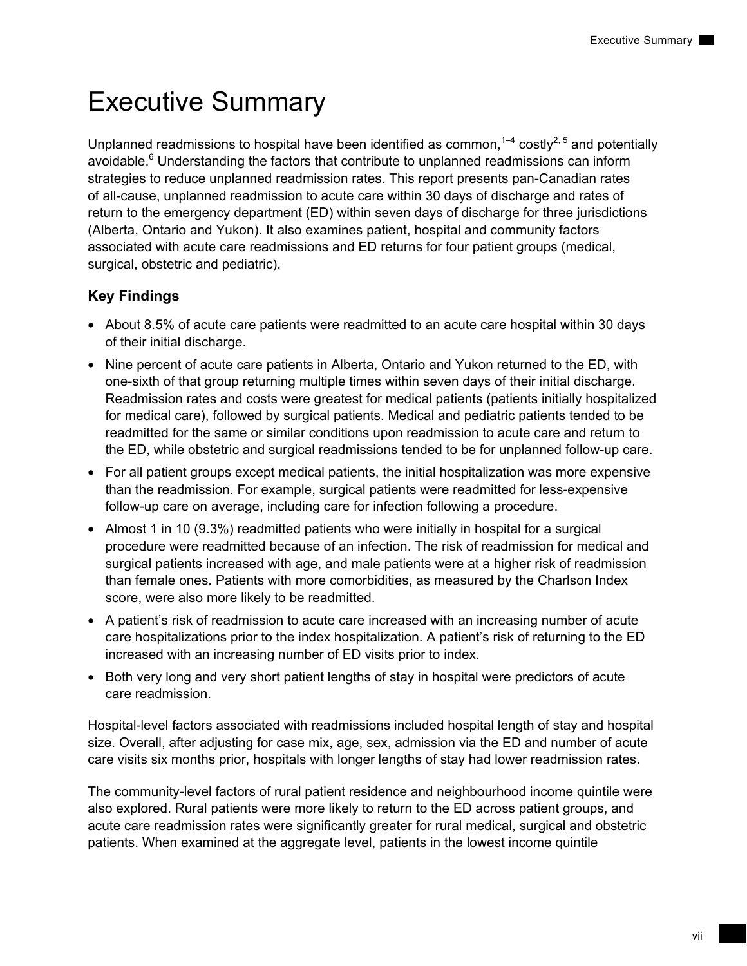# <span id="page-8-0"></span>Executive Summary

Unplanned readmissions to hospital have been identified as common,<sup>1–4</sup> costly<sup>2, 5</sup> and potentially avoidable.<sup>6</sup> Understanding the factors that contribute to unplanned readmissions can inform strategies to reduce unplanned readmission rates. This report presents pan-Canadian rates of all-cause, unplanned readmission to acute care within 30 days of discharge and rates of return to the emergency department (ED) within seven days of discharge for three jurisdictions (Alberta, Ontario and Yukon). It also examines patient, hospital and community factors associated with acute care readmissions and ED returns for four patient groups (medical, surgical, obstetric and pediatric).

## **Key Findings**

- About 8.5% of acute care patients were readmitted to an acute care hospital within 30 days of their initial discharge.
- Nine percent of acute care patients in Alberta, Ontario and Yukon returned to the ED, with one-sixth of that group returning multiple times within seven days of their initial discharge. Readmission rates and costs were greatest for medical patients (patients initially hospitalized for medical care), followed by surgical patients. Medical and pediatric patients tended to be readmitted for the same or similar conditions upon readmission to acute care and return to the ED, while obstetric and surgical readmissions tended to be for unplanned follow-up care.
- For all patient groups except medical patients, the initial hospitalization was more expensive than the readmission. For example, surgical patients were readmitted for less-expensive follow-up care on average, including care for infection following a procedure.
- Almost 1 in 10 (9.3%) readmitted patients who were initially in hospital for a surgical procedure were readmitted because of an infection. The risk of readmission for medical and surgical patients increased with age, and male patients were at a higher risk of readmission than female ones. Patients with more comorbidities, as measured by the Charlson Index score, were also more likely to be readmitted.
- A patient's risk of readmission to acute care increased with an increasing number of acute care hospitalizations prior to the index hospitalization. A patient's risk of returning to the ED increased with an increasing number of ED visits prior to index.
- Both very long and very short patient lengths of stay in hospital were predictors of acute care readmission.

Hospital-level factors associated with readmissions included hospital length of stay and hospital size. Overall, after adjusting for case mix, age, sex, admission via the ED and number of acute care visits six months prior, hospitals with longer lengths of stay had lower readmission rates.

The community-level factors of rural patient residence and neighbourhood income quintile were also explored. Rural patients were more likely to return to the ED across patient groups, and acute care readmission rates were significantly greater for rural medical, surgical and obstetric patients. When examined at the aggregate level, patients in the lowest income quintile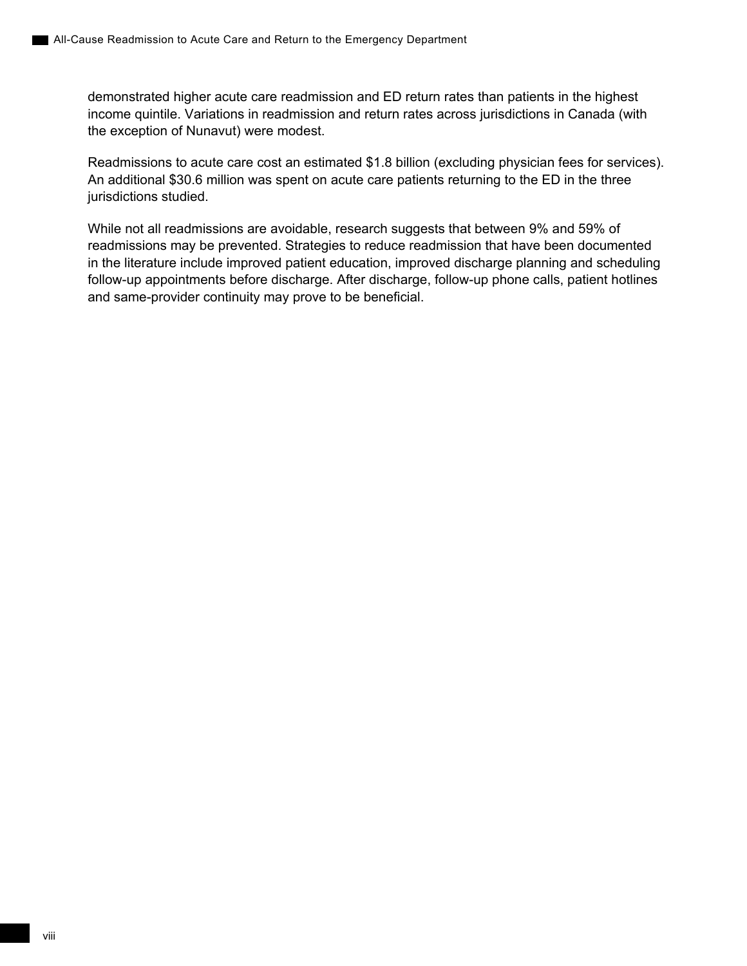demonstrated higher acute care readmission and ED return rates than patients in the highest income quintile. Variations in readmission and return rates across jurisdictions in Canada (with the exception of Nunavut) were modest.

Readmissions to acute care cost an estimated \$1.8 billion (excluding physician fees for services). An additional \$30.6 million was spent on acute care patients returning to the ED in the three jurisdictions studied.

While not all readmissions are avoidable, research suggests that between 9% and 59% of readmissions may be prevented. Strategies to reduce readmission that have been documented in the literature include improved patient education, improved discharge planning and scheduling follow-up appointments before discharge. After discharge, follow-up phone calls, patient hotlines and same-provider continuity may prove to be beneficial.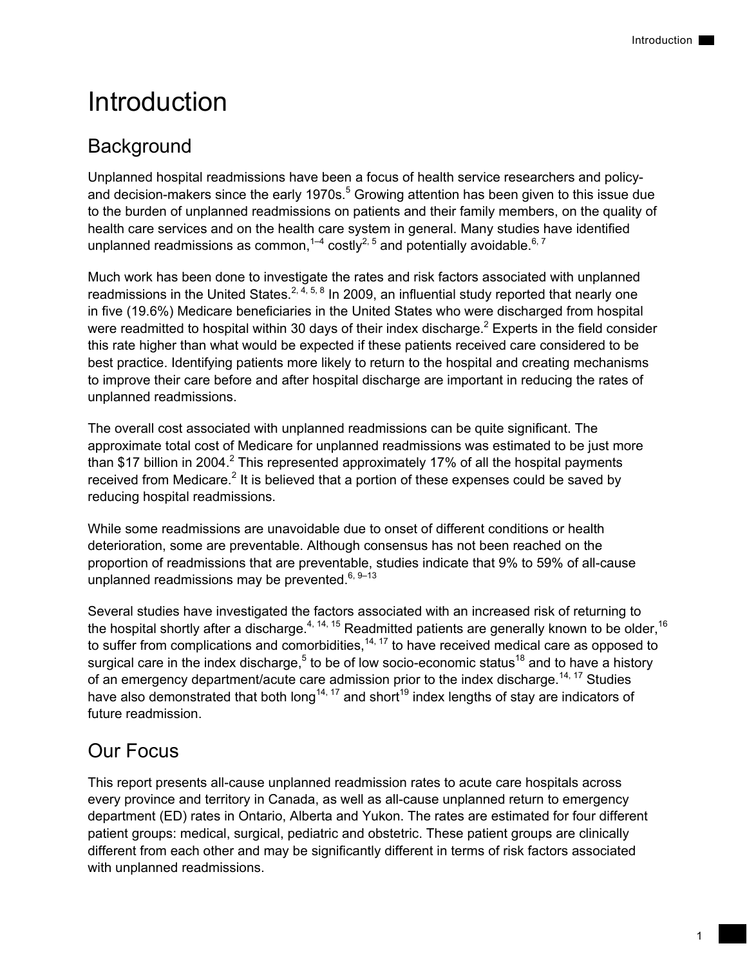# <span id="page-10-0"></span>Introduction

# **Background**

Unplanned hospital readmissions have been a focus of health service researchers and policyand decision-makers since the early 1970s.<sup>5</sup> Growing attention has been given to this issue due to the burden of unplanned readmissions on patients and their family members, on the quality of health care services and on the health care system in general. Many studies have identified unplanned readmissions as common,<sup>1-4</sup> costly<sup>2, 5</sup> and potentially avoidable.<sup>6, 7</sup>

Much work has been done to investigate the rates and risk factors associated with unplanned readmissions in the United States.<sup>2, 4, 5, 8</sup> In 2009, an influential study reported that nearly one in five (19.6%) Medicare beneficiaries in the United States who were discharged from hospital were readmitted to hospital within 30 days of their index discharge.<sup>2</sup> Experts in the field consider this rate higher than what would be expected if these patients received care considered to be best practice. Identifying patients more likely to return to the hospital and creating mechanisms to improve their care before and after hospital discharge are important in reducing the rates of unplanned readmissions.

The overall cost associated with unplanned readmissions can be quite significant. The approximate total cost of Medicare for unplanned readmissions was estimated to be just more than \$17 billion in 2004.<sup>2</sup> This represented approximately 17% of all the hospital payments received from Medicare.<sup>2</sup> It is believed that a portion of these expenses could be saved by reducing hospital readmissions.

While some readmissions are unavoidable due to onset of different conditions or health deterioration, some are preventable. Although consensus has not been reached on the proportion of readmissions that are preventable, studies indicate that 9% to 59% of all-cause unplanned readmissions may be prevented. $6, 9-13$ 

Several studies have investigated the factors associated with an increased risk of returning to the hospital shortly after a discharge.<sup>4, 14, 15</sup> Readmitted patients are generally known to be older, <sup>16</sup> to suffer from complications and comorbidities,  $14, 17$  to have received medical care as opposed to surgical care in the index discharge,<sup>5</sup> to be of low socio-economic status<sup>18</sup> and to have a history of an emergency department/acute care admission prior to the index discharge.<sup>14, 17</sup> Studies have also demonstrated that both long<sup>14, 17</sup> and short<sup>19</sup> index lengths of stay are indicators of future readmission.

# Our Focus

This report presents all-cause unplanned readmission rates to acute care hospitals across every province and territory in Canada, as well as all-cause unplanned return to emergency department (ED) rates in Ontario, Alberta and Yukon. The rates are estimated for four different patient groups: medical, surgical, pediatric and obstetric. These patient groups are clinically different from each other and may be significantly different in terms of risk factors associated with unplanned readmissions.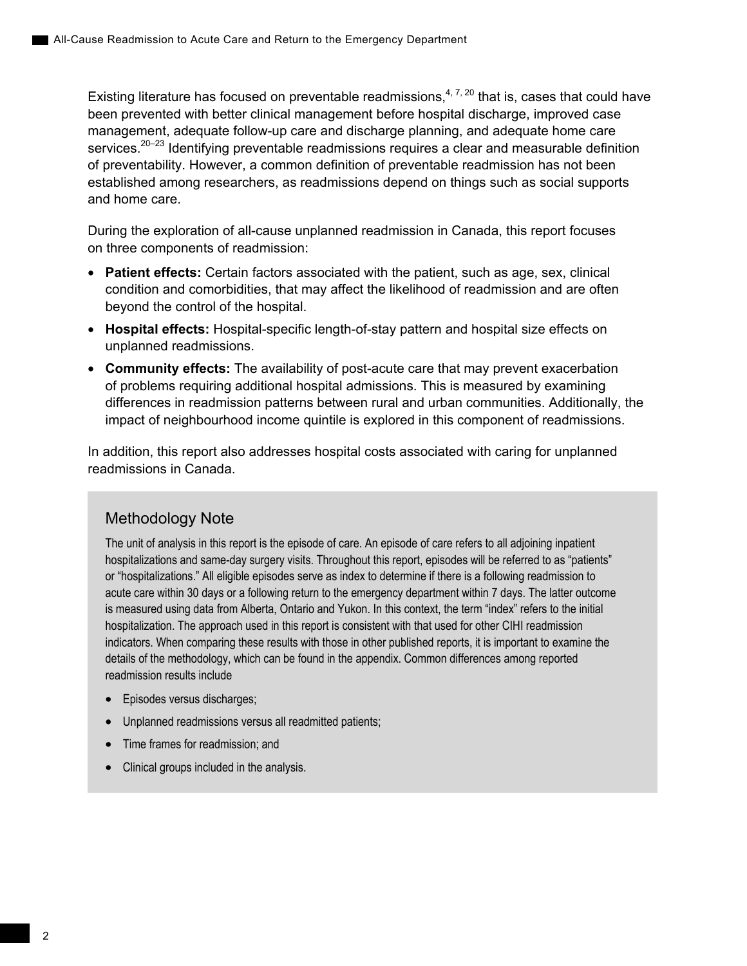Existing literature has focused on preventable readmissions,<sup> $4, 7, 20$ </sup> that is, cases that could have been prevented with better clinical management before hospital discharge, improved case management, adequate follow-up care and discharge planning, and adequate home care services.<sup>20–23</sup> Identifying preventable readmissions requires a clear and measurable definition of preventability. However, a common definition of preventable readmission has not been established among researchers, as readmissions depend on things such as social supports and home care.

During the exploration of all-cause unplanned readmission in Canada, this report focuses on three components of readmission:

- **Patient effects:** Certain factors associated with the patient, such as age, sex, clinical condition and comorbidities, that may affect the likelihood of readmission and are often beyond the control of the hospital.
- **Hospital effects:** Hospital-specific length-of-stay pattern and hospital size effects on unplanned readmissions.
- **Community effects:** The availability of post-acute care that may prevent exacerbation of problems requiring additional hospital admissions. This is measured by examining differences in readmission patterns between rural and urban communities. Additionally, the impact of neighbourhood income quintile is explored in this component of readmissions.

In addition, this report also addresses hospital costs associated with caring for unplanned readmissions in Canada.

## Methodology Note

The unit of analysis in this report is the episode of care. An episode of care refers to all adjoining inpatient hospitalizations and same-day surgery visits. Throughout this report, episodes will be referred to as "patients" or "hospitalizations." All eligible episodes serve as index to determine if there is a following readmission to acute care within 30 days or a following return to the emergency department within 7 days. The latter outcome is measured using data from Alberta, Ontario and Yukon. In this context, the term "index" refers to the initial hospitalization. The approach used in this report is consistent with that used for other CIHI readmission indicators. When comparing these results with those in other published reports, it is important to examine the details of the methodology, which can be found in the appendix. Common differences among reported readmission results include

- Episodes versus discharges;
- Unplanned readmissions versus all readmitted patients;
- Time frames for readmission; and
- Clinical groups included in the analysis.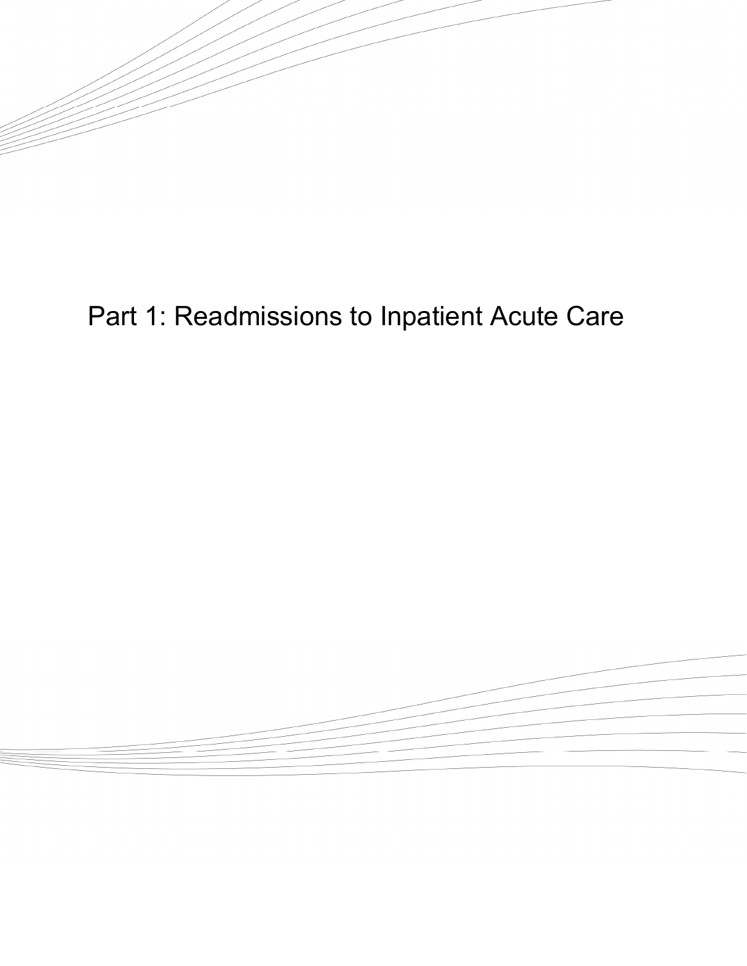<span id="page-12-0"></span>

# Part 1: Readmissions to Inpatient Acute Care

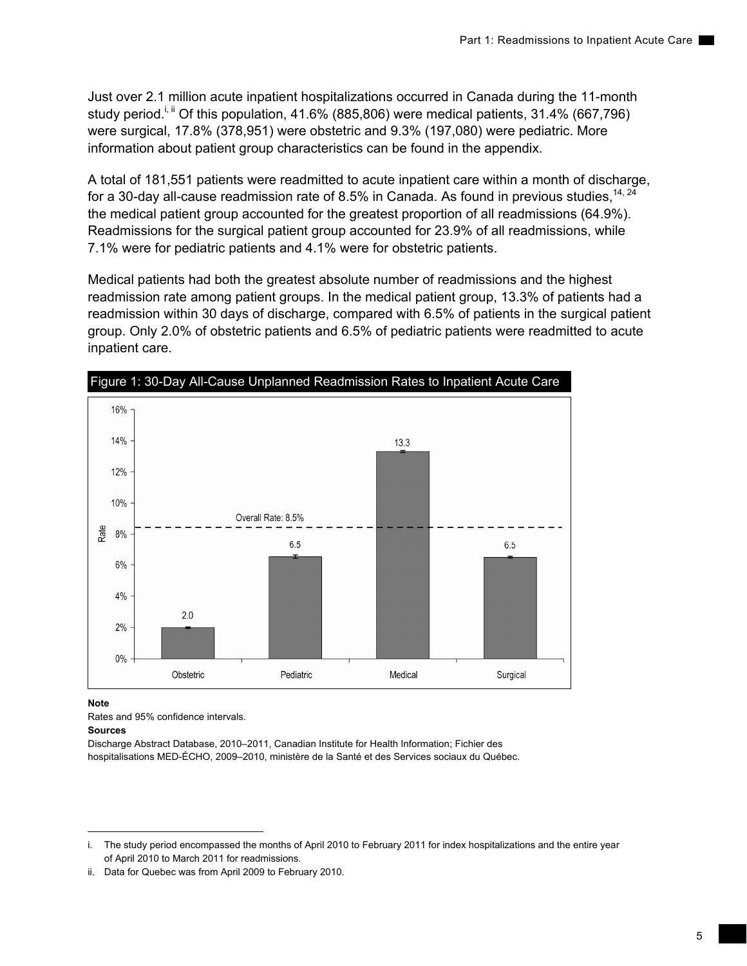Just over 2.1 million acute inpatient hospitalizations occurred in Canada during the 11-month study period.<sup>i, ii</sup> Of this population, 41.6% (885,806) were medical patients, 31.4% (667,796) were surgical, 17.8% (378,951) were obstetric and 9.3% (197,080) were pediatric. More information about patient group characteristics can be found in the appendix.

A total of 181,551 patients were readmitted to acute inpatient care within a month of discharge, for a 30-day all-cause readmission rate of 8.5% in Canada. As found in previous studies,  $14$ ,  $24$ the medical patient group accounted for the greatest proportion of all readmissions (64.9%). Readmissions for the surgical patient group accounted for 23.9% of all readmissions, while 7.1% were for pediatric patients and 4.1% were for obstetric patients.

Medical patients had both the greatest absolute number of readmissions and the highest readmission rate among patient groups. In the medical patient group, 13.3% of patients had a readmission within 30 days of discharge, compared with 6.5% of patients in the surgical patient group. Only 2.0% of obstetric patients and 6.5% of pediatric patients were readmitted to acute inpatient care.



### **Note**

Rates and 95% confidence intervals. **Sources** 

Discharge Abstract Database, 2010–2011, Canadian Institute for Health Information; Fichier des hospitalisations MED-ÉCHO, 2009–2010, ministère de la Santé et des Services sociaux du Québec.

i. The study period encompassed the months of April 2010 to February 2011 for index hospitalizations and the entire year of April 2010 to March 2011 for readmissions.

ii. Data for Quebec was from April 2009 to February 2010.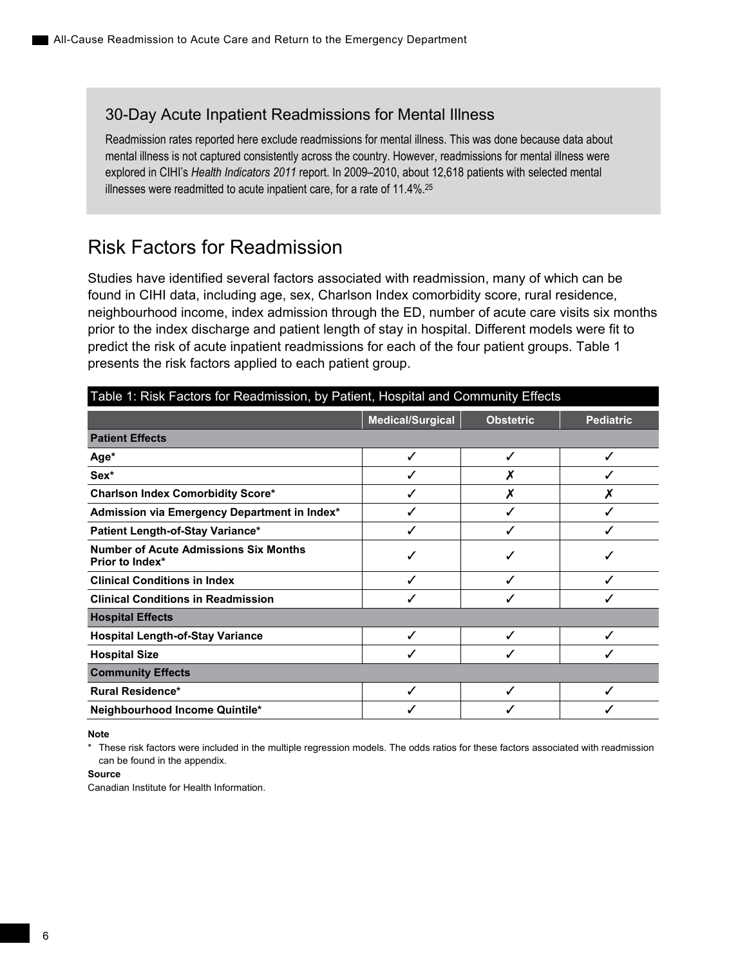## <span id="page-15-0"></span>30-Day Acute Inpatient Readmissions for Mental Illness

Readmission rates reported here exclude readmissions for mental illness. This was done because data about mental illness is not captured consistently across the country. However, readmissions for mental illness were explored in CIHI's *Health Indicators 2011* report. In 2009–2010, about 12,618 patients with selected mental illnesses were readmitted to acute inpatient care, for a rate of 11.4%.25

## Risk Factors for Readmission

Studies have identified several factors associated with readmission, many of which can be found in CIHI data, including age, sex, Charlson Index comorbidity score, rural residence, neighbourhood income, index admission through the ED, number of acute care visits six months prior to the index discharge and patient length of stay in hospital. Different models were fit to predict the risk of acute inpatient readmissions for each of the four patient groups. Table 1 presents the risk factors applied to each patient group.

| Table 1: Risk Factors for Readmission, by Patient, Hospital and Community Effects |                         |                  |                  |  |  |  |
|-----------------------------------------------------------------------------------|-------------------------|------------------|------------------|--|--|--|
|                                                                                   | <b>Medical/Surgical</b> | <b>Obstetric</b> | <b>Pediatric</b> |  |  |  |
| <b>Patient Effects</b>                                                            |                         |                  |                  |  |  |  |
| Age*                                                                              | ✓                       | ✓                | ✓                |  |  |  |
| Sex*                                                                              | √                       |                  |                  |  |  |  |
| <b>Charlson Index Comorbidity Score*</b>                                          |                         |                  |                  |  |  |  |
| Admission via Emergency Department in Index*                                      | ✓                       |                  |                  |  |  |  |
| Patient Length-of-Stay Variance*                                                  | ✓                       |                  | ✓                |  |  |  |
| <b>Number of Acute Admissions Six Months</b><br><b>Prior to Index*</b>            | ✓                       |                  |                  |  |  |  |
| <b>Clinical Conditions in Index</b>                                               | ✓                       | ℐ                | ✓                |  |  |  |
| <b>Clinical Conditions in Readmission</b>                                         |                         |                  |                  |  |  |  |
| <b>Hospital Effects</b>                                                           |                         |                  |                  |  |  |  |
| <b>Hospital Length-of-Stay Variance</b>                                           | ✓                       |                  |                  |  |  |  |
| <b>Hospital Size</b>                                                              | ✓                       |                  |                  |  |  |  |
| <b>Community Effects</b>                                                          |                         |                  |                  |  |  |  |
| <b>Rural Residence*</b>                                                           | ✓                       |                  | ✓                |  |  |  |
| Neighbourhood Income Quintile*                                                    |                         |                  |                  |  |  |  |

**Note** 

\* These risk factors were included in the multiple regression models. The odds ratios for these factors associated with readmission can be found in the appendix.

#### **Source**

Canadian Institute for Health Information.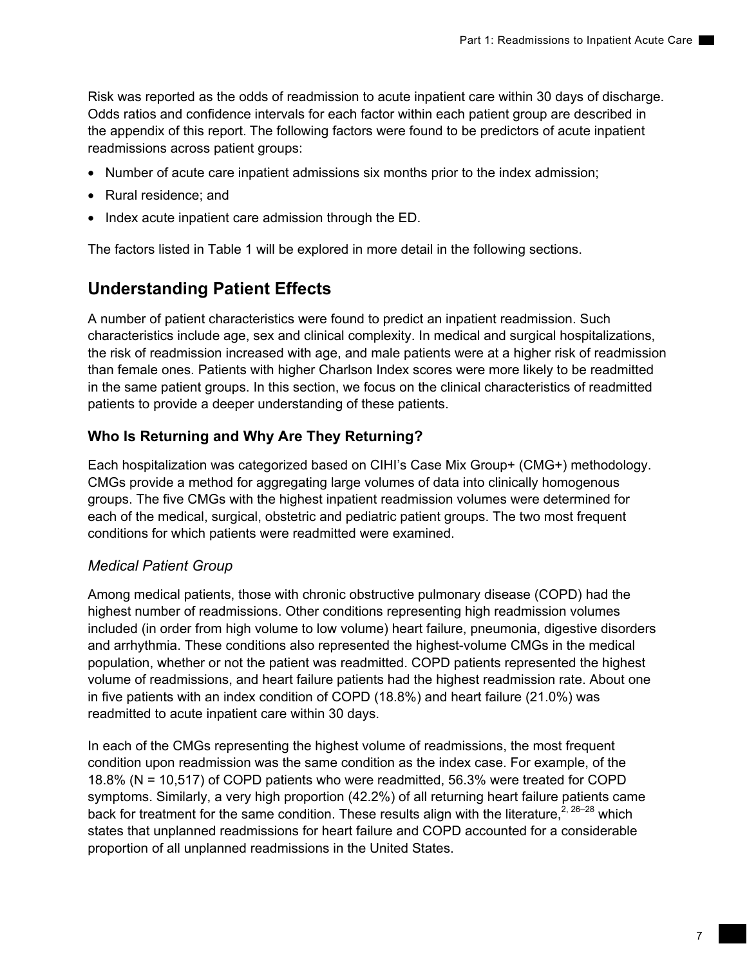Risk was reported as the odds of readmission to acute inpatient care within 30 days of discharge. Odds ratios and confidence intervals for each factor within each patient group are described in the appendix of this report. The following factors were found to be predictors of acute inpatient readmissions across patient groups:

- Number of acute care inpatient admissions six months prior to the index admission;
- Rural residence; and
- Index acute inpatient care admission through the ED.

The factors listed in Table 1 will be explored in more detail in the following sections.

## **Understanding Patient Effects**

A number of patient characteristics were found to predict an inpatient readmission. Such characteristics include age, sex and clinical complexity. In medical and surgical hospitalizations, the risk of readmission increased with age, and male patients were at a higher risk of readmission than female ones. Patients with higher Charlson Index scores were more likely to be readmitted in the same patient groups. In this section, we focus on the clinical characteristics of readmitted patients to provide a deeper understanding of these patients.

## **Who Is Returning and Why Are They Returning?**

Each hospitalization was categorized based on CIHI's Case Mix Group+ (CMG+) methodology. CMGs provide a method for aggregating large volumes of data into clinically homogenous groups. The five CMGs with the highest inpatient readmission volumes were determined for each of the medical, surgical, obstetric and pediatric patient groups. The two most frequent conditions for which patients were readmitted were examined.

## *Medical Patient Group*

Among medical patients, those with chronic obstructive pulmonary disease (COPD) had the highest number of readmissions. Other conditions representing high readmission volumes included (in order from high volume to low volume) heart failure, pneumonia, digestive disorders and arrhythmia. These conditions also represented the highest-volume CMGs in the medical population, whether or not the patient was readmitted. COPD patients represented the highest volume of readmissions, and heart failure patients had the highest readmission rate. About one in five patients with an index condition of COPD (18.8%) and heart failure (21.0%) was readmitted to acute inpatient care within 30 days.

In each of the CMGs representing the highest volume of readmissions, the most frequent condition upon readmission was the same condition as the index case. For example, of the 18.8% (N = 10,517) of COPD patients who were readmitted, 56.3% were treated for COPD symptoms. Similarly, a very high proportion (42.2%) of all returning heart failure patients came back for treatment for the same condition. These results align with the literature,  $2, 26-28$  which states that unplanned readmissions for heart failure and COPD accounted for a considerable proportion of all unplanned readmissions in the United States.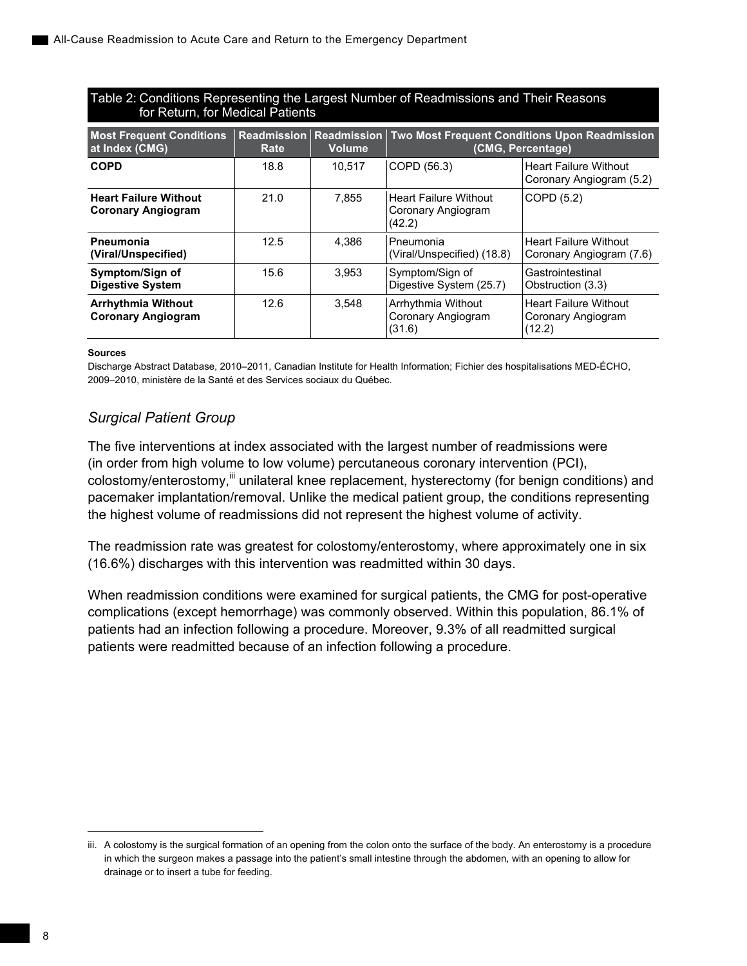## Table 2: Conditions Representing the Largest Number of Readmissions and Their Reasons for Return, for Medical Patients

| <b>Most Frequent Conditions</b><br>at Index (CMG)         | Rate | <b>Readmission Readmission</b><br><b>Volume</b> | Two Most Frequent Conditions Upon Readmission<br>(CMG, Percentage) |                                                              |  |
|-----------------------------------------------------------|------|-------------------------------------------------|--------------------------------------------------------------------|--------------------------------------------------------------|--|
| <b>COPD</b>                                               | 18.8 | 10.517                                          | COPD (56.3)                                                        | <b>Heart Failure Without</b><br>Coronary Angiogram (5.2)     |  |
| <b>Heart Failure Without</b><br><b>Coronary Angiogram</b> | 21.0 | 7,855                                           | l Heart Failure Without<br>Coronary Angiogram<br>(42.2)            | COPD (5.2)                                                   |  |
| <b>Pneumonia</b><br>(Viral/Unspecified)                   | 12.5 | 4.386                                           | l Pneumonia<br>(Viral/Unspecified) (18.8)                          | <b>Heart Failure Without</b><br>Coronary Angiogram (7.6)     |  |
| Symptom/Sign of<br><b>Digestive System</b>                | 15.6 | 3.953                                           | Symptom/Sign of<br>Digestive System (25.7)                         | Gastrointestinal<br>Obstruction (3.3)                        |  |
| <b>Arrhythmia Without</b><br><b>Coronary Angiogram</b>    | 12.6 | 3.548                                           | Arrhythmia Without<br>Coronary Angiogram<br>(31.6)                 | <b>Heart Failure Without</b><br>Coronary Angiogram<br>(12.2) |  |

#### **Sources**

Discharge Abstract Database, 2010–2011, Canadian Institute for Health Information; Fichier des hospitalisations MED-ÉCHO, 2009–2010, ministère de la Santé et des Services sociaux du Québec.

## *Surgical Patient Group*

The five interventions at index associated with the largest number of readmissions were (in order from high volume to low volume) percutaneous coronary intervention (PCI), colostomy/enterostomy,<sup>iii</sup> unilateral knee replacement, hysterectomy (for benign conditions) and pacemaker implantation/removal. Unlike the medical patient group, the conditions representing the highest volume of readmissions did not represent the highest volume of activity.

The readmission rate was greatest for colostomy/enterostomy, where approximately one in six (16.6%) discharges with this intervention was readmitted within 30 days.

When readmission conditions were examined for surgical patients, the CMG for post-operative complications (except hemorrhage) was commonly observed. Within this population, 86.1% of patients had an infection following a procedure. Moreover, 9.3% of all readmitted surgical patients were readmitted because of an infection following a procedure.

 $\overline{a}$ 

iii. A colostomy is the surgical formation of an opening from the colon onto the surface of the body. An enterostomy is a procedure in which the surgeon makes a passage into the patient's small intestine through the abdomen, with an opening to allow for drainage or to insert a tube for feeding.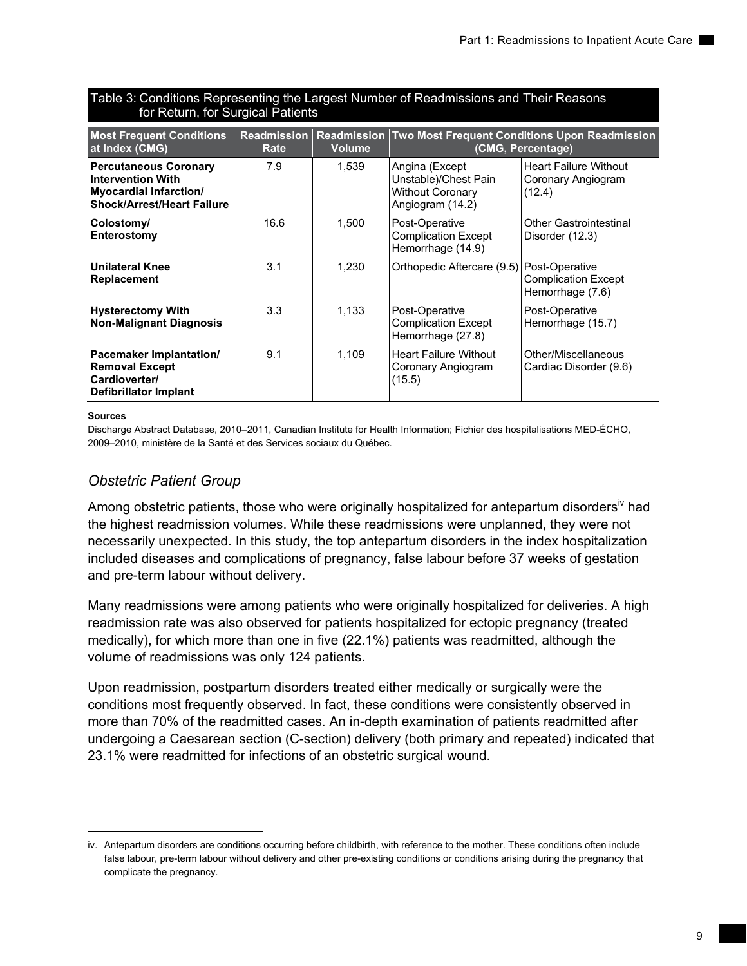| 101111, 101001, 101001                                                                                                         |                            |                                     |                                                                                       |                                                                    |  |
|--------------------------------------------------------------------------------------------------------------------------------|----------------------------|-------------------------------------|---------------------------------------------------------------------------------------|--------------------------------------------------------------------|--|
| <b>Most Frequent Conditions</b><br>at Index (CMG)                                                                              | <b>Readmission</b><br>Rate | <b>Readmission</b><br><b>Volume</b> |                                                                                       | Two Most Frequent Conditions Upon Readmission<br>(CMG, Percentage) |  |
| <b>Percutaneous Coronary</b><br><b>Intervention With</b><br><b>Myocardial Infarction/</b><br><b>Shock/Arrest/Heart Failure</b> | 7.9                        | 1,539                               | Angina (Except<br>Unstable)/Chest Pain<br><b>Without Coronary</b><br>Angiogram (14.2) | <b>Heart Failure Without</b><br>Coronary Angiogram<br>(12.4)       |  |
| Colostomy/<br><b>Enterostomy</b>                                                                                               | 16.6                       | 1,500                               | Post-Operative<br><b>Complication Except</b><br>Hemorrhage (14.9)                     | Other Gastrointestinal<br>Disorder (12.3)                          |  |
| <b>Unilateral Knee</b><br><b>Replacement</b>                                                                                   | 3.1                        | 1,230                               | Orthopedic Aftercare (9.5) Post-Operative                                             | <b>Complication Except</b><br>Hemorrhage (7.6)                     |  |
| <b>Hysterectomy With</b><br><b>Non-Malignant Diagnosis</b>                                                                     | 3.3                        | 1,133                               | Post-Operative<br><b>Complication Except</b><br>Hemorrhage (27.8)                     | Post-Operative<br>Hemorrhage (15.7)                                |  |
| <b>Pacemaker Implantation/</b><br><b>Removal Except</b><br>Cardioverter/<br>Defibrillator Implant                              | 9.1                        | 1.109                               | <b>Heart Failure Without</b><br>Coronary Angiogram<br>(15.5)                          | Other/Miscellaneous<br>Cardiac Disorder (9.6)                      |  |

## Table 3: Conditions Representing the Largest Number of Readmissions and Their Reasons for Return, for Surgical Patients

### **Sources**

 $\overline{a}$ 

Discharge Abstract Database, 2010–2011, Canadian Institute for Health Information; Fichier des hospitalisations MED-ÉCHO, 2009–2010, ministère de la Santé et des Services sociaux du Québec.

## *Obstetric Patient Group*

Among obstetric patients, those who were originally hospitalized for antepartum disorders<sup>iv</sup> had the highest readmission volumes. While these readmissions were unplanned, they were not necessarily unexpected. In this study, the top antepartum disorders in the index hospitalization included diseases and complications of pregnancy, false labour before 37 weeks of gestation and pre-term labour without delivery.

Many readmissions were among patients who were originally hospitalized for deliveries. A high readmission rate was also observed for patients hospitalized for ectopic pregnancy (treated medically), for which more than one in five (22.1%) patients was readmitted, although the volume of readmissions was only 124 patients.

Upon readmission, postpartum disorders treated either medically or surgically were the conditions most frequently observed. In fact, these conditions were consistently observed in more than 70% of the readmitted cases. An in-depth examination of patients readmitted after undergoing a Caesarean section (C-section) delivery (both primary and repeated) indicated that 23.1% were readmitted for infections of an obstetric surgical wound.

iv. Antepartum disorders are conditions occurring before childbirth, with reference to the mother. These conditions often include false labour, pre-term labour without delivery and other pre-existing conditions or conditions arising during the pregnancy that complicate the pregnancy.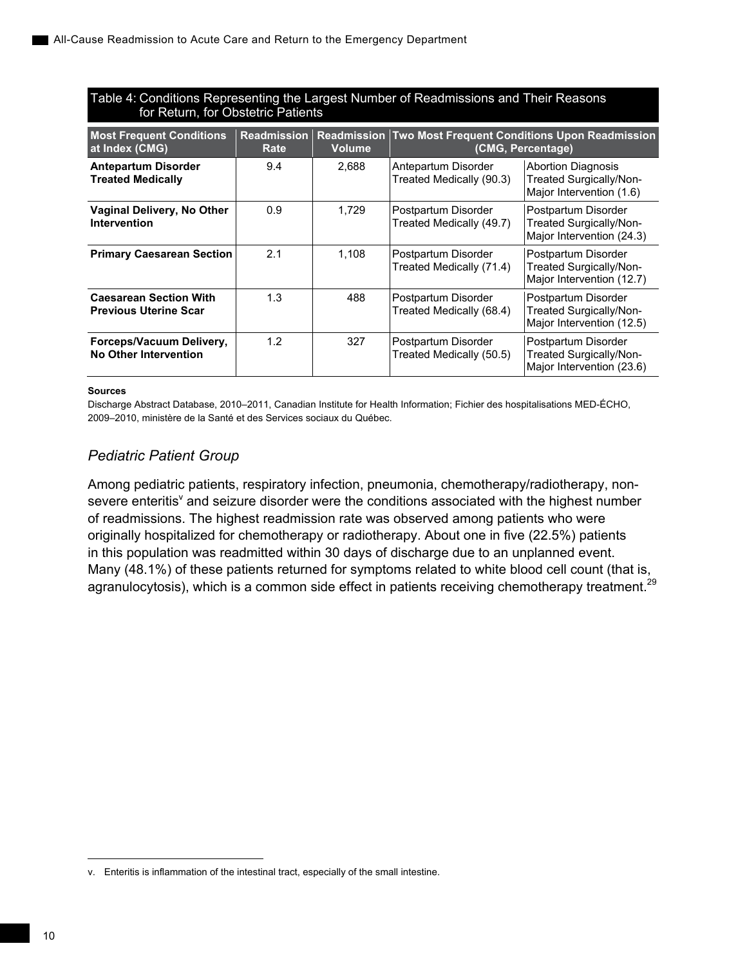## Table 4: Conditions Representing the Largest Number of Readmissions and Their Reasons for Return, for Obstetric Patients

| <b>Most Frequent Conditions</b><br>at Index (CMG)             | <b>Readmission</b><br>Rate | <b>Volume</b> | <b>Readmission Two Most Frequent Conditions Upon Readmission</b><br>(CMG, Percentage) |                                                                                  |  |
|---------------------------------------------------------------|----------------------------|---------------|---------------------------------------------------------------------------------------|----------------------------------------------------------------------------------|--|
| <b>Antepartum Disorder</b><br><b>Treated Medically</b>        | 9.4                        | 2,688         | Antepartum Disorder<br>Treated Medically (90.3)                                       | <b>Abortion Diagnosis</b><br>Treated Surgically/Non-<br>Major Intervention (1.6) |  |
| Vaginal Delivery, No Other<br>Intervention                    | 0.9                        | 1.729         | Postpartum Disorder<br>Treated Medically (49.7)                                       | Postpartum Disorder<br>Treated Surgically/Non-<br>Major Intervention (24.3)      |  |
| <b>Primary Caesarean Section</b>                              | 2.1                        | 1.108         | Postpartum Disorder<br>Treated Medically (71.4)                                       | Postpartum Disorder<br>Treated Surgically/Non-<br>Major Intervention (12.7)      |  |
| <b>Caesarean Section With</b><br><b>Previous Uterine Scar</b> | 1.3                        | 488           | Postpartum Disorder<br>Treated Medically (68.4)                                       | Postpartum Disorder<br>Treated Surgically/Non-<br>Major Intervention (12.5)      |  |
| Forceps/Vacuum Delivery,<br><b>No Other Intervention</b>      | 1.2                        | 327           | Postpartum Disorder<br>Treated Medically (50.5)                                       | Postpartum Disorder<br>Treated Surgically/Non-<br>Major Intervention (23.6)      |  |

#### **Sources**

Discharge Abstract Database, 2010–2011, Canadian Institute for Health Information; Fichier des hospitalisations MED-ÉCHO, 2009–2010, ministère de la Santé et des Services sociaux du Québec.

## *Pediatric Patient Group*

Among pediatric patients, respiratory infection, pneumonia, chemotherapy/radiotherapy, nonsevere enteritis<sup>v</sup> and seizure disorder were the conditions associated with the highest number of readmissions. The highest readmission rate was observed among patients who were originally hospitalized for chemotherapy or radiotherapy. About one in five (22.5%) patients in this population was readmitted within 30 days of discharge due to an unplanned event. Many (48.1%) of these patients returned for symptoms related to white blood cell count (that is, agranulocytosis), which is a common side effect in patients receiving chemotherapy treatment.<sup>29</sup>

-

v. Enteritis is inflammation of the intestinal tract, especially of the small intestine.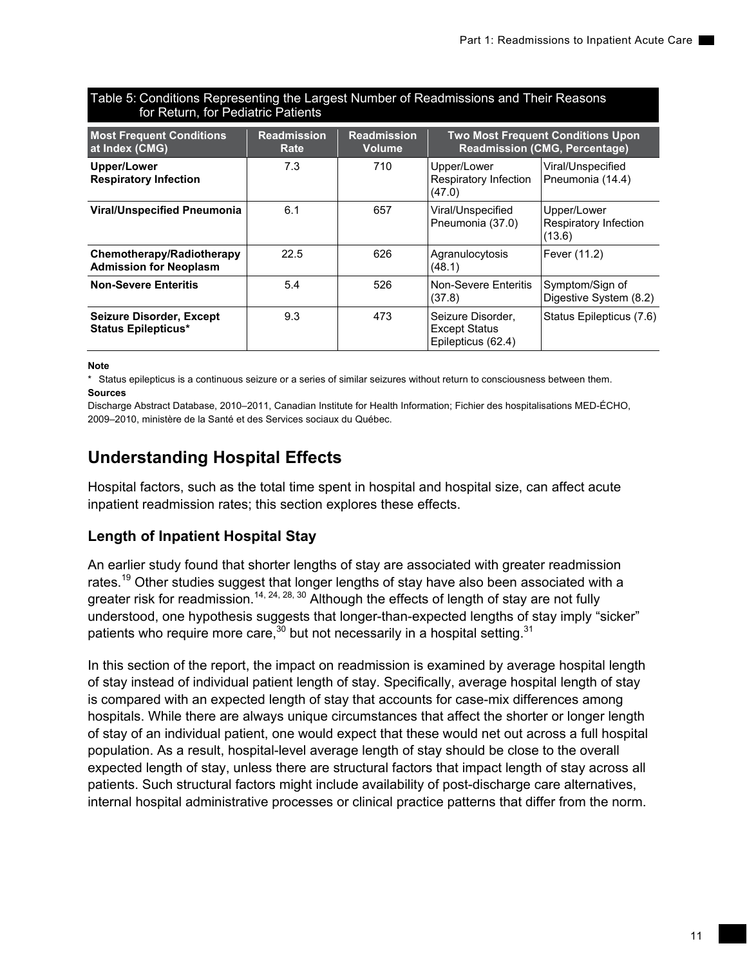| <u>ioi i loturi, ioi i odiatilo i atiolito</u>                |                            |                                     |                                                                 |                                                                                  |  |
|---------------------------------------------------------------|----------------------------|-------------------------------------|-----------------------------------------------------------------|----------------------------------------------------------------------------------|--|
| <b>Most Frequent Conditions</b><br>at Index (CMG)             | <b>Readmission</b><br>Rate | <b>Readmission</b><br><b>Volume</b> |                                                                 | <b>Two Most Frequent Conditions Upon</b><br><b>Readmission (CMG, Percentage)</b> |  |
| Upper/Lower<br><b>Respiratory Infection</b>                   | 7.3                        | 710                                 | Upper/Lower<br>Respiratory Infection<br>(47.0)                  | Viral/Unspecified<br>Pneumonia (14.4)                                            |  |
| <b>Viral/Unspecified Pneumonia</b>                            | 6.1                        | 657                                 | Viral/Unspecified<br>Pneumonia (37.0)                           | Upper/Lower<br>Respiratory Infection<br>(13.6)                                   |  |
| Chemotherapy/Radiotherapy<br><b>Admission for Neoplasm</b>    | 22.5                       | 626                                 | Agranulocytosis<br>(48.1)                                       | Fever (11.2)                                                                     |  |
| <b>Non-Severe Enteritis</b>                                   | 5.4                        | 526                                 | Non-Severe Enteritis<br>(37.8)                                  | Symptom/Sign of<br>Digestive System (8.2)                                        |  |
| <b>Seizure Disorder, Except</b><br><b>Status Epilepticus*</b> | 9.3                        | 473                                 | Seizure Disorder,<br><b>Except Status</b><br>Epilepticus (62.4) | Status Epilepticus (7.6)                                                         |  |

## Table 5: Conditions Representing the Largest Number of Readmissions and Their Reasons for Return, for Pediatric Patients

**Note** 

\* Status epilepticus is a continuous seizure or a series of similar seizures without return to consciousness between them. **Sources** 

Discharge Abstract Database, 2010–2011, Canadian Institute for Health Information; Fichier des hospitalisations MED-ÉCHO, 2009–2010, ministère de la Santé et des Services sociaux du Québec.

## **Understanding Hospital Effects**

Hospital factors, such as the total time spent in hospital and hospital size, can affect acute inpatient readmission rates; this section explores these effects.

## **Length of Inpatient Hospital Stay**

An earlier study found that shorter lengths of stay are associated with greater readmission rates.<sup>19</sup> Other studies suggest that longer lengths of stay have also been associated with a greater risk for readmission.<sup>14, 24, 28, 30</sup> Although the effects of length of stay are not fully understood, one hypothesis suggests that longer-than-expected lengths of stay imply "sicker" patients who require more care,<sup>30</sup> but not necessarily in a hospital setting.<sup>31</sup>

In this section of the report, the impact on readmission is examined by average hospital length of stay instead of individual patient length of stay. Specifically, average hospital length of stay is compared with an expected length of stay that accounts for case-mix differences among hospitals. While there are always unique circumstances that affect the shorter or longer length of stay of an individual patient, one would expect that these would net out across a full hospital population. As a result, hospital-level average length of stay should be close to the overall expected length of stay, unless there are structural factors that impact length of stay across all patients. Such structural factors might include availability of post-discharge care alternatives, internal hospital administrative processes or clinical practice patterns that differ from the norm.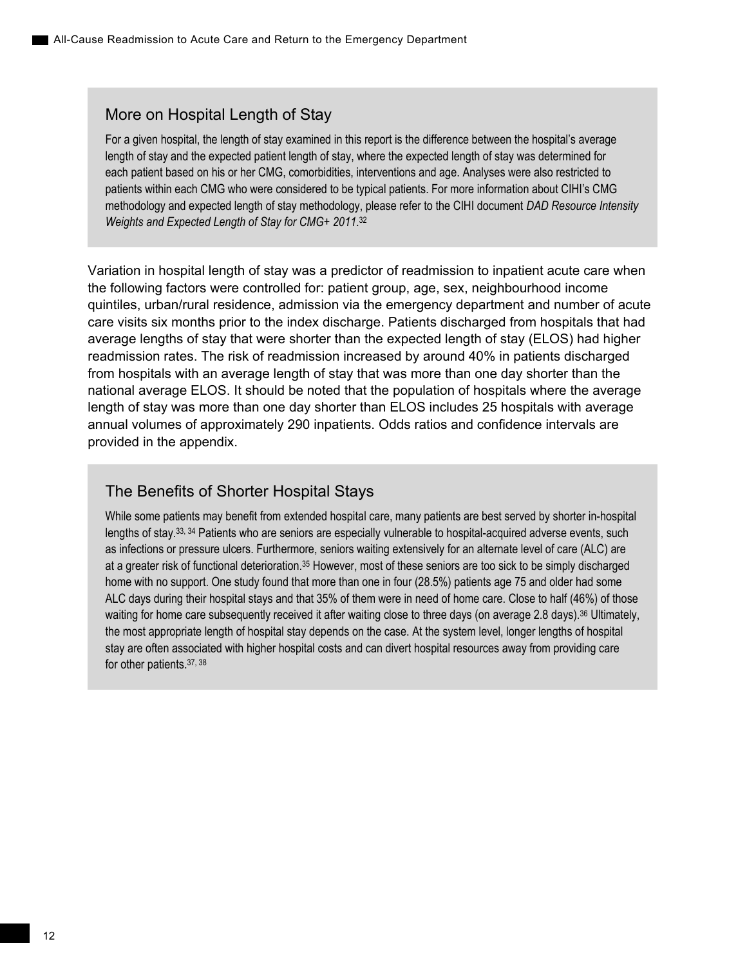## More on Hospital Length of Stay

For a given hospital, the length of stay examined in this report is the difference between the hospital's average length of stay and the expected patient length of stay, where the expected length of stay was determined for each patient based on his or her CMG, comorbidities, interventions and age. Analyses were also restricted to patients within each CMG who were considered to be typical patients. For more information about CIHI's CMG methodology and expected length of stay methodology, please refer to the CIHI document *DAD Resource Intensity Weights and Expected Length of Stay for CMG+ 2011*. 32

Variation in hospital length of stay was a predictor of readmission to inpatient acute care when the following factors were controlled for: patient group, age, sex, neighbourhood income quintiles, urban/rural residence, admission via the emergency department and number of acute care visits six months prior to the index discharge. Patients discharged from hospitals that had average lengths of stay that were shorter than the expected length of stay (ELOS) had higher readmission rates. The risk of readmission increased by around 40% in patients discharged from hospitals with an average length of stay that was more than one day shorter than the national average ELOS. It should be noted that the population of hospitals where the average length of stay was more than one day shorter than ELOS includes 25 hospitals with average annual volumes of approximately 290 inpatients. Odds ratios and confidence intervals are provided in the appendix.

## The Benefits of Shorter Hospital Stays

While some patients may benefit from extended hospital care, many patients are best served by shorter in-hospital lengths of stay.33, 34 Patients who are seniors are especially vulnerable to hospital-acquired adverse events, such as infections or pressure ulcers. Furthermore, seniors waiting extensively for an alternate level of care (ALC) are at a greater risk of functional deterioration.35 However, most of these seniors are too sick to be simply discharged home with no support. One study found that more than one in four (28.5%) patients age 75 and older had some ALC days during their hospital stays and that 35% of them were in need of home care. Close to half (46%) of those waiting for home care subsequently received it after waiting close to three days (on average 2.8 days).<sup>36</sup> Ultimately, the most appropriate length of hospital stay depends on the case. At the system level, longer lengths of hospital stay are often associated with higher hospital costs and can divert hospital resources away from providing care for other patients.37, 38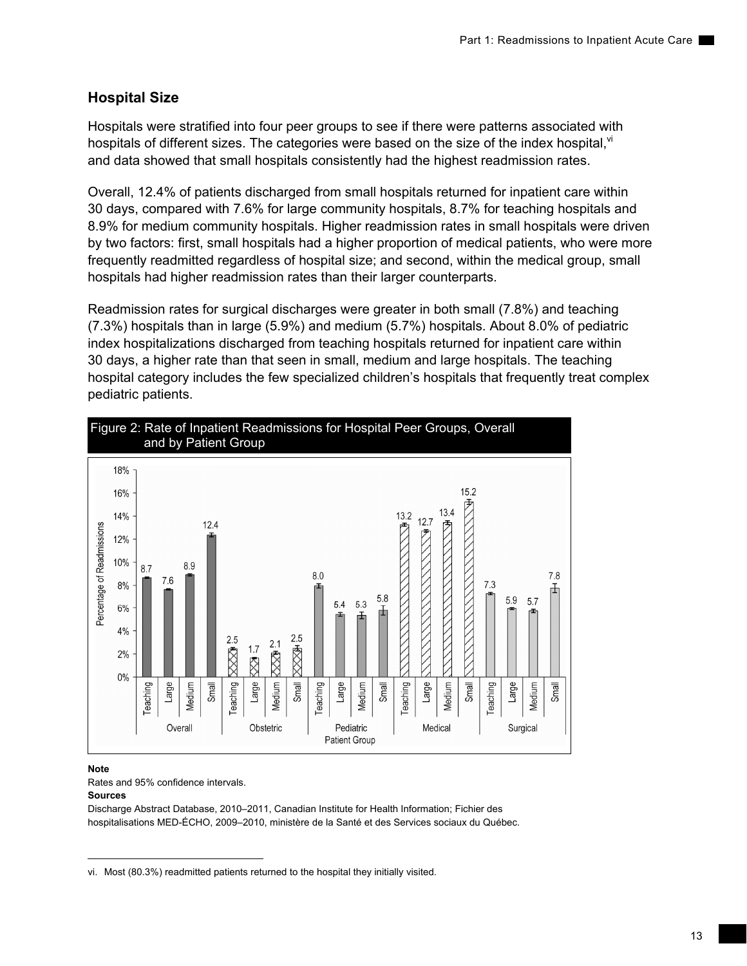## **Hospital Size**

Hospitals were stratified into four peer groups to see if there were patterns associated with hospitals of different sizes. The categories were based on the size of the index hospital, $\mathbb{V}$ and data showed that small hospitals consistently had the highest readmission rates.

Overall, 12.4% of patients discharged from small hospitals returned for inpatient care within 30 days, compared with 7.6% for large community hospitals, 8.7% for teaching hospitals and 8.9% for medium community hospitals. Higher readmission rates in small hospitals were driven by two factors: first, small hospitals had a higher proportion of medical patients, who were more frequently readmitted regardless of hospital size; and second, within the medical group, small hospitals had higher readmission rates than their larger counterparts.

Readmission rates for surgical discharges were greater in both small (7.8%) and teaching (7.3%) hospitals than in large (5.9%) and medium (5.7%) hospitals. About 8.0% of pediatric index hospitalizations discharged from teaching hospitals returned for inpatient care within 30 days, a higher rate than that seen in small, medium and large hospitals. The teaching hospital category includes the few specialized children's hospitals that frequently treat complex pediatric patients.



## **Note**

Rates and 95% confidence intervals.

### **Sources**

Discharge Abstract Database, 2010–2011, Canadian Institute for Health Information; Fichier des hospitalisations MED-ÉCHO, 2009–2010, ministère de la Santé et des Services sociaux du Québec.

vi. Most (80.3%) readmitted patients returned to the hospital they initially visited.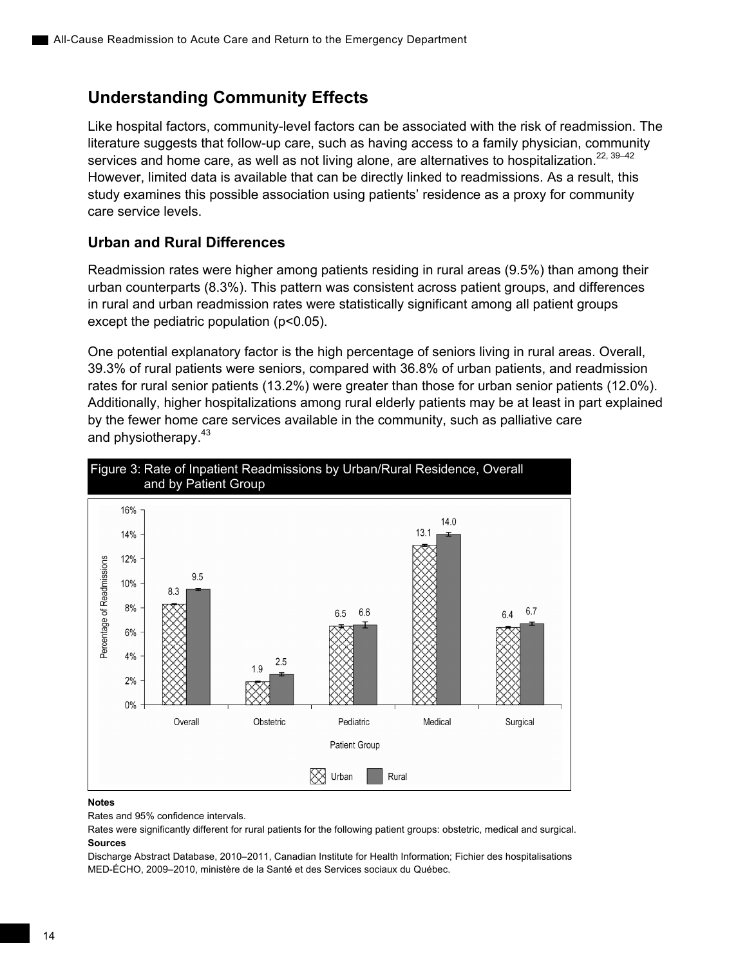## **Understanding Community Effects**

Like hospital factors, community-level factors can be associated with the risk of readmission. The literature suggests that follow-up care, such as having access to a family physician, community services and home care, as well as not living alone, are alternatives to hospitalization.<sup>22, 39–42</sup> However, limited data is available that can be directly linked to readmissions. As a result, this study examines this possible association using patients' residence as a proxy for community care service levels.

## **Urban and Rural Differences**

Readmission rates were higher among patients residing in rural areas (9.5%) than among their urban counterparts (8.3%). This pattern was consistent across patient groups, and differences in rural and urban readmission rates were statistically significant among all patient groups except the pediatric population (p<0.05).

One potential explanatory factor is the high percentage of seniors living in rural areas. Overall, 39.3% of rural patients were seniors, compared with 36.8% of urban patients, and readmission rates for rural senior patients (13.2%) were greater than those for urban senior patients (12.0%). Additionally, higher hospitalizations among rural elderly patients may be at least in part explained by the fewer home care services available in the community, such as palliative care and physiotherapy.<sup>43</sup>



### **Notes**

Rates and 95% confidence intervals.

Rates were significantly different for rural patients for the following patient groups: obstetric, medical and surgical. **Sources** 

Discharge Abstract Database, 2010–2011, Canadian Institute for Health Information; Fichier des hospitalisations MED-ÉCHO, 2009–2010, ministère de la Santé et des Services sociaux du Québec.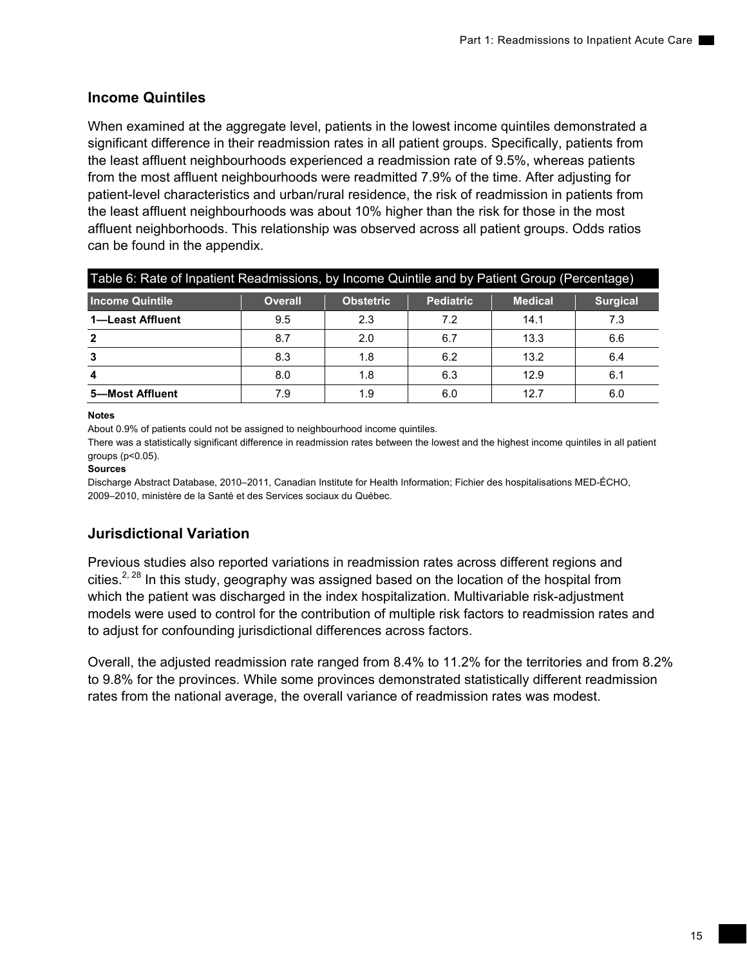## **Income Quintiles**

When examined at the aggregate level, patients in the lowest income quintiles demonstrated a significant difference in their readmission rates in all patient groups. Specifically, patients from the least affluent neighbourhoods experienced a readmission rate of 9.5%, whereas patients from the most affluent neighbourhoods were readmitted 7.9% of the time. After adjusting for patient-level characteristics and urban/rural residence, the risk of readmission in patients from the least affluent neighbourhoods was about 10% higher than the risk for those in the most affluent neighborhoods. This relationship was observed across all patient groups. Odds ratios can be found in the appendix.

| Table 6: Rate of Inpatient Readmissions, by Income Quintile and by Patient Group (Percentage) |                |                  |                  |                |                 |  |
|-----------------------------------------------------------------------------------------------|----------------|------------------|------------------|----------------|-----------------|--|
| Income Quintile                                                                               | <b>Overall</b> | <b>Obstetric</b> | <b>Pediatric</b> | <b>Medical</b> | <b>Surgical</b> |  |
| 1-Least Affluent                                                                              | 9.5            | 2.3              | 7.2              | 14.1           | 7.3             |  |
| $\overline{2}$                                                                                | 8.7            | 2.0              | 6.7              | 13.3           | 6.6             |  |
| 3                                                                                             | 8.3            | 1.8              | 6.2              | 13.2           | 6.4             |  |
| 8.0<br>12.9<br>1.8<br>6.3<br>6.1<br>4                                                         |                |                  |                  |                |                 |  |
| 5-Most Affluent                                                                               | 7.9            | 1.9              | 6.0              | 12.7           | 6.0             |  |

## **Notes**

About 0.9% of patients could not be assigned to neighbourhood income quintiles.

There was a statistically significant difference in readmission rates between the lowest and the highest income quintiles in all patient groups (p<0.05).

## **Sources**

Discharge Abstract Database, 2010–2011, Canadian Institute for Health Information; Fichier des hospitalisations MED-ÉCHO, 2009–2010, ministère de la Santé et des Services sociaux du Québec.

## **Jurisdictional Variation**

Previous studies also reported variations in readmission rates across different regions and cities.<sup>2, 28</sup> In this study, geography was assigned based on the location of the hospital from which the patient was discharged in the index hospitalization. Multivariable risk-adjustment models were used to control for the contribution of multiple risk factors to readmission rates and to adjust for confounding jurisdictional differences across factors.

Overall, the adjusted readmission rate ranged from 8.4% to 11.2% for the territories and from 8.2% to 9.8% for the provinces. While some provinces demonstrated statistically different readmission rates from the national average, the overall variance of readmission rates was modest.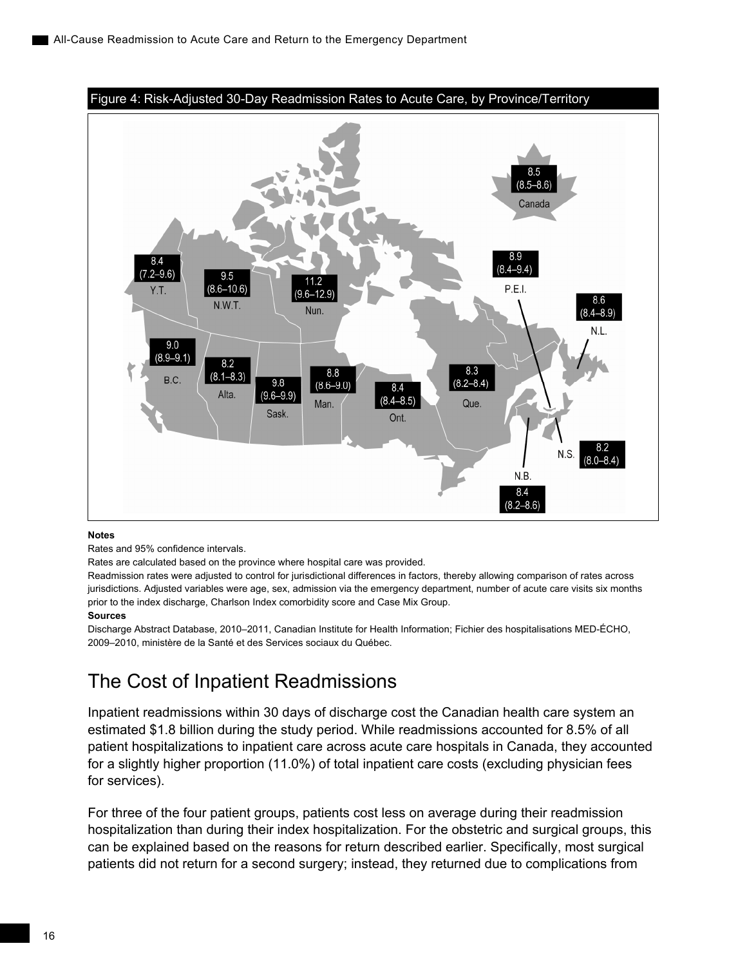<span id="page-25-0"></span>

Rates and 95% confidence intervals.

Rates are calculated based on the province where hospital care was provided.

Readmission rates were adjusted to control for jurisdictional differences in factors, thereby allowing comparison of rates across jurisdictions. Adjusted variables were age, sex, admission via the emergency department, number of acute care visits six months prior to the index discharge, Charlson Index comorbidity score and Case Mix Group.

### **Sources**

Discharge Abstract Database, 2010–2011, Canadian Institute for Health Information; Fichier des hospitalisations MED-ÉCHO, 2009–2010, ministère de la Santé et des Services sociaux du Québec.

## The Cost of Inpatient Readmissions

Inpatient readmissions within 30 days of discharge cost the Canadian health care system an estimated \$1.8 billion during the study period. While readmissions accounted for 8.5% of all patient hospitalizations to inpatient care across acute care hospitals in Canada, they accounted for a slightly higher proportion (11.0%) of total inpatient care costs (excluding physician fees for services).

For three of the four patient groups, patients cost less on average during their readmission hospitalization than during their index hospitalization. For the obstetric and surgical groups, this can be explained based on the reasons for return described earlier. Specifically, most surgical patients did not return for a second surgery; instead, they returned due to complications from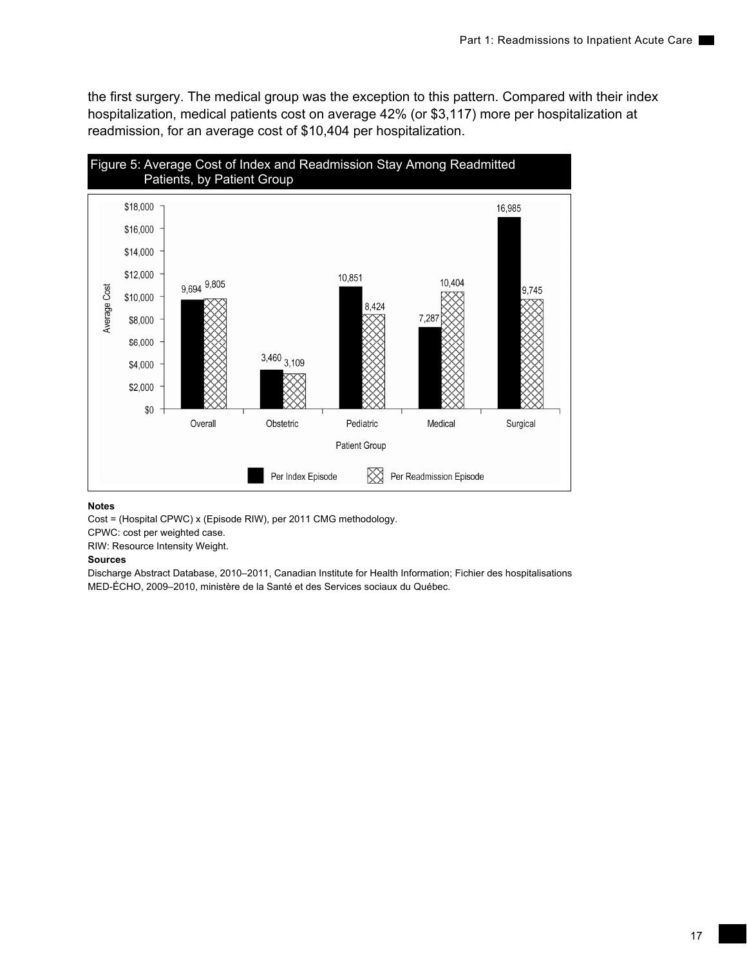the first surgery. The medical group was the exception to this pattern. Compared with their index hospitalization, medical patients cost on average 42% (or \$3,117) more per hospitalization at readmission, for an average cost of \$10,404 per hospitalization.



#### **Notes**

Cost = (Hospital CPWC) x (Episode RIW), per 2011 CMG methodology.

CPWC: cost per weighted case.

RIW: Resource Intensity Weight.

#### **Sources**

Discharge Abstract Database, 2010–2011, Canadian Institute for Health Information; Fichier des hospitalisations MED-ÉCHO, 2009–2010, ministère de la Santé et des Services sociaux du Québec.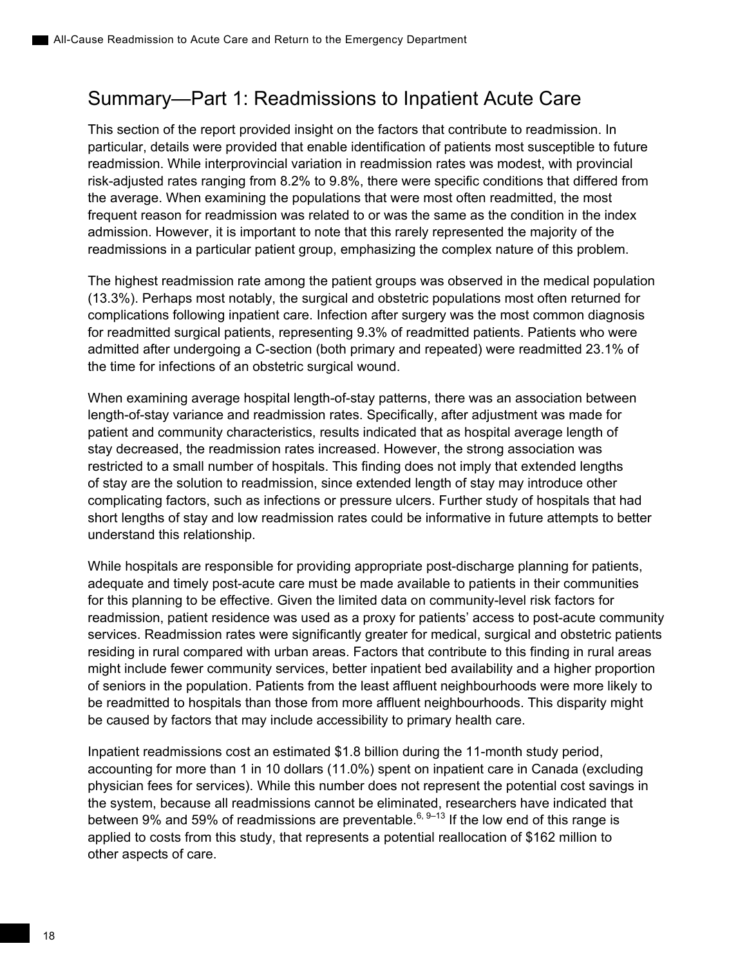## <span id="page-27-0"></span>Summary—Part 1: Readmissions to Inpatient Acute Care

This section of the report provided insight on the factors that contribute to readmission. In particular, details were provided that enable identification of patients most susceptible to future readmission. While interprovincial variation in readmission rates was modest, with provincial risk-adjusted rates ranging from 8.2% to 9.8%, there were specific conditions that differed from the average. When examining the populations that were most often readmitted, the most frequent reason for readmission was related to or was the same as the condition in the index admission. However, it is important to note that this rarely represented the majority of the readmissions in a particular patient group, emphasizing the complex nature of this problem.

The highest readmission rate among the patient groups was observed in the medical population (13.3%). Perhaps most notably, the surgical and obstetric populations most often returned for complications following inpatient care. Infection after surgery was the most common diagnosis for readmitted surgical patients, representing 9.3% of readmitted patients. Patients who were admitted after undergoing a C-section (both primary and repeated) were readmitted 23.1% of the time for infections of an obstetric surgical wound.

When examining average hospital length-of-stay patterns, there was an association between length-of-stay variance and readmission rates. Specifically, after adjustment was made for patient and community characteristics, results indicated that as hospital average length of stay decreased, the readmission rates increased. However, the strong association was restricted to a small number of hospitals. This finding does not imply that extended lengths of stay are the solution to readmission, since extended length of stay may introduce other complicating factors, such as infections or pressure ulcers. Further study of hospitals that had short lengths of stay and low readmission rates could be informative in future attempts to better understand this relationship.

While hospitals are responsible for providing appropriate post-discharge planning for patients, adequate and timely post-acute care must be made available to patients in their communities for this planning to be effective. Given the limited data on community-level risk factors for readmission, patient residence was used as a proxy for patients' access to post-acute community services. Readmission rates were significantly greater for medical, surgical and obstetric patients residing in rural compared with urban areas. Factors that contribute to this finding in rural areas might include fewer community services, better inpatient bed availability and a higher proportion of seniors in the population. Patients from the least affluent neighbourhoods were more likely to be readmitted to hospitals than those from more affluent neighbourhoods. This disparity might be caused by factors that may include accessibility to primary health care.

Inpatient readmissions cost an estimated \$1.8 billion during the 11-month study period, accounting for more than 1 in 10 dollars (11.0%) spent on inpatient care in Canada (excluding physician fees for services). While this number does not represent the potential cost savings in the system, because all readmissions cannot be eliminated, researchers have indicated that between 9% and 59% of readmissions are preventable.<sup>6, 9-13</sup> If the low end of this range is applied to costs from this study, that represents a potential reallocation of \$162 million to other aspects of care.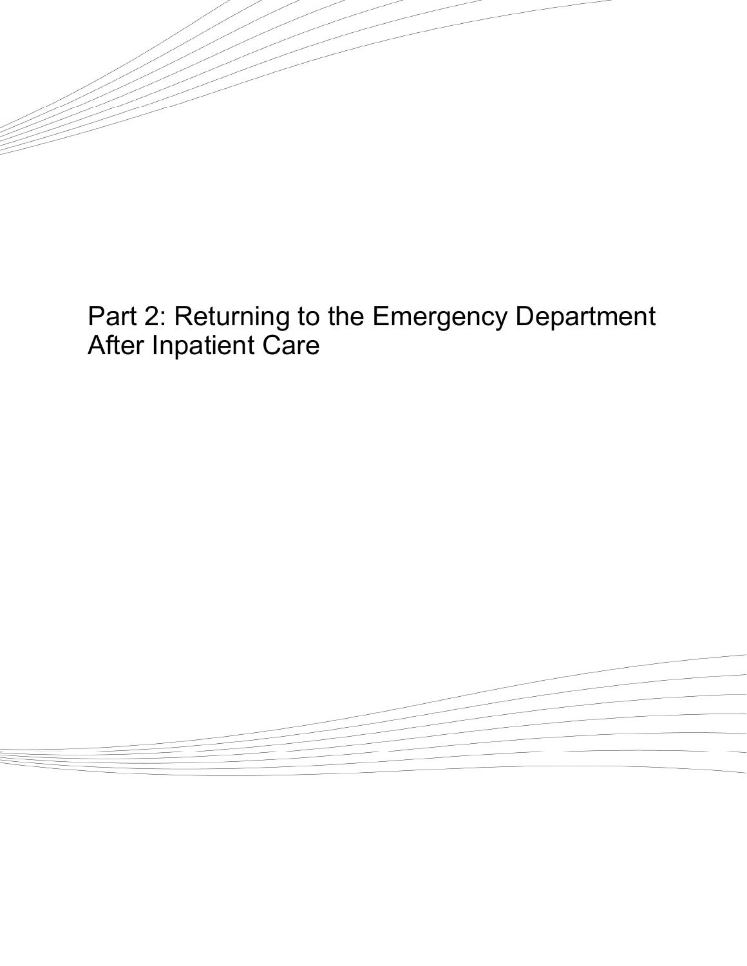

<span id="page-28-0"></span> $\tilde{\phantom{a}}$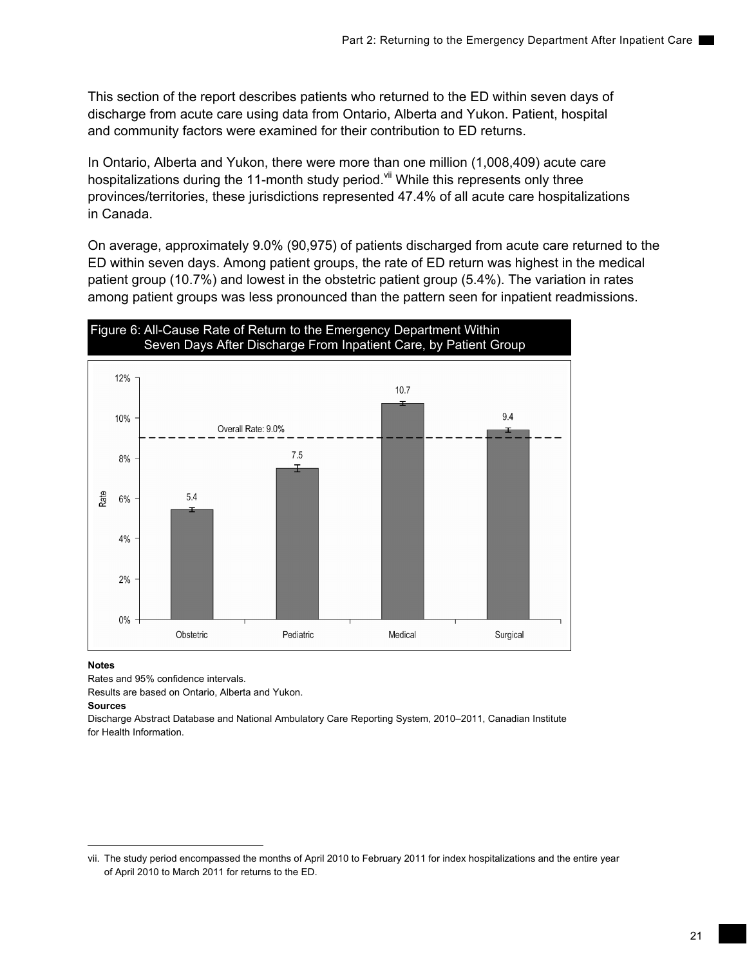This section of the report describes patients who returned to the ED within seven days of discharge from acute care using data from Ontario, Alberta and Yukon. Patient, hospital and community factors were examined for their contribution to ED returns.

In Ontario, Alberta and Yukon, there were more than one million (1,008,409) acute care hospitalizations during the 11-month study period.<sup>vii</sup> While this represents only three provinces/territories, these jurisdictions represented 47.4% of all acute care hospitalizations in Canada.

On average, approximately 9.0% (90,975) of patients discharged from acute care returned to the ED within seven days. Among patient groups, the rate of ED return was highest in the medical patient group (10.7%) and lowest in the obstetric patient group (5.4%). The variation in rates among patient groups was less pronounced than the pattern seen for inpatient readmissions.



### **Notes**

Rates and 95% confidence intervals.

Results are based on Ontario, Alberta and Yukon.

### **Sources**

Discharge Abstract Database and National Ambulatory Care Reporting System, 2010–2011, Canadian Institute for Health Information.

vii. The study period encompassed the months of April 2010 to February 2011 for index hospitalizations and the entire year of April 2010 to March 2011 for returns to the ED.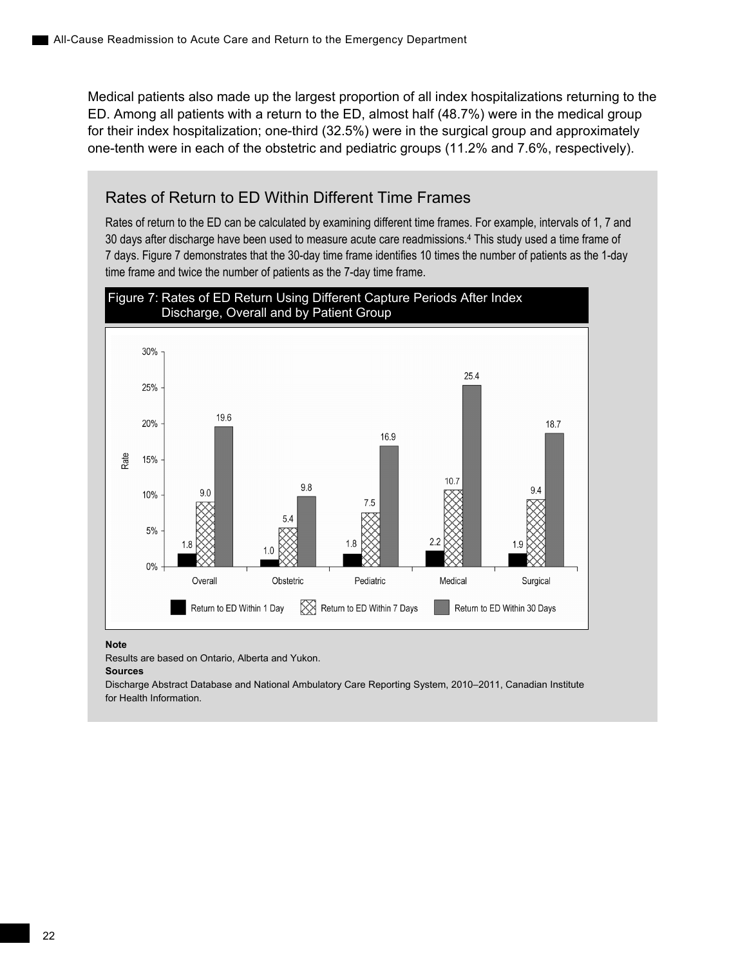Medical patients also made up the largest proportion of all index hospitalizations returning to the ED. Among all patients with a return to the ED, almost half (48.7%) were in the medical group for their index hospitalization; one-third (32.5%) were in the surgical group and approximately one-tenth were in each of the obstetric and pediatric groups (11.2% and 7.6%, respectively).

## Rates of Return to ED Within Different Time Frames

Rates of return to the ED can be calculated by examining different time frames. For example, intervals of 1, 7 and 30 days after discharge have been used to measure acute care readmissions.4 This study used a time frame of 7 days. Figure 7 demonstrates that the 30-day time frame identifies 10 times the number of patients as the 1-day time frame and twice the number of patients as the 7-day time frame.



#### **Note**

Results are based on Ontario, Alberta and Yukon.

**Sources** 

Discharge Abstract Database and National Ambulatory Care Reporting System, 2010–2011, Canadian Institute for Health Information.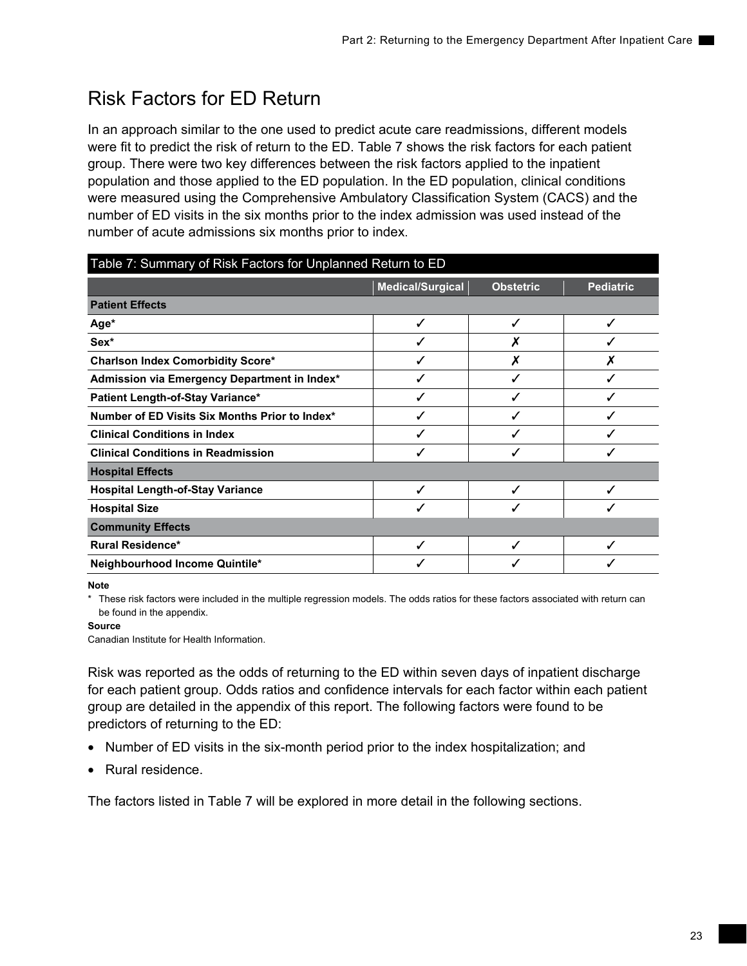# <span id="page-32-0"></span>Risk Factors for ED Return

In an approach similar to the one used to predict acute care readmissions, different models were fit to predict the risk of return to the ED. Table 7 shows the risk factors for each patient group. There were two key differences between the risk factors applied to the inpatient population and those applied to the ED population. In the ED population, clinical conditions were measured using the Comprehensive Ambulatory Classification System (CACS) and the number of ED visits in the six months prior to the index admission was used instead of the number of acute admissions six months prior to index.

| Table 7: Summary of Risk Factors for Unplanned Return to ED |                                                          |   |   |  |  |  |  |
|-------------------------------------------------------------|----------------------------------------------------------|---|---|--|--|--|--|
|                                                             | Medical/Surgical<br><b>Pediatric</b><br><b>Obstetric</b> |   |   |  |  |  |  |
| <b>Patient Effects</b>                                      |                                                          |   |   |  |  |  |  |
| Age*                                                        |                                                          | ✓ | √ |  |  |  |  |
| Sex*                                                        |                                                          |   |   |  |  |  |  |
| <b>Charlson Index Comorbidity Score*</b>                    |                                                          | Х | Х |  |  |  |  |
| Admission via Emergency Department in Index*                |                                                          | ✓ | √ |  |  |  |  |
| Patient Length-of-Stay Variance*                            |                                                          |   |   |  |  |  |  |
| Number of ED Visits Six Months Prior to Index*              |                                                          |   |   |  |  |  |  |
| <b>Clinical Conditions in Index</b>                         |                                                          |   |   |  |  |  |  |
| <b>Clinical Conditions in Readmission</b>                   | J                                                        | ℐ | ✔ |  |  |  |  |
| <b>Hospital Effects</b>                                     |                                                          |   |   |  |  |  |  |
| <b>Hospital Length-of-Stay Variance</b>                     |                                                          |   |   |  |  |  |  |
| <b>Hospital Size</b>                                        |                                                          |   |   |  |  |  |  |
| <b>Community Effects</b>                                    |                                                          |   |   |  |  |  |  |
| <b>Rural Residence*</b>                                     | ✔                                                        |   | ✓ |  |  |  |  |
| Neighbourhood Income Quintile*                              |                                                          |   |   |  |  |  |  |

**Note** 

\* These risk factors were included in the multiple regression models. The odds ratios for these factors associated with return can be found in the appendix.

### **Source**

Canadian Institute for Health Information.

Risk was reported as the odds of returning to the ED within seven days of inpatient discharge for each patient group. Odds ratios and confidence intervals for each factor within each patient group are detailed in the appendix of this report. The following factors were found to be predictors of returning to the ED:

- Number of ED visits in the six-month period prior to the index hospitalization; and
- Rural residence.

The factors listed in Table 7 will be explored in more detail in the following sections.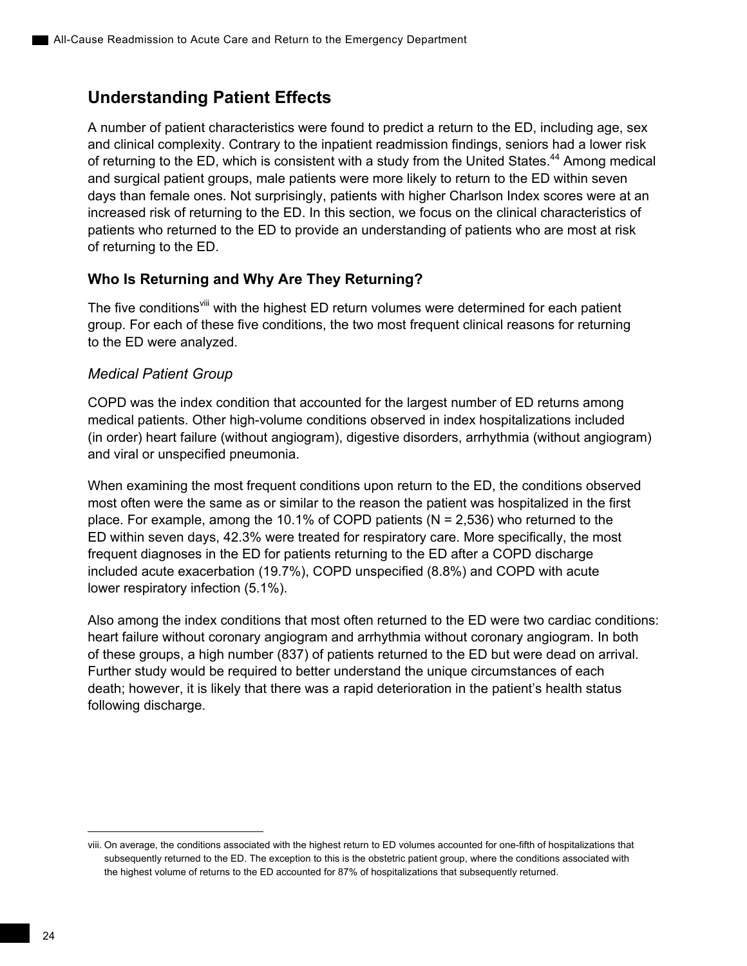## **Understanding Patient Effects**

A number of patient characteristics were found to predict a return to the ED, including age, sex and clinical complexity. Contrary to the inpatient readmission findings, seniors had a lower risk of returning to the ED, which is consistent with a study from the United States.<sup>44</sup> Among medical and surgical patient groups, male patients were more likely to return to the ED within seven days than female ones. Not surprisingly, patients with higher Charlson Index scores were at an increased risk of returning to the ED. In this section, we focus on the clinical characteristics of patients who returned to the ED to provide an understanding of patients who are most at risk of returning to the ED.

## **Who Is Returning and Why Are They Returning?**

The five conditions<sup>viii</sup> with the highest ED return volumes were determined for each patient group. For each of these five conditions, the two most frequent clinical reasons for returning to the ED were analyzed.

## *Medical Patient Group*

COPD was the index condition that accounted for the largest number of ED returns among medical patients. Other high-volume conditions observed in index hospitalizations included (in order) heart failure (without angiogram), digestive disorders, arrhythmia (without angiogram) and viral or unspecified pneumonia.

When examining the most frequent conditions upon return to the ED, the conditions observed most often were the same as or similar to the reason the patient was hospitalized in the first place. For example, among the 10.1% of COPD patients ( $N = 2,536$ ) who returned to the ED within seven days, 42.3% were treated for respiratory care. More specifically, the most frequent diagnoses in the ED for patients returning to the ED after a COPD discharge included acute exacerbation (19.7%), COPD unspecified (8.8%) and COPD with acute lower respiratory infection (5.1%).

Also among the index conditions that most often returned to the ED were two cardiac conditions: heart failure without coronary angiogram and arrhythmia without coronary angiogram. In both of these groups, a high number (837) of patients returned to the ED but were dead on arrival. Further study would be required to better understand the unique circumstances of each death; however, it is likely that there was a rapid deterioration in the patient's health status following discharge.

viii. On average, the conditions associated with the highest return to ED volumes accounted for one-fifth of hospitalizations that subsequently returned to the ED. The exception to this is the obstetric patient group, where the conditions associated with the highest volume of returns to the ED accounted for 87% of hospitalizations that subsequently returned.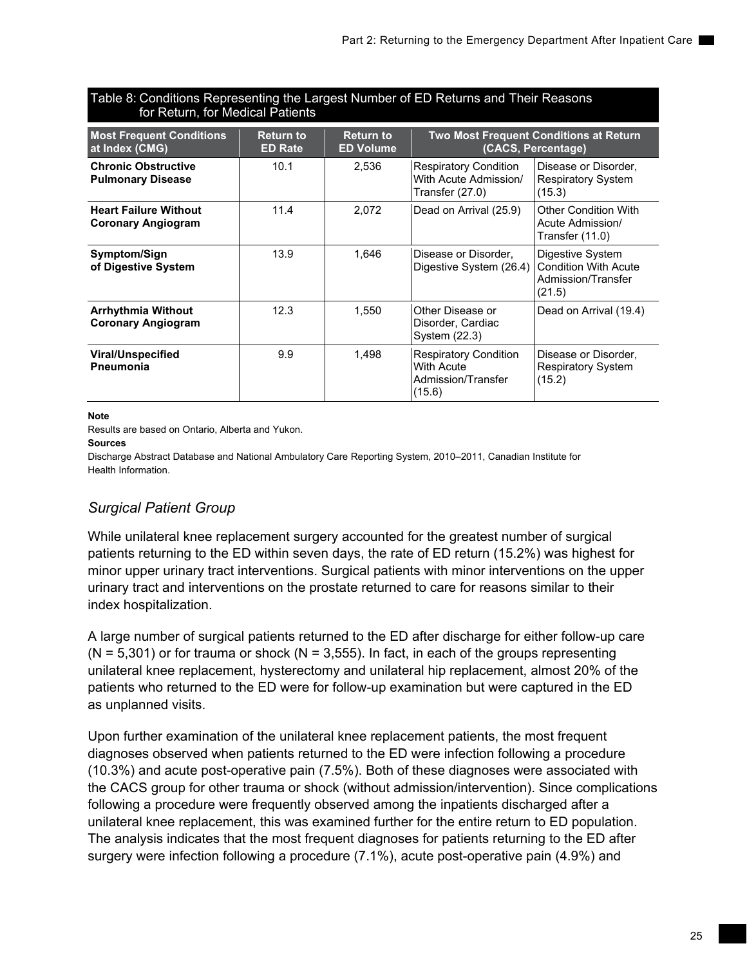| Table 8: Conditions Representing the Largest Number of ED Returns and Their Reasons<br>for Return, for Medical Patients                                                                                |      |       |                                                                            |                                                                                 |  |
|--------------------------------------------------------------------------------------------------------------------------------------------------------------------------------------------------------|------|-------|----------------------------------------------------------------------------|---------------------------------------------------------------------------------|--|
| <b>Most Frequent Conditions</b><br><b>Return to</b><br><b>Return to</b><br><b>Two Most Frequent Conditions at Return</b><br>at Index (CMG)<br>(CACS, Percentage)<br><b>ED Rate</b><br><b>ED Volume</b> |      |       |                                                                            |                                                                                 |  |
| <b>Chronic Obstructive</b><br><b>Pulmonary Disease</b>                                                                                                                                                 | 10.1 | 2,536 | <b>Respiratory Condition</b><br>With Acute Admission/<br>Transfer (27.0)   | Disease or Disorder,<br><b>Respiratory System</b><br>(15.3)                     |  |
| <b>Heart Failure Without</b><br><b>Coronary Angiogram</b>                                                                                                                                              | 11.4 | 2,072 | Dead on Arrival (25.9)                                                     | <b>Other Condition With</b><br>Acute Admission/<br>Transfer (11.0)              |  |
| Symptom/Sign<br>of Digestive System                                                                                                                                                                    | 13.9 | 1,646 | Disease or Disorder,<br>Digestive System (26.4)                            | Digestive System<br><b>Condition With Acute</b><br>Admission/Transfer<br>(21.5) |  |
| <b>Arrhythmia Without</b><br><b>Coronary Angiogram</b>                                                                                                                                                 | 12.3 | 1,550 | Other Disease or<br>Disorder, Cardiac<br>System (22.3)                     | Dead on Arrival (19.4)                                                          |  |
| <b>Viral/Unspecified</b><br>Pneumonia                                                                                                                                                                  | 9.9  | 1,498 | <b>Respiratory Condition</b><br>With Acute<br>Admission/Transfer<br>(15.6) | Disease or Disorder,<br><b>Respiratory System</b><br>(15.2)                     |  |

**Note**  Results are based on Ontario, Alberta and Yukon.

**Sources** 

Discharge Abstract Database and National Ambulatory Care Reporting System, 2010–2011, Canadian Institute for Health Information.

## *Surgical Patient Group*

While unilateral knee replacement surgery accounted for the greatest number of surgical patients returning to the ED within seven days, the rate of ED return (15.2%) was highest for minor upper urinary tract interventions. Surgical patients with minor interventions on the upper urinary tract and interventions on the prostate returned to care for reasons similar to their index hospitalization.

A large number of surgical patients returned to the ED after discharge for either follow-up care  $(N = 5,301)$  or for trauma or shock  $(N = 3,555)$ . In fact, in each of the groups representing unilateral knee replacement, hysterectomy and unilateral hip replacement, almost 20% of the patients who returned to the ED were for follow-up examination but were captured in the ED as unplanned visits.

Upon further examination of the unilateral knee replacement patients, the most frequent diagnoses observed when patients returned to the ED were infection following a procedure (10.3%) and acute post-operative pain (7.5%). Both of these diagnoses were associated with the CACS group for other trauma or shock (without admission/intervention). Since complications following a procedure were frequently observed among the inpatients discharged after a unilateral knee replacement, this was examined further for the entire return to ED population. The analysis indicates that the most frequent diagnoses for patients returning to the ED after surgery were infection following a procedure (7.1%), acute post-operative pain (4.9%) and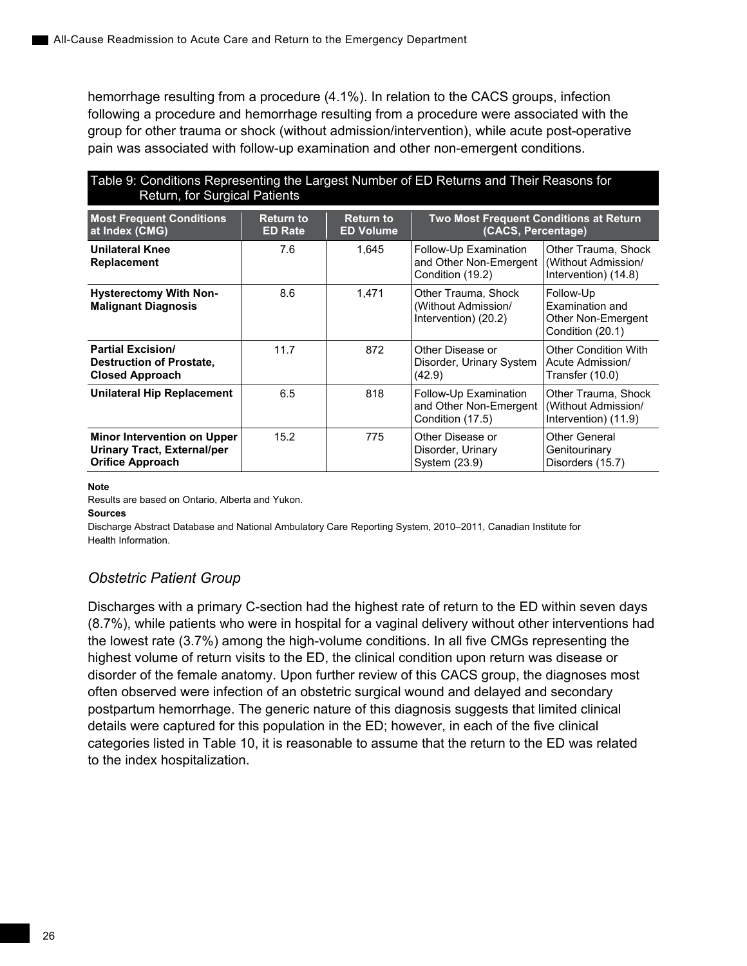hemorrhage resulting from a procedure (4.1%). In relation to the CACS groups, infection following a procedure and hemorrhage resulting from a procedure were associated with the group for other trauma or shock (without admission/intervention), while acute post-operative pain was associated with follow-up examination and other non-emergent conditions.

| Table 9: Conditions Representing the Largest Number of ED Returns and Their Reasons for |  |  |
|-----------------------------------------------------------------------------------------|--|--|
| Return, for Surgical Patients                                                           |  |  |

| <b>Most Frequent Conditions</b><br>at Index (CMG)                                            | <b>Return to</b><br><b>ED Rate</b> | <b>Return to</b><br><b>ED Volume</b> | <b>Two Most Frequent Conditions at Return</b><br>(CACS, Percentage) |                                                                        |  |
|----------------------------------------------------------------------------------------------|------------------------------------|--------------------------------------|---------------------------------------------------------------------|------------------------------------------------------------------------|--|
| <b>Unilateral Knee</b><br>Replacement                                                        | 7.6                                | 1.645                                | Follow-Up Examination<br>and Other Non-Emergent<br>Condition (19.2) | Other Trauma, Shock<br>(Without Admission/<br>Intervention) (14.8)     |  |
| <b>Hysterectomy With Non-</b><br><b>Malignant Diagnosis</b>                                  | 8.6                                | 1.471                                | Other Trauma, Shock<br>(Without Admission/<br>Intervention) (20.2)  | Follow-Up<br>Examination and<br>Other Non-Emergent<br>Condition (20.1) |  |
| <b>Partial Excision/</b><br><b>Destruction of Prostate,</b><br><b>Closed Approach</b>        | 11.7                               | 872                                  | Other Disease or<br>Disorder, Urinary System<br>(42.9)              | <b>Other Condition With</b><br>Acute Admission/<br>Transfer (10.0)     |  |
| <b>Unilateral Hip Replacement</b>                                                            | 6.5                                | 818                                  | Follow-Up Examination<br>and Other Non-Emergent<br>Condition (17.5) | Other Trauma, Shock<br>(Without Admission/<br>Intervention) (11.9)     |  |
| <b>Minor Intervention on Upper</b><br>Urinary Tract, External/per<br><b>Orifice Approach</b> | 15.2                               | 775                                  | Other Disease or<br>Disorder, Urinary<br>System (23.9)              | Other General<br>Genitourinary<br>Disorders (15.7)                     |  |

#### **Note**

Results are based on Ontario, Alberta and Yukon.

**Sources** 

Discharge Abstract Database and National Ambulatory Care Reporting System, 2010–2011, Canadian Institute for Health Information.

## *Obstetric Patient Group*

Discharges with a primary C-section had the highest rate of return to the ED within seven days (8.7%), while patients who were in hospital for a vaginal delivery without other interventions had the lowest rate (3.7%) among the high-volume conditions. In all five CMGs representing the highest volume of return visits to the ED, the clinical condition upon return was disease or disorder of the female anatomy. Upon further review of this CACS group, the diagnoses most often observed were infection of an obstetric surgical wound and delayed and secondary postpartum hemorrhage. The generic nature of this diagnosis suggests that limited clinical details were captured for this population in the ED; however, in each of the five clinical categories listed in Table 10, it is reasonable to assume that the return to the ED was related to the index hospitalization.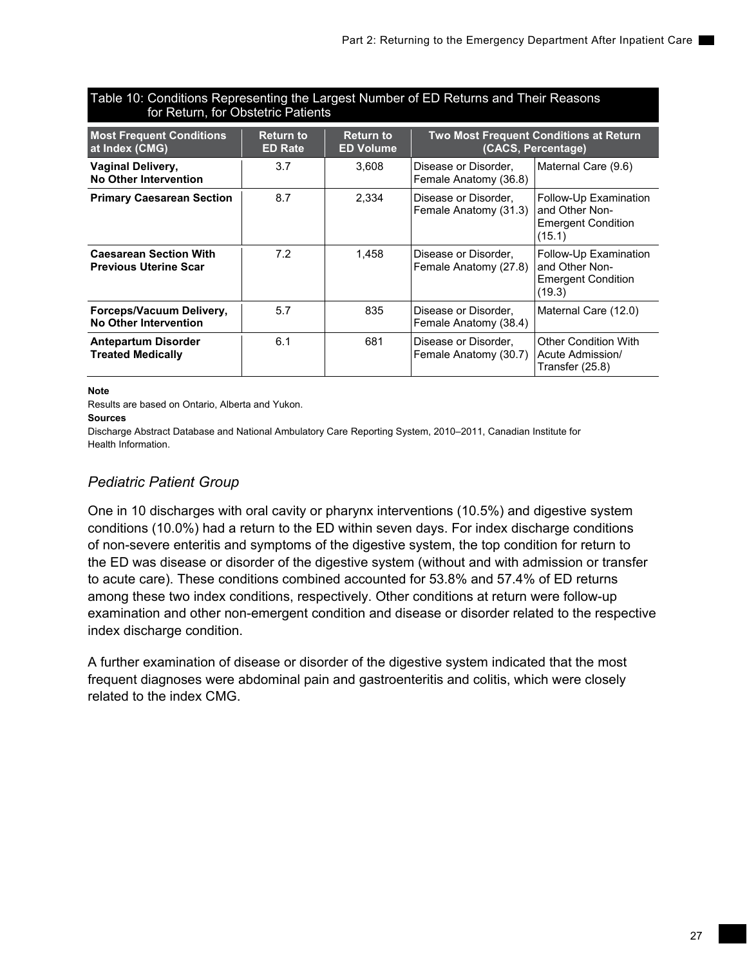## Table 10: Conditions Representing the Largest Number of ED Returns and Their Reasons for Return, for Obstetric Patients

| <b>Most Frequent Conditions</b><br>at Index (CMG)             | <b>Return to</b><br><b>ED Rate</b> | <b>Return to</b><br><b>ED Volume</b> | <b>Two Most Frequent Conditions at Return</b><br>(CACS, Percentage) |                                                                                |  |
|---------------------------------------------------------------|------------------------------------|--------------------------------------|---------------------------------------------------------------------|--------------------------------------------------------------------------------|--|
| <b>Vaginal Delivery,</b><br>No Other Intervention             | 3.7                                | 3.608                                | Disease or Disorder,<br>Female Anatomy (36.8)                       | Maternal Care (9.6)                                                            |  |
| <b>Primary Caesarean Section</b>                              | 8.7                                | 2,334                                | Disease or Disorder,<br>Female Anatomy (31.3)                       | Follow-Up Examination<br>and Other Non-<br><b>Emergent Condition</b><br>(15.1) |  |
| <b>Caesarean Section With</b><br><b>Previous Uterine Scar</b> | 7.2                                | 1,458                                | Disease or Disorder,<br>Female Anatomy (27.8)                       | Follow-Up Examination<br>and Other Non-<br><b>Emergent Condition</b><br>(19.3) |  |
| Forceps/Vacuum Delivery,<br>No Other Intervention             | 5.7                                | 835                                  | Disease or Disorder,<br>Female Anatomy (38.4)                       | Maternal Care (12.0)                                                           |  |
| <b>Antepartum Disorder</b><br><b>Treated Medically</b>        | 6.1                                | 681                                  | Disease or Disorder,<br>Female Anatomy (30.7)                       | <b>Other Condition With</b><br>Acute Admission/<br>Transfer (25.8)             |  |

### **Note**

Results are based on Ontario, Alberta and Yukon.

#### **Sources**

Discharge Abstract Database and National Ambulatory Care Reporting System, 2010–2011, Canadian Institute for Health Information.

## *Pediatric Patient Group*

One in 10 discharges with oral cavity or pharynx interventions (10.5%) and digestive system conditions (10.0%) had a return to the ED within seven days. For index discharge conditions of non-severe enteritis and symptoms of the digestive system, the top condition for return to the ED was disease or disorder of the digestive system (without and with admission or transfer to acute care). These conditions combined accounted for 53.8% and 57.4% of ED returns among these two index conditions, respectively. Other conditions at return were follow-up examination and other non-emergent condition and disease or disorder related to the respective index discharge condition.

A further examination of disease or disorder of the digestive system indicated that the most frequent diagnoses were abdominal pain and gastroenteritis and colitis, which were closely related to the index CMG.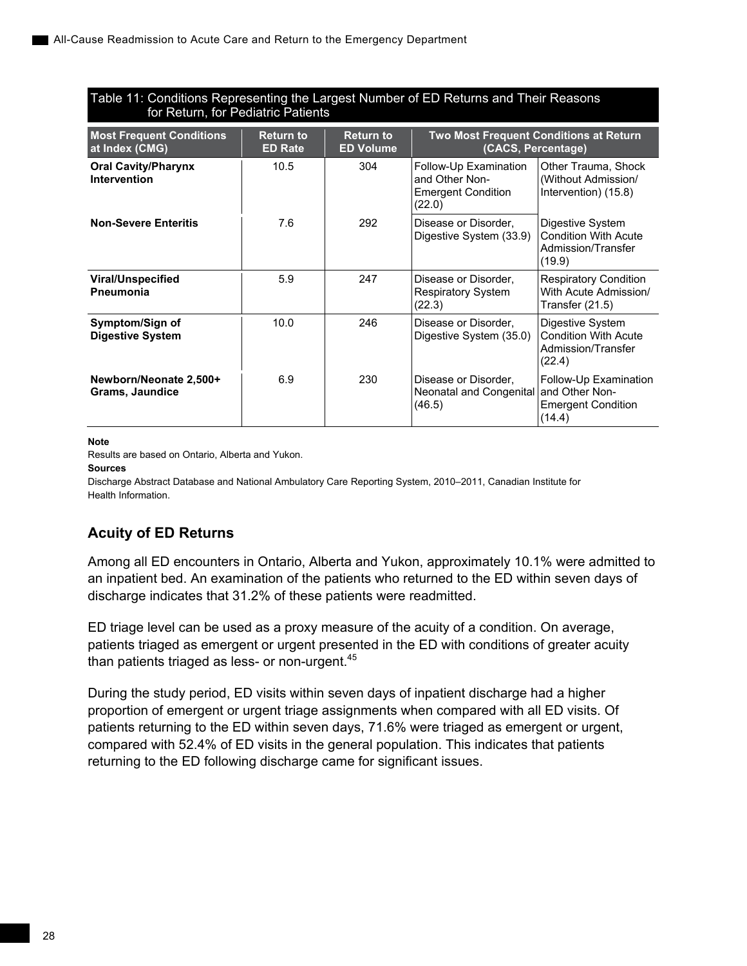## Table 11: Conditions Representing the Largest Number of ED Returns and Their Reasons for Return, for Pediatric Patients

| <b>Most Frequent Conditions</b><br>at Index (CMG) | <b>Return to</b><br><b>ED Rate</b> | <b>Return to</b><br><b>ED Volume</b> | <b>Two Most Frequent Conditions at Return</b><br>(CACS, Percentage)            |                                                                                 |  |
|---------------------------------------------------|------------------------------------|--------------------------------------|--------------------------------------------------------------------------------|---------------------------------------------------------------------------------|--|
| <b>Oral Cavity/Pharynx</b><br><b>Intervention</b> | 10.5                               | 304                                  | Follow-Up Examination<br>and Other Non-<br><b>Emergent Condition</b><br>(22.0) | Other Trauma, Shock<br>(Without Admission/<br>Intervention) (15.8)              |  |
| <b>Non-Severe Enteritis</b>                       | 7.6                                | 292                                  | Disease or Disorder,<br>Digestive System (33.9)                                | Digestive System<br><b>Condition With Acute</b><br>Admission/Transfer<br>(19.9) |  |
| <b>Viral/Unspecified</b><br><b>Pneumonia</b>      | 5.9                                | 247                                  | Disease or Disorder,<br><b>Respiratory System</b><br>(22.3)                    | <b>Respiratory Condition</b><br>With Acute Admission/<br>Transfer (21.5)        |  |
| Symptom/Sign of<br><b>Digestive System</b>        | 10.0                               | 246                                  | Disease or Disorder.<br>Digestive System (35.0)                                | Digestive System<br><b>Condition With Acute</b><br>Admission/Transfer<br>(22.4) |  |
| Newborn/Neonate 2,500+<br><b>Grams, Jaundice</b>  | 6.9                                | 230                                  | Disease or Disorder,<br>Neonatal and Congenital<br>(46.5)                      | Follow-Up Examination<br>land Other Non-<br><b>Emergent Condition</b><br>(14.4) |  |

### **Note**

Results are based on Ontario, Alberta and Yukon.

#### **Sources**

Discharge Abstract Database and National Ambulatory Care Reporting System, 2010–2011, Canadian Institute for Health Information.

## **Acuity of ED Returns**

Among all ED encounters in Ontario, Alberta and Yukon, approximately 10.1% were admitted to an inpatient bed. An examination of the patients who returned to the ED within seven days of discharge indicates that 31.2% of these patients were readmitted.

ED triage level can be used as a proxy measure of the acuity of a condition. On average, patients triaged as emergent or urgent presented in the ED with conditions of greater acuity than patients triaged as less- or non-urgent. $45$ 

During the study period, ED visits within seven days of inpatient discharge had a higher proportion of emergent or urgent triage assignments when compared with all ED visits. Of patients returning to the ED within seven days, 71.6% were triaged as emergent or urgent, compared with 52.4% of ED visits in the general population. This indicates that patients returning to the ED following discharge came for significant issues.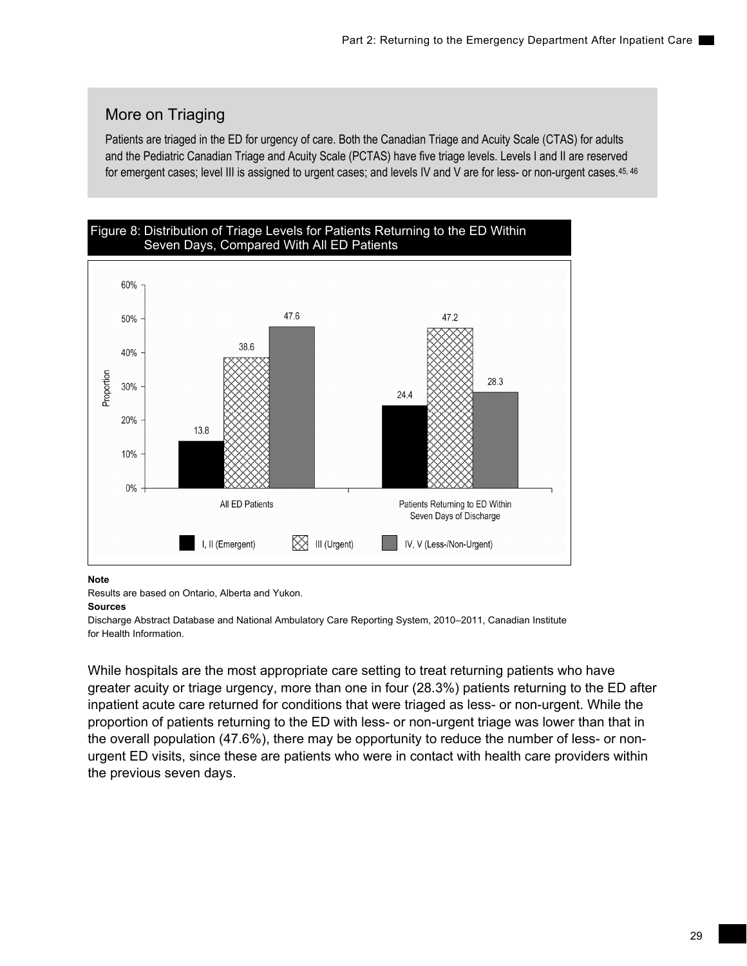## More on Triaging

Patients are triaged in the ED for urgency of care. Both the Canadian Triage and Acuity Scale (CTAS) for adults and the Pediatric Canadian Triage and Acuity Scale (PCTAS) have five triage levels. Levels I and II are reserved for emergent cases; level III is assigned to urgent cases; and levels IV and V are for less- or non-urgent cases.<sup>45, 46</sup>



### **Note**

Results are based on Ontario, Alberta and Yukon.

### **Sources**

Discharge Abstract Database and National Ambulatory Care Reporting System, 2010–2011, Canadian Institute for Health Information.

While hospitals are the most appropriate care setting to treat returning patients who have greater acuity or triage urgency, more than one in four (28.3%) patients returning to the ED after inpatient acute care returned for conditions that were triaged as less- or non-urgent. While the proportion of patients returning to the ED with less- or non-urgent triage was lower than that in the overall population (47.6%), there may be opportunity to reduce the number of less- or nonurgent ED visits, since these are patients who were in contact with health care providers within the previous seven days.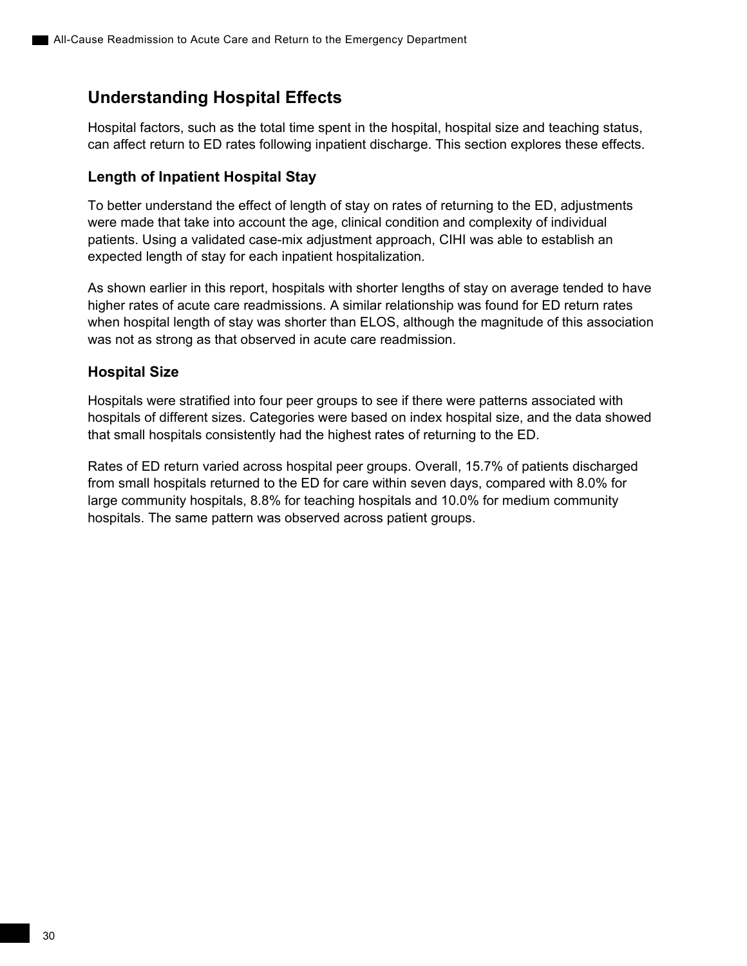## **Understanding Hospital Effects**

Hospital factors, such as the total time spent in the hospital, hospital size and teaching status, can affect return to ED rates following inpatient discharge. This section explores these effects.

## **Length of Inpatient Hospital Stay**

To better understand the effect of length of stay on rates of returning to the ED, adjustments were made that take into account the age, clinical condition and complexity of individual patients. Using a validated case-mix adjustment approach, CIHI was able to establish an expected length of stay for each inpatient hospitalization.

As shown earlier in this report, hospitals with shorter lengths of stay on average tended to have higher rates of acute care readmissions. A similar relationship was found for ED return rates when hospital length of stay was shorter than ELOS, although the magnitude of this association was not as strong as that observed in acute care readmission.

## **Hospital Size**

Hospitals were stratified into four peer groups to see if there were patterns associated with hospitals of different sizes. Categories were based on index hospital size, and the data showed that small hospitals consistently had the highest rates of returning to the ED.

Rates of ED return varied across hospital peer groups. Overall, 15.7% of patients discharged from small hospitals returned to the ED for care within seven days, compared with 8.0% for large community hospitals, 8.8% for teaching hospitals and 10.0% for medium community hospitals. The same pattern was observed across patient groups.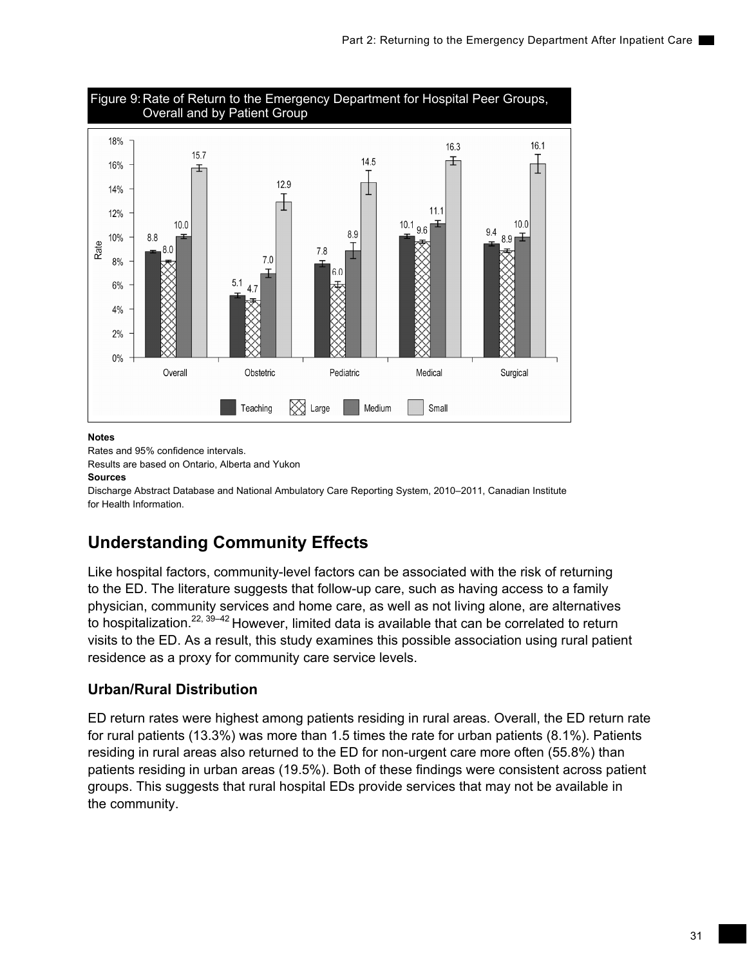

Rates and 95% confidence intervals. Results are based on Ontario, Alberta and Yukon

### **Sources**

Discharge Abstract Database and National Ambulatory Care Reporting System, 2010–2011, Canadian Institute for Health Information.

## **Understanding Community Effects**

Like hospital factors, community-level factors can be associated with the risk of returning to the ED. The literature suggests that follow-up care, such as having access to a family physician, community services and home care, as well as not living alone, are alternatives to hospitalization.<sup>22, 39–42</sup> However, limited data is available that can be correlated to return visits to the ED. As a result, this study examines this possible association using rural patient residence as a proxy for community care service levels.

## **Urban/Rural Distribution**

ED return rates were highest among patients residing in rural areas. Overall, the ED return rate for rural patients (13.3%) was more than 1.5 times the rate for urban patients (8.1%). Patients residing in rural areas also returned to the ED for non-urgent care more often (55.8%) than patients residing in urban areas (19.5%). Both of these findings were consistent across patient groups. This suggests that rural hospital EDs provide services that may not be available in the community.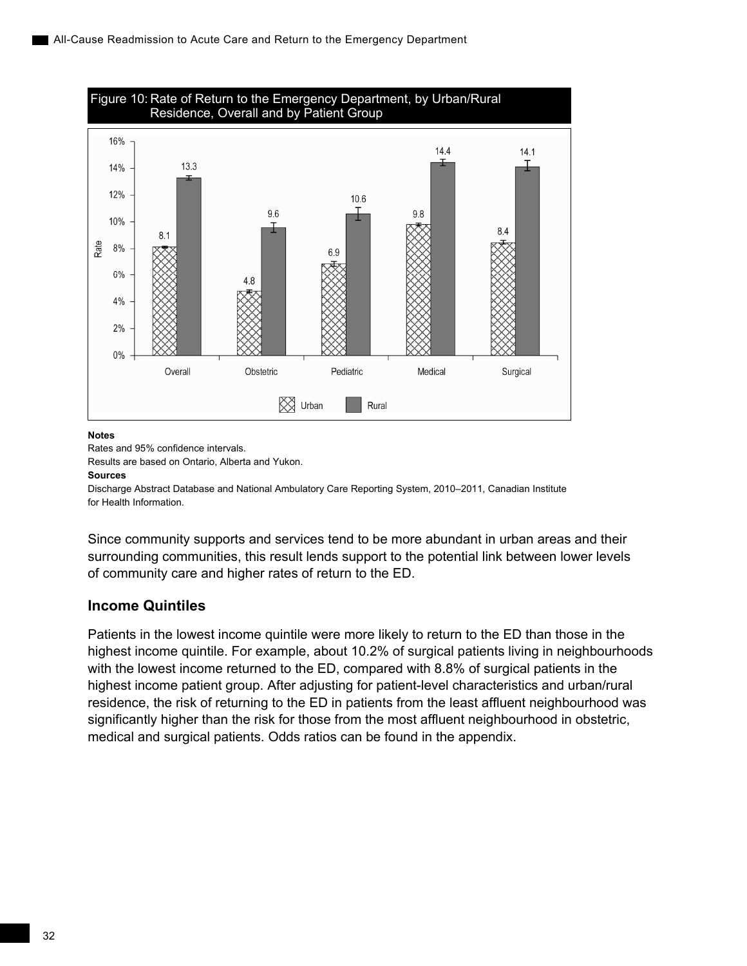

Rates and 95% confidence intervals.

Results are based on Ontario, Alberta and Yukon.

#### **Sources**

Discharge Abstract Database and National Ambulatory Care Reporting System, 2010–2011, Canadian Institute for Health Information.

Since community supports and services tend to be more abundant in urban areas and their surrounding communities, this result lends support to the potential link between lower levels of community care and higher rates of return to the ED.

## **Income Quintiles**

Patients in the lowest income quintile were more likely to return to the ED than those in the highest income quintile. For example, about 10.2% of surgical patients living in neighbourhoods with the lowest income returned to the ED, compared with 8.8% of surgical patients in the highest income patient group. After adjusting for patient-level characteristics and urban/rural residence, the risk of returning to the ED in patients from the least affluent neighbourhood was significantly higher than the risk for those from the most affluent neighbourhood in obstetric, medical and surgical patients. Odds ratios can be found in the appendix.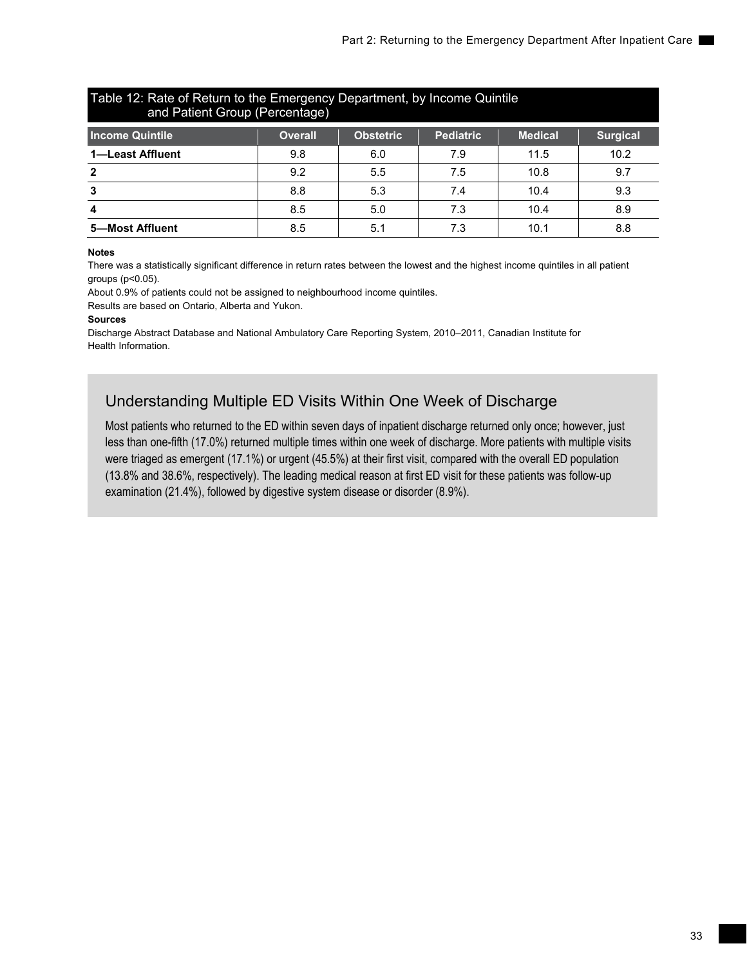| Table 12: Rate of Return to the Emergency Department, by Income Quintile<br>and Patient Group (Percentage) |                |                  |                  |                |                 |  |
|------------------------------------------------------------------------------------------------------------|----------------|------------------|------------------|----------------|-----------------|--|
| <b>Income Quintile</b>                                                                                     | <b>Overall</b> | <b>Obstetric</b> | <b>Pediatric</b> | <b>Medical</b> | <b>Surgical</b> |  |
| 1-Least Affluent                                                                                           | 9.8            | 6.0              | 7.9              | 11.5           | 10.2            |  |
| $\overline{2}$                                                                                             | 9.2            | 5.5              | 7.5              | 10.8           | 9.7             |  |
| -3                                                                                                         | 8.8            | 5.3              | 7.4              | 10.4           | 9.3             |  |
| 4                                                                                                          | 8.5            | 5.0              | 7.3              | 10.4           | 8.9             |  |
| 5-Most Affluent                                                                                            | 8.5            | 5.1              | 7.3              | 10.1           | 8.8             |  |

There was a statistically significant difference in return rates between the lowest and the highest income quintiles in all patient groups (p<0.05).

About 0.9% of patients could not be assigned to neighbourhood income quintiles.

Results are based on Ontario, Alberta and Yukon.

#### **Sources**

Discharge Abstract Database and National Ambulatory Care Reporting System, 2010–2011, Canadian Institute for Health Information.

## Understanding Multiple ED Visits Within One Week of Discharge

Most patients who returned to the ED within seven days of inpatient discharge returned only once; however, just less than one-fifth (17.0%) returned multiple times within one week of discharge. More patients with multiple visits were triaged as emergent (17.1%) or urgent (45.5%) at their first visit, compared with the overall ED population (13.8% and 38.6%, respectively). The leading medical reason at first ED visit for these patients was follow-up examination (21.4%), followed by digestive system disease or disorder (8.9%).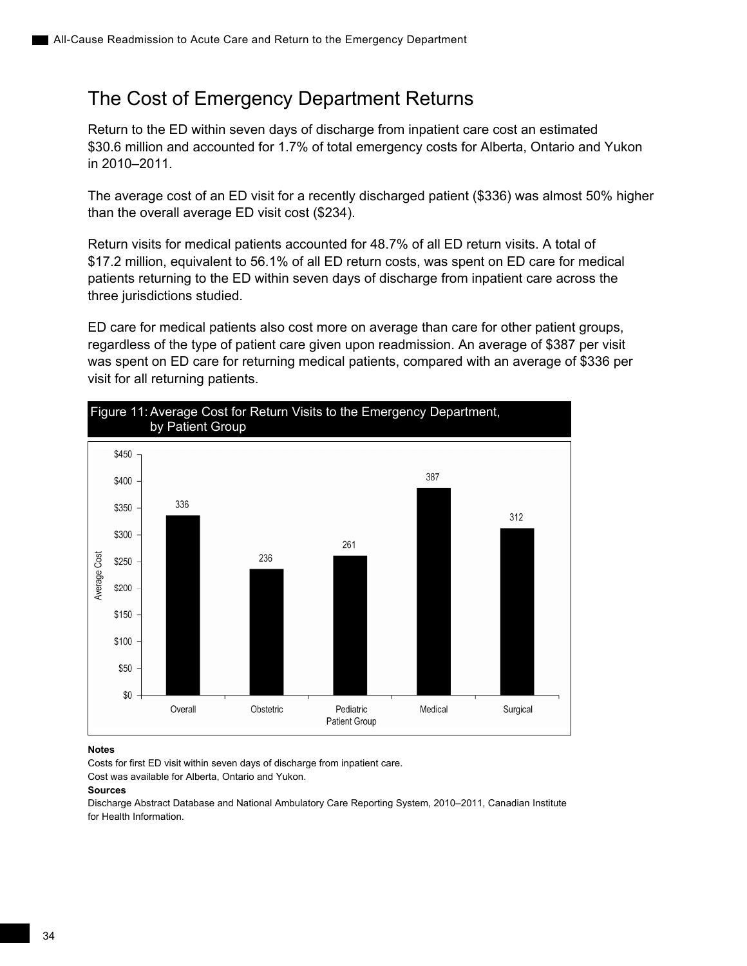## <span id="page-43-0"></span>The Cost of Emergency Department Returns

Return to the ED within seven days of discharge from inpatient care cost an estimated \$30.6 million and accounted for 1.7% of total emergency costs for Alberta, Ontario and Yukon in 2010–2011*.*

The average cost of an ED visit for a recently discharged patient (\$336) was almost 50% higher than the overall average ED visit cost (\$234).

Return visits for medical patients accounted for 48.7% of all ED return visits. A total of \$17.2 million, equivalent to 56.1% of all ED return costs, was spent on ED care for medical patients returning to the ED within seven days of discharge from inpatient care across the three jurisdictions studied.

ED care for medical patients also cost more on average than care for other patient groups, regardless of the type of patient care given upon readmission. An average of \$387 per visit was spent on ED care for returning medical patients, compared with an average of \$336 per visit for all returning patients.



### **Notes**

Costs for first ED visit within seven days of discharge from inpatient care.

Cost was available for Alberta, Ontario and Yukon.

### **Sources**

Discharge Abstract Database and National Ambulatory Care Reporting System, 2010–2011, Canadian Institute for Health Information.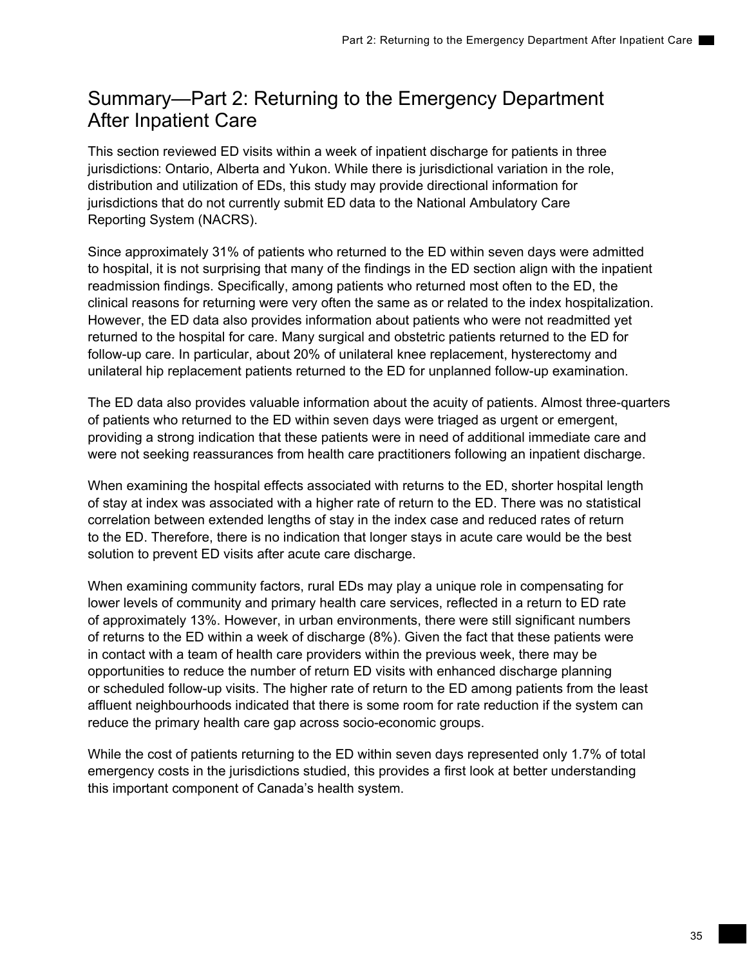## <span id="page-44-0"></span>Summary—Part 2: Returning to the Emergency Department After Inpatient Care

This section reviewed ED visits within a week of inpatient discharge for patients in three jurisdictions: Ontario, Alberta and Yukon. While there is jurisdictional variation in the role, distribution and utilization of EDs, this study may provide directional information for jurisdictions that do not currently submit ED data to the National Ambulatory Care Reporting System (NACRS).

Since approximately 31% of patients who returned to the ED within seven days were admitted to hospital, it is not surprising that many of the findings in the ED section align with the inpatient readmission findings. Specifically, among patients who returned most often to the ED, the clinical reasons for returning were very often the same as or related to the index hospitalization. However, the ED data also provides information about patients who were not readmitted yet returned to the hospital for care. Many surgical and obstetric patients returned to the ED for follow-up care. In particular, about 20% of unilateral knee replacement, hysterectomy and unilateral hip replacement patients returned to the ED for unplanned follow-up examination.

The ED data also provides valuable information about the acuity of patients. Almost three-quarters of patients who returned to the ED within seven days were triaged as urgent or emergent, providing a strong indication that these patients were in need of additional immediate care and were not seeking reassurances from health care practitioners following an inpatient discharge.

When examining the hospital effects associated with returns to the ED, shorter hospital length of stay at index was associated with a higher rate of return to the ED. There was no statistical correlation between extended lengths of stay in the index case and reduced rates of return to the ED. Therefore, there is no indication that longer stays in acute care would be the best solution to prevent ED visits after acute care discharge.

When examining community factors, rural EDs may play a unique role in compensating for lower levels of community and primary health care services, reflected in a return to ED rate of approximately 13%. However, in urban environments, there were still significant numbers of returns to the ED within a week of discharge (8%). Given the fact that these patients were in contact with a team of health care providers within the previous week, there may be opportunities to reduce the number of return ED visits with enhanced discharge planning or scheduled follow-up visits. The higher rate of return to the ED among patients from the least affluent neighbourhoods indicated that there is some room for rate reduction if the system can reduce the primary health care gap across socio-economic groups.

While the cost of patients returning to the ED within seven days represented only 1.7% of total emergency costs in the jurisdictions studied, this provides a first look at better understanding this important component of Canada's health system.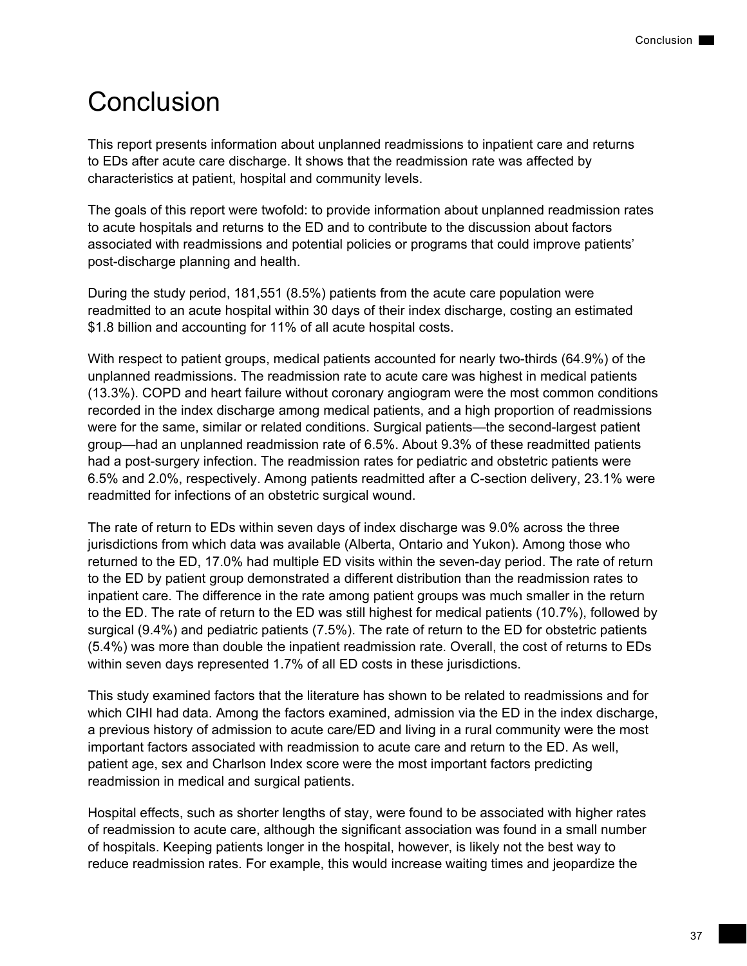# <span id="page-46-0"></span>**Conclusion**

This report presents information about unplanned readmissions to inpatient care and returns to EDs after acute care discharge. It shows that the readmission rate was affected by characteristics at patient, hospital and community levels.

The goals of this report were twofold: to provide information about unplanned readmission rates to acute hospitals and returns to the ED and to contribute to the discussion about factors associated with readmissions and potential policies or programs that could improve patients' post-discharge planning and health.

During the study period, 181,551 (8.5%) patients from the acute care population were readmitted to an acute hospital within 30 days of their index discharge, costing an estimated \$1.8 billion and accounting for 11% of all acute hospital costs.

With respect to patient groups, medical patients accounted for nearly two-thirds (64.9%) of the unplanned readmissions. The readmission rate to acute care was highest in medical patients (13.3%). COPD and heart failure without coronary angiogram were the most common conditions recorded in the index discharge among medical patients, and a high proportion of readmissions were for the same, similar or related conditions. Surgical patients—the second-largest patient group—had an unplanned readmission rate of 6.5%. About 9.3% of these readmitted patients had a post-surgery infection. The readmission rates for pediatric and obstetric patients were 6.5% and 2.0%, respectively. Among patients readmitted after a C-section delivery, 23.1% were readmitted for infections of an obstetric surgical wound.

The rate of return to EDs within seven days of index discharge was 9.0% across the three jurisdictions from which data was available (Alberta, Ontario and Yukon). Among those who returned to the ED, 17.0% had multiple ED visits within the seven-day period. The rate of return to the ED by patient group demonstrated a different distribution than the readmission rates to inpatient care. The difference in the rate among patient groups was much smaller in the return to the ED. The rate of return to the ED was still highest for medical patients (10.7%), followed by surgical (9.4%) and pediatric patients (7.5%). The rate of return to the ED for obstetric patients (5.4%) was more than double the inpatient readmission rate. Overall, the cost of returns to EDs within seven days represented 1.7% of all ED costs in these jurisdictions.

This study examined factors that the literature has shown to be related to readmissions and for which CIHI had data. Among the factors examined, admission via the ED in the index discharge, a previous history of admission to acute care/ED and living in a rural community were the most important factors associated with readmission to acute care and return to the ED. As well, patient age, sex and Charlson Index score were the most important factors predicting readmission in medical and surgical patients.

Hospital effects, such as shorter lengths of stay, were found to be associated with higher rates of readmission to acute care, although the significant association was found in a small number of hospitals. Keeping patients longer in the hospital, however, is likely not the best way to reduce readmission rates. For example, this would increase waiting times and jeopardize the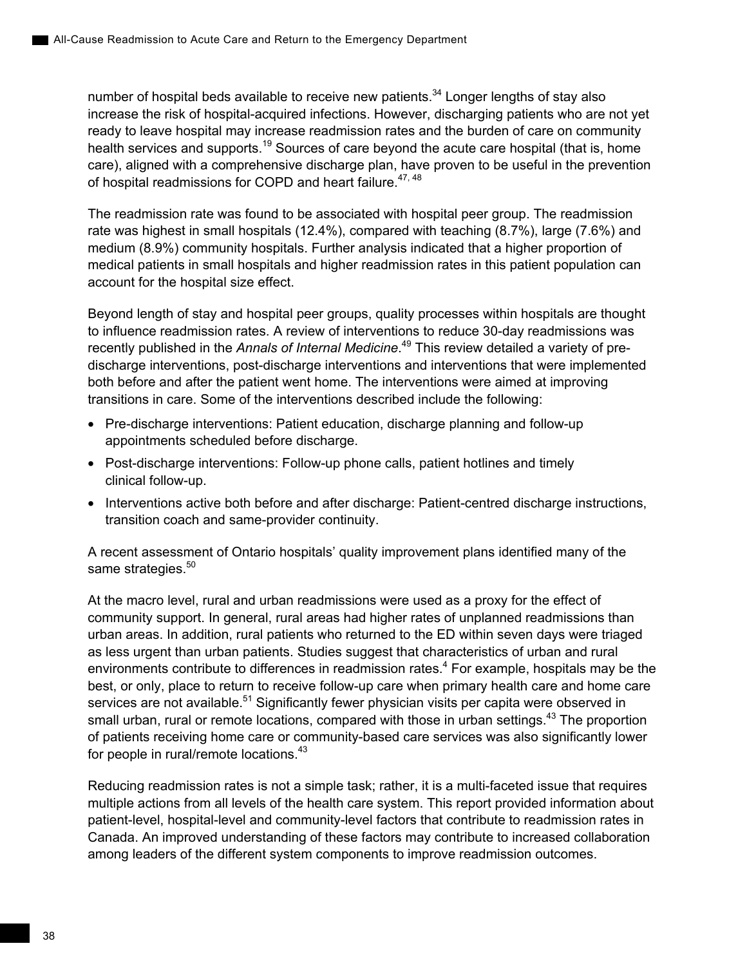number of hospital beds available to receive new patients. $34$  Longer lengths of stay also increase the risk of hospital-acquired infections. However, discharging patients who are not yet ready to leave hospital may increase readmission rates and the burden of care on community health services and supports.<sup>19</sup> Sources of care beyond the acute care hospital (that is, home care), aligned with a comprehensive discharge plan, have proven to be useful in the prevention of hospital readmissions for COPD and heart failure.<sup>47, 48</sup>

The readmission rate was found to be associated with hospital peer group. The readmission rate was highest in small hospitals (12.4%), compared with teaching (8.7%), large (7.6%) and medium (8.9%) community hospitals. Further analysis indicated that a higher proportion of medical patients in small hospitals and higher readmission rates in this patient population can account for the hospital size effect.

Beyond length of stay and hospital peer groups, quality processes within hospitals are thought to influence readmission rates. A review of interventions to reduce 30-day readmissions was recently published in the *Annals of Internal Medicine*. 49 This review detailed a variety of predischarge interventions, post-discharge interventions and interventions that were implemented both before and after the patient went home. The interventions were aimed at improving transitions in care. Some of the interventions described include the following:

- Pre-discharge interventions: Patient education, discharge planning and follow-up appointments scheduled before discharge.
- Post-discharge interventions: Follow-up phone calls, patient hotlines and timely clinical follow-up.
- Interventions active both before and after discharge: Patient-centred discharge instructions, transition coach and same-provider continuity.

A recent assessment of Ontario hospitals' quality improvement plans identified many of the same strategies.<sup>50</sup>

At the macro level, rural and urban readmissions were used as a proxy for the effect of community support. In general, rural areas had higher rates of unplanned readmissions than urban areas. In addition, rural patients who returned to the ED within seven days were triaged as less urgent than urban patients. Studies suggest that characteristics of urban and rural environments contribute to differences in readmission rates.<sup>4</sup> For example, hospitals may be the best, or only, place to return to receive follow-up care when primary health care and home care services are not available.<sup>51</sup> Significantly fewer physician visits per capita were observed in small urban, rural or remote locations, compared with those in urban settings.<sup>43</sup> The proportion of patients receiving home care or community-based care services was also significantly lower for people in rural/remote locations.43

Reducing readmission rates is not a simple task; rather, it is a multi-faceted issue that requires multiple actions from all levels of the health care system. This report provided information about patient-level, hospital-level and community-level factors that contribute to readmission rates in Canada. An improved understanding of these factors may contribute to increased collaboration among leaders of the different system components to improve readmission outcomes.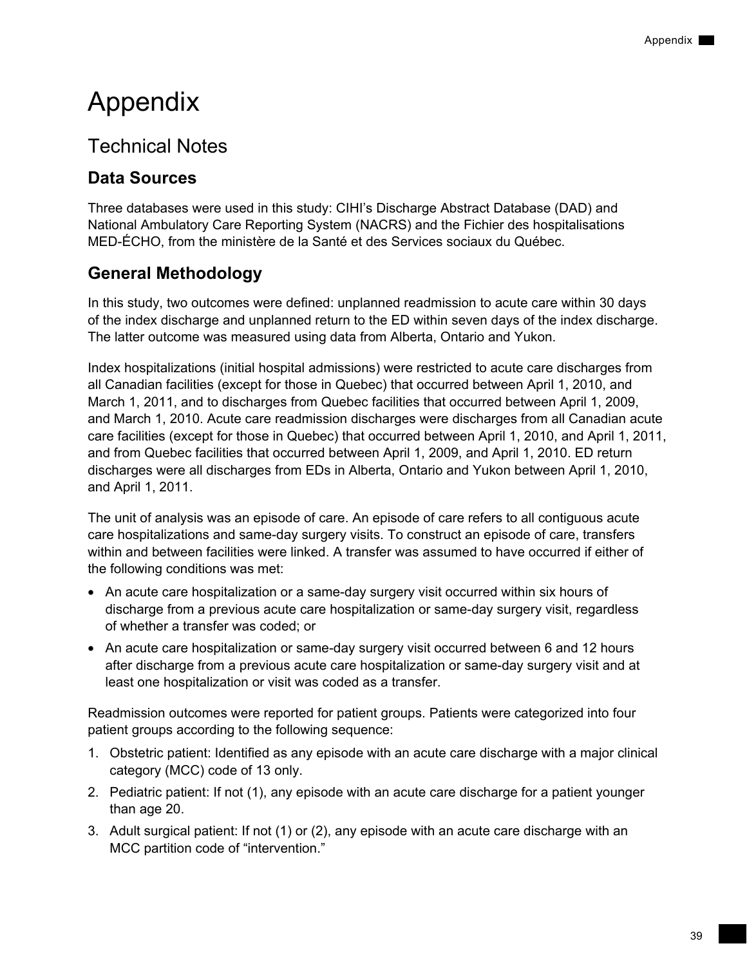# <span id="page-48-0"></span>Appendix

# Technical Notes

## **Data Sources**

Three databases were used in this study: CIHI's Discharge Abstract Database (DAD) and National Ambulatory Care Reporting System (NACRS) and the Fichier des hospitalisations MED-ÉCHO, from the ministère de la Santé et des Services sociaux du Québec.

# **General Methodology**

In this study, two outcomes were defined: unplanned readmission to acute care within 30 days of the index discharge and unplanned return to the ED within seven days of the index discharge. The latter outcome was measured using data from Alberta, Ontario and Yukon.

Index hospitalizations (initial hospital admissions) were restricted to acute care discharges from all Canadian facilities (except for those in Quebec) that occurred between April 1, 2010, and March 1, 2011, and to discharges from Quebec facilities that occurred between April 1, 2009, and March 1, 2010. Acute care readmission discharges were discharges from all Canadian acute care facilities (except for those in Quebec) that occurred between April 1, 2010, and April 1, 2011, and from Quebec facilities that occurred between April 1, 2009, and April 1, 2010. ED return discharges were all discharges from EDs in Alberta, Ontario and Yukon between April 1, 2010, and April 1, 2011.

The unit of analysis was an episode of care. An episode of care refers to all contiguous acute care hospitalizations and same-day surgery visits. To construct an episode of care, transfers within and between facilities were linked. A transfer was assumed to have occurred if either of the following conditions was met:

- An acute care hospitalization or a same-day surgery visit occurred within six hours of discharge from a previous acute care hospitalization or same-day surgery visit, regardless of whether a transfer was coded; or
- An acute care hospitalization or same-day surgery visit occurred between 6 and 12 hours after discharge from a previous acute care hospitalization or same-day surgery visit and at least one hospitalization or visit was coded as a transfer.

Readmission outcomes were reported for patient groups. Patients were categorized into four patient groups according to the following sequence:

- 1. Obstetric patient: Identified as any episode with an acute care discharge with a major clinical category (MCC) code of 13 only.
- 2. Pediatric patient: If not (1), any episode with an acute care discharge for a patient younger than age 20.
- 3. Adult surgical patient: If not (1) or (2), any episode with an acute care discharge with an MCC partition code of "intervention."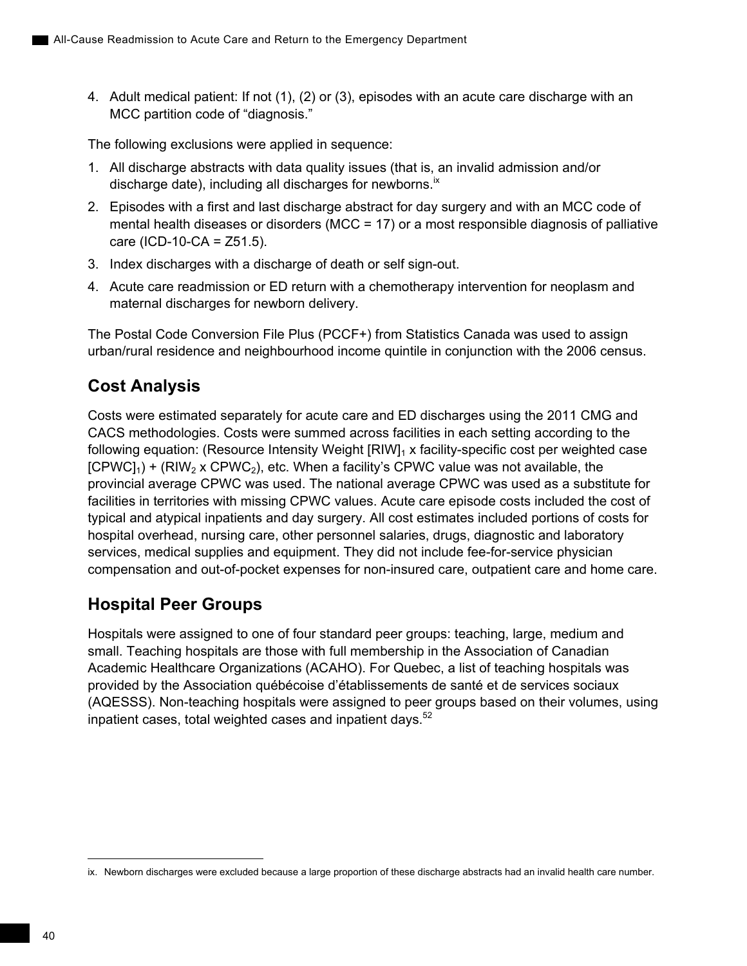4. Adult medical patient: If not (1), (2) or (3), episodes with an acute care discharge with an MCC partition code of "diagnosis."

The following exclusions were applied in sequence:

- 1. All discharge abstracts with data quality issues (that is, an invalid admission and/or discharge date), including all discharges for newborns.<sup>ix</sup>
- 2. Episodes with a first and last discharge abstract for day surgery and with an MCC code of mental health diseases or disorders (MCC = 17) or a most responsible diagnosis of palliative  $care (ICD-10-CA = Z51.5).$
- 3. Index discharges with a discharge of death or self sign-out.
- 4. Acute care readmission or ED return with a chemotherapy intervention for neoplasm and maternal discharges for newborn delivery.

The Postal Code Conversion File Plus (PCCF+) from Statistics Canada was used to assign urban/rural residence and neighbourhood income quintile in conjunction with the 2006 census.

## **Cost Analysis**

Costs were estimated separately for acute care and ED discharges using the 2011 CMG and CACS methodologies. Costs were summed across facilities in each setting according to the following equation: (Resource Intensity Weight  $IRIW]_1$  x facility-specific cost per weighted case  $[CPWC]_1$ ) +  $(RIW_2$  x  $CPWC_2)$ , etc. When a facility's CPWC value was not available, the provincial average CPWC was used. The national average CPWC was used as a substitute for facilities in territories with missing CPWC values. Acute care episode costs included the cost of typical and atypical inpatients and day surgery. All cost estimates included portions of costs for hospital overhead, nursing care, other personnel salaries, drugs, diagnostic and laboratory services, medical supplies and equipment. They did not include fee-for-service physician compensation and out-of-pocket expenses for non-insured care, outpatient care and home care.

## **Hospital Peer Groups**

Hospitals were assigned to one of four standard peer groups: teaching, large, medium and small. Teaching hospitals are those with full membership in the Association of Canadian Academic Healthcare Organizations (ACAHO). For Quebec, a list of teaching hospitals was provided by the Association québécoise d'établissements de santé et de services sociaux (AQESSS). Non-teaching hospitals were assigned to peer groups based on their volumes, using inpatient cases, total weighted cases and inpatient days. $52$ 

ix. Newborn discharges were excluded because a large proportion of these discharge abstracts had an invalid health care number.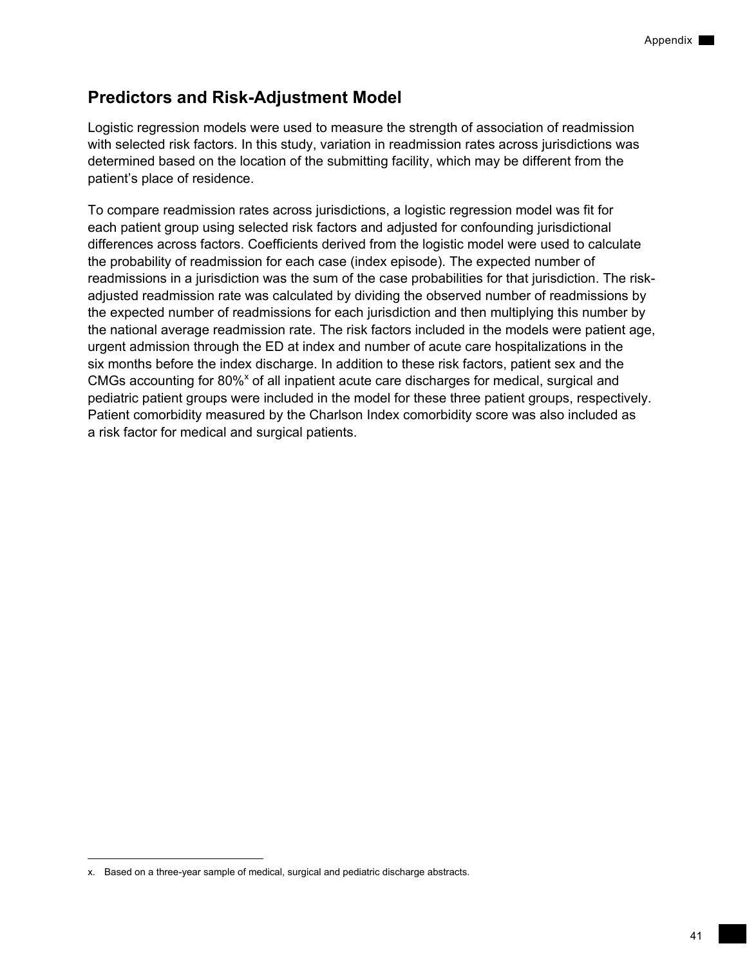## **Predictors and Risk-Adjustment Model**

Logistic regression models were used to measure the strength of association of readmission with selected risk factors. In this study, variation in readmission rates across jurisdictions was determined based on the location of the submitting facility, which may be different from the patient's place of residence.

To compare readmission rates across jurisdictions, a logistic regression model was fit for each patient group using selected risk factors and adjusted for confounding jurisdictional differences across factors. Coefficients derived from the logistic model were used to calculate the probability of readmission for each case (index episode). The expected number of readmissions in a jurisdiction was the sum of the case probabilities for that jurisdiction. The riskadjusted readmission rate was calculated by dividing the observed number of readmissions by the expected number of readmissions for each jurisdiction and then multiplying this number by the national average readmission rate. The risk factors included in the models were patient age, urgent admission through the ED at index and number of acute care hospitalizations in the six months before the index discharge. In addition to these risk factors, patient sex and the CMGs accounting for 80%<sup>x</sup> of all inpatient acute care discharges for medical, surgical and pediatric patient groups were included in the model for these three patient groups, respectively. Patient comorbidity measured by the Charlson Index comorbidity score was also included as a risk factor for medical and surgical patients.

-

x. Based on a three-year sample of medical, surgical and pediatric discharge abstracts.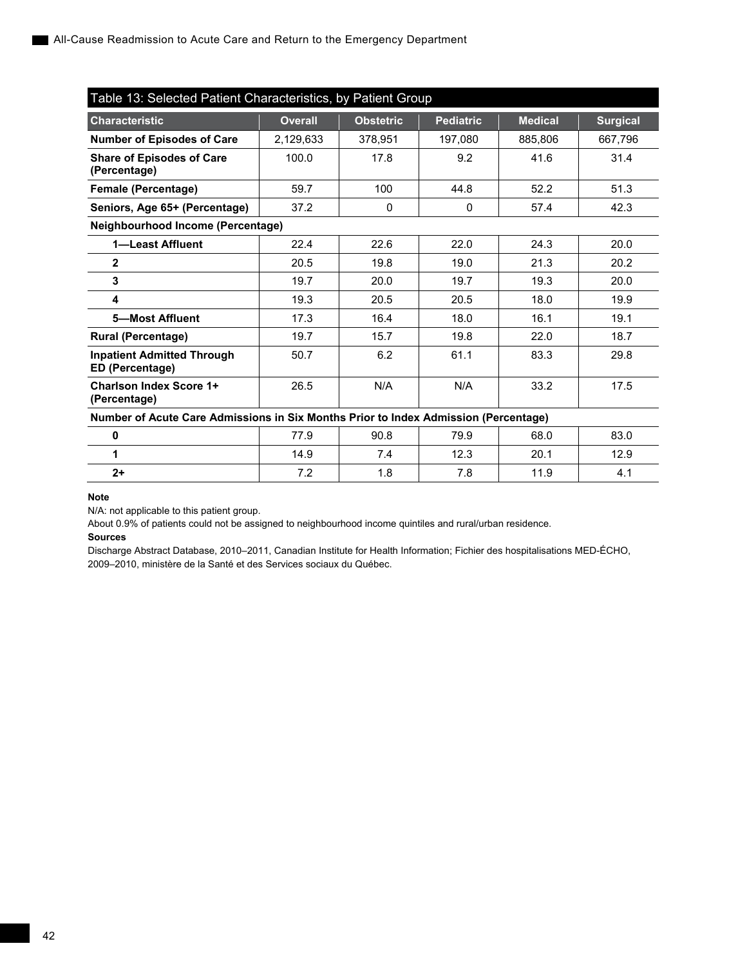| Table 13: Selected Patient Characteristics, by Patient Group                        |                                   |                  |                  |                |                 |  |  |
|-------------------------------------------------------------------------------------|-----------------------------------|------------------|------------------|----------------|-----------------|--|--|
| <b>Characteristic</b>                                                               | <b>Overall</b>                    | <b>Obstetric</b> | <b>Pediatric</b> | <b>Medical</b> | <b>Surgical</b> |  |  |
| Number of Episodes of Care                                                          | 2,129,633                         | 378,951          | 197,080          | 885,806        | 667,796         |  |  |
| <b>Share of Episodes of Care</b><br>(Percentage)                                    | 100.0                             | 17.8             | 9.2              | 41.6           | 31.4            |  |  |
| Female (Percentage)                                                                 | 59.7                              | 100              | 44.8             | 52.2           | 51.3            |  |  |
| Seniors, Age 65+ (Percentage)                                                       | 37.2                              | $\Omega$         | $\mathbf{0}$     | 57.4           | 42.3            |  |  |
|                                                                                     | Neighbourhood Income (Percentage) |                  |                  |                |                 |  |  |
| 1-Least Affluent                                                                    | 22.4                              | 22.6             | 22.0             | 24.3           | 20.0            |  |  |
| $\mathbf{2}$                                                                        | 20.5                              | 19.8             | 19.0             | 21.3           | 20.2            |  |  |
| 3                                                                                   | 19.7                              | 20.0             | 19.7             | 19.3           | 20.0            |  |  |
| 4                                                                                   | 19.3                              | 20.5             | 20.5             | 18.0           | 19.9            |  |  |
| 5-Most Affluent                                                                     | 17.3                              | 16.4             | 18.0             | 16.1           | 19.1            |  |  |
| <b>Rural (Percentage)</b>                                                           | 19.7                              | 15.7             | 19.8             | 22.0           | 18.7            |  |  |
| <b>Inpatient Admitted Through</b><br>ED (Percentage)                                | 50.7                              | 6.2              | 61.1             | 83.3           | 29.8            |  |  |
| <b>Charlson Index Score 1+</b><br>(Percentage)                                      | 26.5                              | N/A              | N/A              | 33.2           | 17.5            |  |  |
| Number of Acute Care Admissions in Six Months Prior to Index Admission (Percentage) |                                   |                  |                  |                |                 |  |  |
| 0                                                                                   | 77.9                              | 90.8             | 79.9             | 68.0           | 83.0            |  |  |
| 1                                                                                   | 14.9                              | 7.4              | 12.3             | 20.1           | 12.9            |  |  |
| $2+$                                                                                | 7.2                               | 1.8              | 7.8              | 11.9           | 4.1             |  |  |

#### **Note**

N/A: not applicable to this patient group.

About 0.9% of patients could not be assigned to neighbourhood income quintiles and rural/urban residence.

#### **Sources**

Discharge Abstract Database, 2010–2011, Canadian Institute for Health Information; Fichier des hospitalisations MED-ÉCHO, 2009–2010, ministère de la Santé et des Services sociaux du Québec.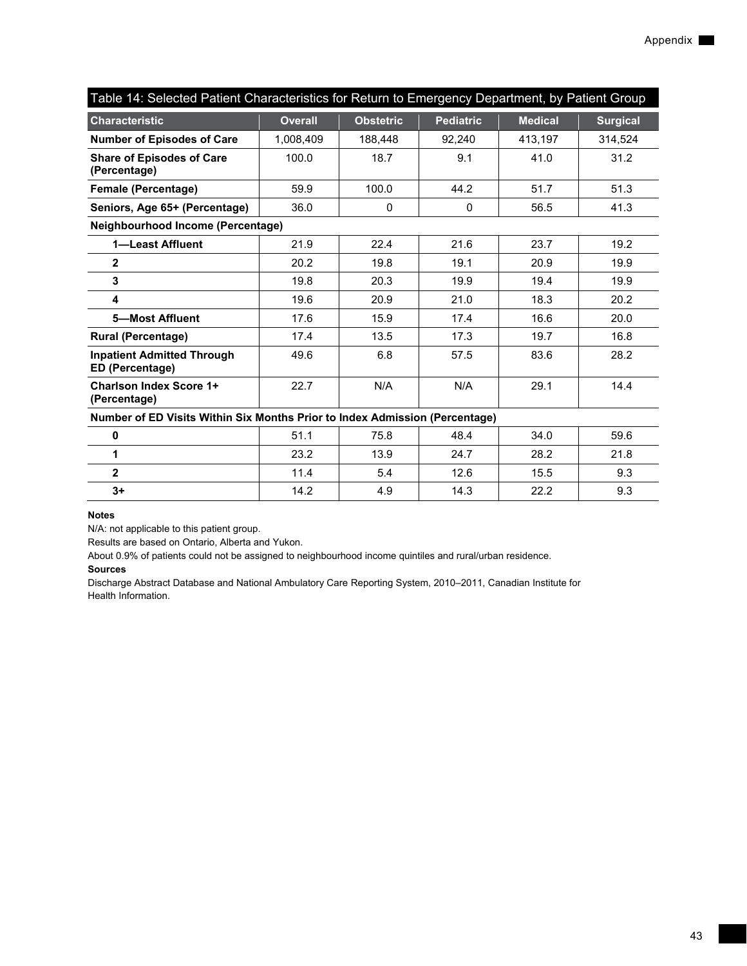| Table 14: Selected Patient Characteristics for Return to Emergency Department, by Patient Group |                |                  |                  |                |                 |  |
|-------------------------------------------------------------------------------------------------|----------------|------------------|------------------|----------------|-----------------|--|
| <b>Characteristic</b>                                                                           | <b>Overall</b> | <b>Obstetric</b> | <b>Pediatric</b> | <b>Medical</b> | <b>Surgical</b> |  |
| Number of Episodes of Care                                                                      | 1,008,409      | 188,448          | 92,240           | 413,197        | 314,524         |  |
| <b>Share of Episodes of Care</b><br>(Percentage)                                                | 100.0          | 18.7             | 9.1              | 41.0           | 31.2            |  |
| <b>Female (Percentage)</b>                                                                      | 59.9           | 100.0            | 44.2             | 51.7           | 51.3            |  |
| Seniors, Age 65+ (Percentage)                                                                   | 36.0           | 0                | 0                | 56.5           | 41.3            |  |
| Neighbourhood Income (Percentage)                                                               |                |                  |                  |                |                 |  |
| 1-Least Affluent                                                                                | 21.9           | 22.4             | 21.6             | 23.7           | 19.2            |  |
| $\mathbf{2}$                                                                                    | 20.2           | 19.8             | 19.1             | 20.9           | 19.9            |  |
| 3                                                                                               | 19.8           | 20.3             | 19.9             | 19.4           | 19.9            |  |
| 4                                                                                               | 19.6           | 20.9             | 21.0             | 18.3           | 20.2            |  |
| 5-Most Affluent                                                                                 | 17.6           | 15.9             | 17.4             | 16.6           | 20.0            |  |
| <b>Rural (Percentage)</b>                                                                       | 17.4           | 13.5             | 17.3             | 19.7           | 16.8            |  |
| <b>Inpatient Admitted Through</b><br>ED (Percentage)                                            | 49.6           | 6.8              | 57.5             | 83.6           | 28.2            |  |
| <b>Charlson Index Score 1+</b><br>(Percentage)                                                  | 22.7           | N/A              | N/A              | 29.1           | 14.4            |  |
| Number of ED Visits Within Six Months Prior to Index Admission (Percentage)                     |                |                  |                  |                |                 |  |
| 0                                                                                               | 51.1           | 75.8             | 48.4             | 34.0           | 59.6            |  |
| $\mathbf{1}$                                                                                    | 23.2           | 13.9             | 24.7             | 28.2           | 21.8            |  |
| $\overline{2}$                                                                                  | 11.4           | 5.4              | 12.6             | 15.5           | 9.3             |  |
| $3+$                                                                                            | 14.2           | 4.9              | 14.3             | 22.2           | 9.3             |  |

N/A: not applicable to this patient group.

Results are based on Ontario, Alberta and Yukon.

About 0.9% of patients could not be assigned to neighbourhood income quintiles and rural/urban residence.

#### **Sources**

Discharge Abstract Database and National Ambulatory Care Reporting System, 2010–2011, Canadian Institute for Health Information.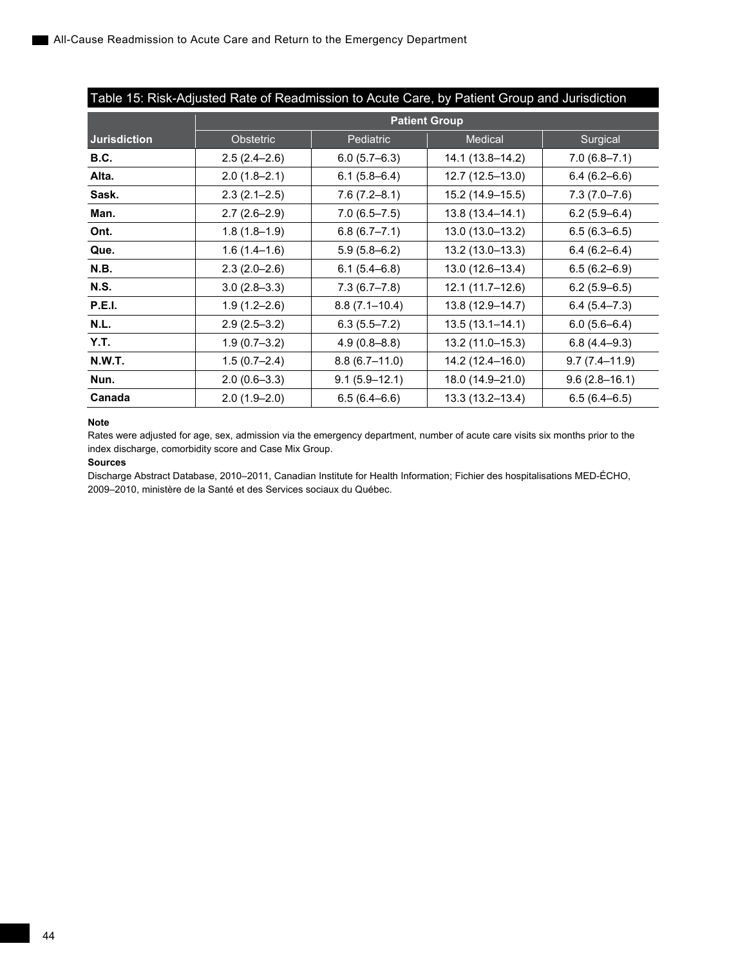| Table 15: Risk-Adjusted Rate of Readmission to Acute Care, by Patient Group and Jurisdiction |                      |                   |                     |                   |  |
|----------------------------------------------------------------------------------------------|----------------------|-------------------|---------------------|-------------------|--|
|                                                                                              | <b>Patient Group</b> |                   |                     |                   |  |
| <b>Jurisdiction</b>                                                                          | <b>Obstetric</b>     | Pediatric         | <b>Medical</b>      | Surgical          |  |
| <b>B.C.</b>                                                                                  | $2.5(2.4-2.6)$       | $6.0(5.7-6.3)$    | 14.1 (13.8-14.2)    | $7.0(6.8 - 7.1)$  |  |
| Alta.                                                                                        | $2.0(1.8-2.1)$       | $6.1(5.8-6.4)$    | 12.7 (12.5–13.0)    | $6.4(6.2 - 6.6)$  |  |
| Sask.                                                                                        | $2.3(2.1-2.5)$       | $7.6(7.2 - 8.1)$  | 15.2 (14.9–15.5)    | $7.3(7.0 - 7.6)$  |  |
| Man.                                                                                         | $2.7(2.6-2.9)$       | $7.0(6.5 - 7.5)$  | 13.8 (13.4–14.1)    | $6.2(5.9-6.4)$    |  |
| Ont.                                                                                         | $1.8(1.8-1.9)$       | $6.8(6.7 - 7.1)$  | 13.0 (13.0-13.2)    | $6.5(6.3-6.5)$    |  |
| Que.                                                                                         | $1.6(1.4-1.6)$       | $5.9(5.8 - 6.2)$  | 13.2 (13.0-13.3)    | $6.4(6.2 - 6.4)$  |  |
| N.B.                                                                                         | $2.3(2.0-2.6)$       | $6.1(5.4 - 6.8)$  | 13.0 (12.6-13.4)    | $6.5(6.2 - 6.9)$  |  |
| <b>N.S.</b>                                                                                  | $3.0(2.8-3.3)$       | $7.3(6.7 - 7.8)$  | $12.1(11.7-12.6)$   | $6.2(5.9-6.5)$    |  |
| <b>P.E.I.</b>                                                                                | $1.9(1.2 - 2.6)$     | $8.8(7.1 - 10.4)$ | 13.8 (12.9–14.7)    | $6.4(5.4 - 7.3)$  |  |
| N.L.                                                                                         | $2.9(2.5-3.2)$       | $6.3(5.5 - 7.2)$  | $13.5(13.1 - 14.1)$ | $6.0(5.6 - 6.4)$  |  |
| Y.T.                                                                                         | $1.9(0.7-3.2)$       | $4.9(0.8 - 8.8)$  | 13.2 (11.0–15.3)    | $6.8(4.4-9.3)$    |  |
| <b>N.W.T.</b>                                                                                | $1.5(0.7-2.4)$       | $8.8(6.7-11.0)$   | 14.2 (12.4–16.0)    | $9.7(7.4 - 11.9)$ |  |
| Nun.                                                                                         | $2.0(0.6-3.3)$       | $9.1(5.9 - 12.1)$ | 18.0 (14.9-21.0)    | $9.6(2.8-16.1)$   |  |
| Canada                                                                                       | $2.0(1.9-2.0)$       | $6.5(6.4 - 6.6)$  | 13.3 (13.2-13.4)    | $6.5(6.4 - 6.5)$  |  |

#### **Note**

Rates were adjusted for age, sex, admission via the emergency department, number of acute care visits six months prior to the index discharge, comorbidity score and Case Mix Group.

#### **Sources**

Discharge Abstract Database, 2010–2011, Canadian Institute for Health Information; Fichier des hospitalisations MED-ÉCHO, 2009–2010, ministère de la Santé et des Services sociaux du Québec.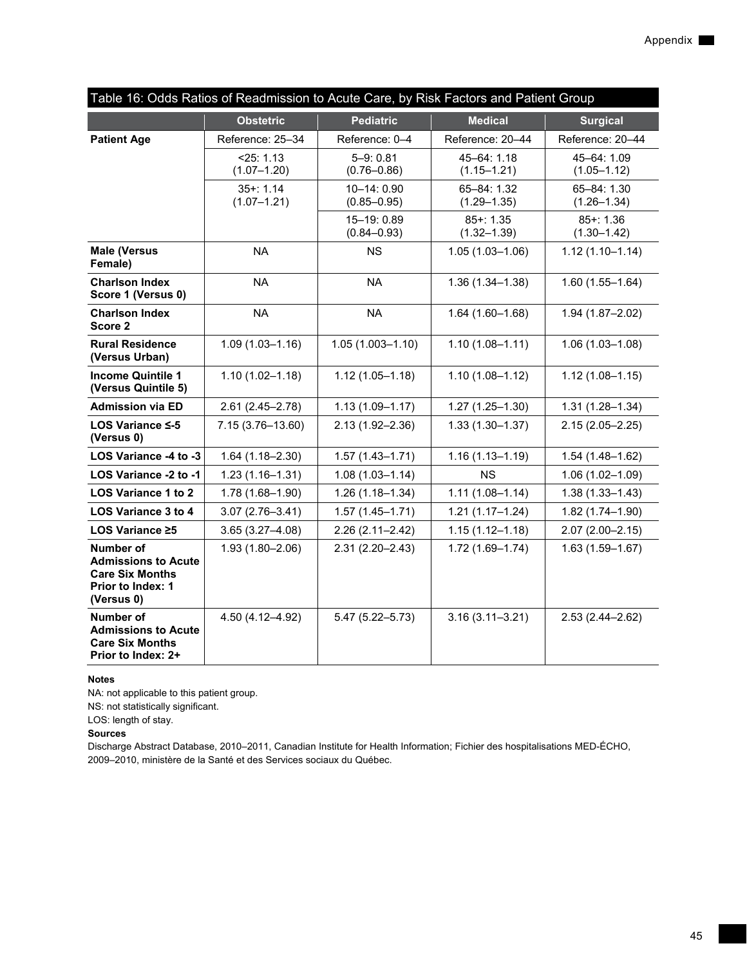| Table 16: Odds Ratios of Readmission to Acute Care, by Risk Factors and Patient Group                       |                                |                                 |                                |                                |  |
|-------------------------------------------------------------------------------------------------------------|--------------------------------|---------------------------------|--------------------------------|--------------------------------|--|
|                                                                                                             | <b>Obstetric</b>               | <b>Pediatric</b>                | <b>Medical</b>                 | <b>Surgical</b>                |  |
| <b>Patient Age</b>                                                                                          | Reference: 25-34               | Reference: 0-4                  | Reference: 20-44               | Reference: 20-44               |  |
|                                                                                                             | < 25: 1.13<br>$(1.07 - 1.20)$  | $5 - 9:0.81$<br>$(0.76 - 0.86)$ | 45-64: 1.18<br>$(1.15 - 1.21)$ | 45-64: 1.09<br>$(1.05 - 1.12)$ |  |
|                                                                                                             | $35 + 1.14$<br>$(1.07 - 1.21)$ | 10-14: 0.90<br>$(0.85 - 0.95)$  | 65-84: 1.32<br>$(1.29 - 1.35)$ | 65-84: 1.30<br>$(1.26 - 1.34)$ |  |
|                                                                                                             |                                | 15-19: 0.89<br>$(0.84 - 0.93)$  | $85 + 1.35$<br>$(1.32 - 1.39)$ | $85 + 1.36$<br>$(1.30 - 1.42)$ |  |
| <b>Male (Versus</b><br>Female)                                                                              | <b>NA</b>                      | <b>NS</b>                       | $1.05(1.03 - 1.06)$            | $1.12(1.10 - 1.14)$            |  |
| <b>Charlson Index</b><br>Score 1 (Versus 0)                                                                 | <b>NA</b>                      | <b>NA</b>                       | $1.36(1.34 - 1.38)$            | $1.60(1.55 - 1.64)$            |  |
| <b>Charlson Index</b><br>Score 2                                                                            | <b>NA</b>                      | <b>NA</b>                       | $1.64(1.60 - 1.68)$            | 1.94 (1.87-2.02)               |  |
| <b>Rural Residence</b><br>(Versus Urban)                                                                    | $1.09(1.03 - 1.16)$            | $1.05(1.003 - 1.10)$            | $1.10(1.08 - 1.11)$            | $1.06(1.03 - 1.08)$            |  |
| <b>Income Quintile 1</b><br>(Versus Quintile 5)                                                             | $1.10(1.02 - 1.18)$            | $1.12(1.05 - 1.18)$             | $1.10(1.08 - 1.12)$            | $1.12(1.08 - 1.15)$            |  |
| <b>Admission via ED</b>                                                                                     | $2.61(2.45 - 2.78)$            | $1.13(1.09 - 1.17)$             | $1.27(1.25 - 1.30)$            | $1.31(1.28 - 1.34)$            |  |
| LOS Variance $\leq$ -5<br>(Versus 0)                                                                        | 7.15 (3.76-13.60)              | $2.13(1.92 - 2.36)$             | $1.33(1.30 - 1.37)$            | $2.15(2.05 - 2.25)$            |  |
| LOS Variance -4 to -3                                                                                       | $1.64(1.18 - 2.30)$            | $1.57(1.43 - 1.71)$             | $1.16(1.13 - 1.19)$            | $1.54(1.48 - 1.62)$            |  |
| LOS Variance -2 to -1                                                                                       | $1.23(1.16 - 1.31)$            | $1.08(1.03 - 1.14)$             | <b>NS</b>                      | $1.06(1.02 - 1.09)$            |  |
| LOS Variance 1 to 2                                                                                         | 1.78 (1.68-1.90)               | $1.26(1.18 - 1.34)$             | $1.11(1.08 - 1.14)$            | $1.38(1.33 - 1.43)$            |  |
| <b>LOS Variance 3 to 4</b>                                                                                  | $3.07(2.76 - 3.41)$            | $1.57(1.45 - 1.71)$             | $1.21(1.17 - 1.24)$            | 1.82 (1.74-1.90)               |  |
| LOS Variance ≥5                                                                                             | $3.65(3.27 - 4.08)$            | $2.26(2.11 - 2.42)$             | $1.15(1.12 - 1.18)$            | $2.07(2.00 - 2.15)$            |  |
| <b>Number of</b><br><b>Admissions to Acute</b><br><b>Care Six Months</b><br>Prior to Index: 1<br>(Versus 0) | $1.93(1.80 - 2.06)$            | $2.31(2.20 - 2.43)$             | $1.72(1.69 - 1.74)$            | $1.63(1.59 - 1.67)$            |  |
| Number of<br><b>Admissions to Acute</b><br><b>Care Six Months</b><br>Prior to Index: 2+                     | 4.50 (4.12-4.92)               | $5.47(5.22 - 5.73)$             | $3.16(3.11 - 3.21)$            | $2.53(2.44 - 2.62)$            |  |

NA: not applicable to this patient group.

NS: not statistically significant.

LOS: length of stay.

## **Sources**

Discharge Abstract Database, 2010–2011, Canadian Institute for Health Information; Fichier des hospitalisations MED-ÉCHO, 2009–2010, ministère de la Santé et des Services sociaux du Québec.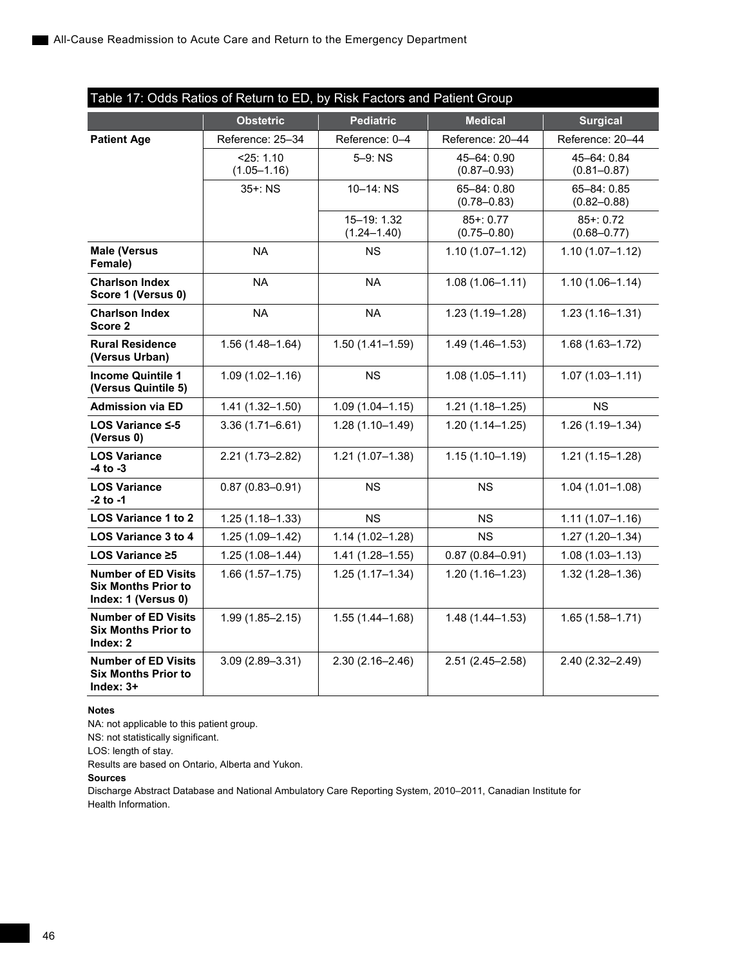| Table 17: Odds Ratios of Return to ED, by Risk Factors and Patient Group        |                                 |                                |                                |                                |
|---------------------------------------------------------------------------------|---------------------------------|--------------------------------|--------------------------------|--------------------------------|
|                                                                                 | <b>Obstetric</b>                | <b>Pediatric</b>               | <b>Medical</b>                 | <b>Surgical</b>                |
| <b>Patient Age</b>                                                              | Reference: 25-34                | Reference: 0-4                 | Reference: 20-44               | Reference: 20-44               |
|                                                                                 | $<$ 25: 1.10<br>$(1.05 - 1.16)$ | 5-9: NS                        | 45-64: 0.90<br>$(0.87 - 0.93)$ | 45-64: 0.84<br>$(0.81 - 0.87)$ |
|                                                                                 | 35+: NS                         | $10 - 14$ : NS                 | 65-84: 0.80<br>$(0.78 - 0.83)$ | 65-84: 0.85<br>$(0.82 - 0.88)$ |
|                                                                                 |                                 | 15-19: 1.32<br>$(1.24 - 1.40)$ | $85+:0.77$<br>$(0.75 - 0.80)$  | $85+:0.72$<br>$(0.68 - 0.77)$  |
| <b>Male (Versus</b><br>Female)                                                  | <b>NA</b>                       | <b>NS</b>                      | $1.10(1.07 - 1.12)$            | $1.10(1.07 - 1.12)$            |
| <b>Charlson Index</b><br>Score 1 (Versus 0)                                     | <b>NA</b>                       | <b>NA</b>                      | $1.08(1.06 - 1.11)$            | $1.10(1.06 - 1.14)$            |
| <b>Charlson Index</b><br>Score 2                                                | <b>NA</b>                       | <b>NA</b>                      | $1.23(1.19 - 1.28)$            | $1.23(1.16 - 1.31)$            |
| <b>Rural Residence</b><br>(Versus Urban)                                        | $1.56(1.48 - 1.64)$             | $1.50(1.41 - 1.59)$            | $1.49(1.46 - 1.53)$            | $1.68(1.63 - 1.72)$            |
| <b>Income Quintile 1</b><br>(Versus Quintile 5)                                 | $1.09(1.02 - 1.16)$             | <b>NS</b>                      | $1.08(1.05 - 1.11)$            | $1.07(1.03 - 1.11)$            |
| <b>Admission via ED</b>                                                         | $1.41(1.32 - 1.50)$             | $1.09(1.04 - 1.15)$            | $1.21(1.18 - 1.25)$            | <b>NS</b>                      |
| LOS Variance ≤-5<br>(Versus 0)                                                  | $3.36(1.71 - 6.61)$             | $1.28(1.10 - 1.49)$            | $1.20(1.14 - 1.25)$            | $1.26(1.19 - 1.34)$            |
| <b>LOS Variance</b><br>-4 to -3                                                 | $2.21(1.73 - 2.82)$             | $1.21(1.07 - 1.38)$            | $1.15(1.10 - 1.19)$            | $1.21(1.15 - 1.28)$            |
| <b>LOS Variance</b><br>$-2$ to $-1$                                             | $0.87(0.83 - 0.91)$             | NS.                            | ΝS                             | $1.04(1.01 - 1.08)$            |
| <b>LOS Variance 1 to 2</b>                                                      | $1.25(1.18 - 1.33)$             | <b>NS</b>                      | ΝS                             | $1.11(1.07 - 1.16)$            |
| <b>LOS Variance 3 to 4</b>                                                      | $1.25(1.09 - 1.42)$             | $1.14(1.02 - 1.28)$            | <b>NS</b>                      | $1.27(1.20 - 1.34)$            |
| LOS Variance ≥5                                                                 | $1.25(1.08 - 1.44)$             | $1.41(1.28 - 1.55)$            | $0.87(0.84 - 0.91)$            | $1.08(1.03 - 1.13)$            |
| <b>Number of ED Visits</b><br><b>Six Months Prior to</b><br>Index: 1 (Versus 0) | $1.66(1.57 - 1.75)$             | $1.25(1.17 - 1.34)$            | $1.20(1.16 - 1.23)$            | $1.32(1.28 - 1.36)$            |
| <b>Number of ED Visits</b><br><b>Six Months Prior to</b><br>Index: $2$          | $1.99(1.85 - 2.15)$             | $1.55(1.44 - 1.68)$            | $1.48(1.44 - 1.53)$            | $1.65(1.58 - 1.71)$            |
| <b>Number of ED Visits</b><br><b>Six Months Prior to</b><br>Index: $3+$         | $3.09(2.89 - 3.31)$             | $2.30(2.16 - 2.46)$            | $2.51(2.45 - 2.58)$            | 2.40 (2.32-2.49)               |

NA: not applicable to this patient group.

NS: not statistically significant.

LOS: length of stay.

Results are based on Ontario, Alberta and Yukon.

### **Sources**

Discharge Abstract Database and National Ambulatory Care Reporting System, 2010–2011, Canadian Institute for Health Information.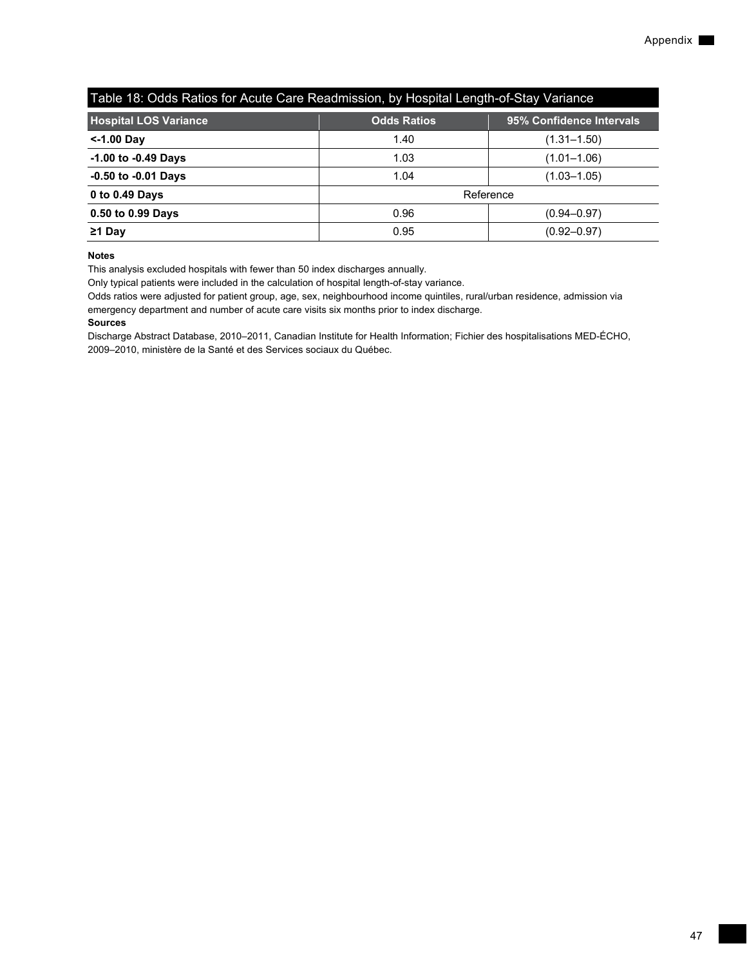| Table 18: Odds Ratios for Acute Care Readmission, by Hospital Length-of-Stay Variance |                    |                          |  |  |  |  |
|---------------------------------------------------------------------------------------|--------------------|--------------------------|--|--|--|--|
| <b>Hospital LOS Variance</b>                                                          | <b>Odds Ratios</b> | 95% Confidence Intervals |  |  |  |  |
| <-1.00 Day                                                                            | 1.40               | $(1.31 - 1.50)$          |  |  |  |  |
| $-1.00$ to $-0.49$ Days                                                               | 1.03               | $(1.01 - 1.06)$          |  |  |  |  |
| $-0.50$ to $-0.01$ Days                                                               | 1.04               | $(1.03 - 1.05)$          |  |  |  |  |
| 0 to 0.49 Days                                                                        | Reference          |                          |  |  |  |  |
| 0.50 to 0.99 Days                                                                     | 0.96               | $(0.94 - 0.97)$          |  |  |  |  |
| $\geq$ 1 Day                                                                          | 0.95               | $(0.92 - 0.97)$          |  |  |  |  |

This analysis excluded hospitals with fewer than 50 index discharges annually.

Only typical patients were included in the calculation of hospital length-of-stay variance.

Odds ratios were adjusted for patient group, age, sex, neighbourhood income quintiles, rural/urban residence, admission via emergency department and number of acute care visits six months prior to index discharge.

#### **Sources**

Discharge Abstract Database, 2010–2011, Canadian Institute for Health Information; Fichier des hospitalisations MED-ÉCHO, 2009–2010, ministère de la Santé et des Services sociaux du Québec.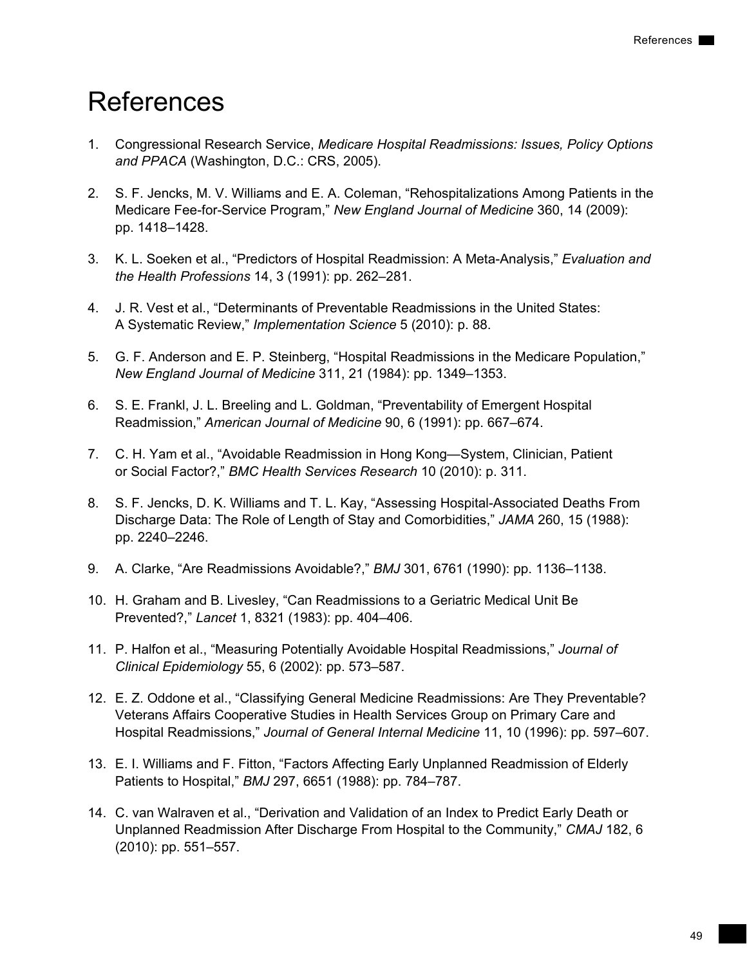# <span id="page-58-0"></span>References

- 1. Congressional Research Service, *Medicare Hospital Readmissions: Issues, Policy Options and PPACA* (Washington, D.C.: CRS, 2005).
- 2. S. F. Jencks, M. V. Williams and E. A. Coleman, "Rehospitalizations Among Patients in the Medicare Fee-for-Service Program," *New England Journal of Medicine* 360, 14 (2009): pp. 1418–1428.
- 3. K. L. Soeken et al., "Predictors of Hospital Readmission: A Meta-Analysis," *Evaluation and the Health Professions* 14, 3 (1991): pp. 262–281.
- 4. J. R. Vest et al., "Determinants of Preventable Readmissions in the United States: A Systematic Review," *Implementation Science* 5 (2010): p. 88.
- 5. G. F. Anderson and E. P. Steinberg, "Hospital Readmissions in the Medicare Population," *New England Journal of Medicine* 311, 21 (1984): pp. 1349–1353.
- 6. S. E. Frankl, J. L. Breeling and L. Goldman, "Preventability of Emergent Hospital Readmission," *American Journal of Medicine* 90, 6 (1991): pp. 667–674.
- 7. C. H. Yam et al., "Avoidable Readmission in Hong Kong—System, Clinician, Patient or Social Factor?," *BMC Health Services Research* 10 (2010): p. 311.
- 8. S. F. Jencks, D. K. Williams and T. L. Kay, "Assessing Hospital-Associated Deaths From Discharge Data: The Role of Length of Stay and Comorbidities," *JAMA* 260, 15 (1988): pp. 2240–2246.
- 9. A. Clarke, "Are Readmissions Avoidable?," *BMJ* 301, 6761 (1990): pp. 1136–1138.
- 10. H. Graham and B. Livesley, "Can Readmissions to a Geriatric Medical Unit Be Prevented?," *Lancet* 1, 8321 (1983): pp. 404–406.
- 11. P. Halfon et al., "Measuring Potentially Avoidable Hospital Readmissions," *Journal of Clinical Epidemiology* 55, 6 (2002): pp. 573–587.
- 12. E. Z. Oddone et al., "Classifying General Medicine Readmissions: Are They Preventable? Veterans Affairs Cooperative Studies in Health Services Group on Primary Care and Hospital Readmissions," *Journal of General Internal Medicine* 11, 10 (1996): pp. 597–607.
- 13. E. I. Williams and F. Fitton, "Factors Affecting Early Unplanned Readmission of Elderly Patients to Hospital," *BMJ* 297, 6651 (1988): pp. 784–787.
- 14. C. van Walraven et al., "Derivation and Validation of an Index to Predict Early Death or Unplanned Readmission After Discharge From Hospital to the Community," *CMAJ* 182, 6 (2010): pp. 551–557.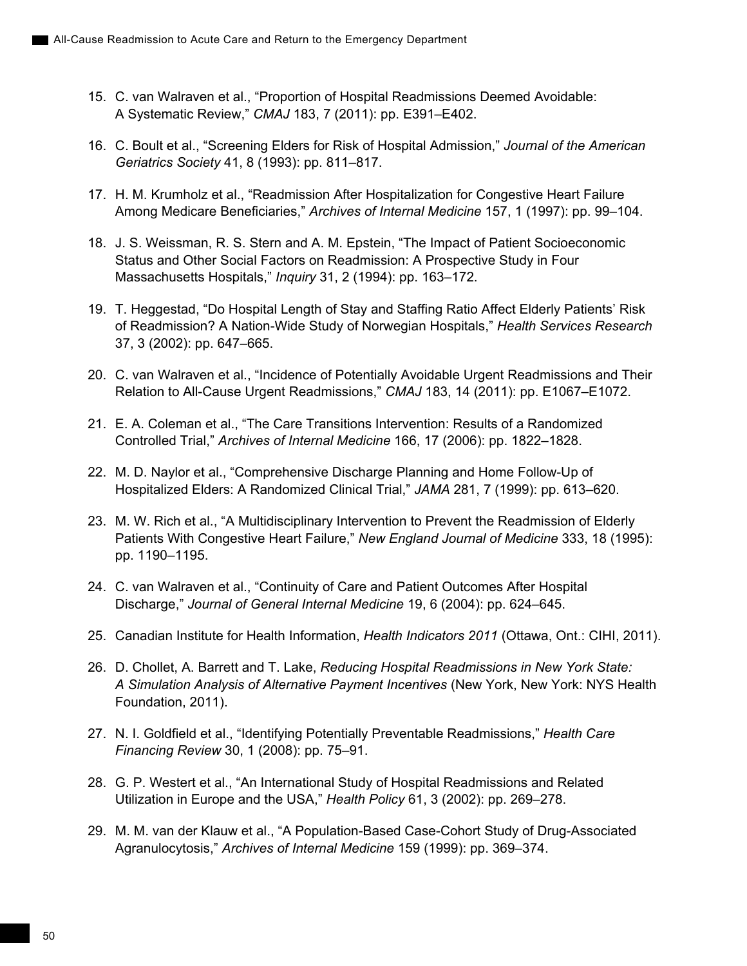- 15. C. van Walraven et al., "Proportion of Hospital Readmissions Deemed Avoidable: A Systematic Review," *CMAJ* 183, 7 (2011): pp. E391–E402.
- 16. C. Boult et al., "Screening Elders for Risk of Hospital Admission," *Journal of the American Geriatrics Society* 41, 8 (1993): pp. 811–817.
- 17. H. M. Krumholz et al., "Readmission After Hospitalization for Congestive Heart Failure Among Medicare Beneficiaries," *Archives of Internal Medicine* 157, 1 (1997): pp. 99–104.
- 18. J. S. Weissman, R. S. Stern and A. M. Epstein, "The Impact of Patient Socioeconomic Status and Other Social Factors on Readmission: A Prospective Study in Four Massachusetts Hospitals," *Inquiry* 31, 2 (1994): pp. 163–172.
- 19. T. Heggestad, "Do Hospital Length of Stay and Staffing Ratio Affect Elderly Patients' Risk of Readmission? A Nation-Wide Study of Norwegian Hospitals," *Health Services Research* 37, 3 (2002): pp. 647–665.
- 20. C. van Walraven et al., "Incidence of Potentially Avoidable Urgent Readmissions and Their Relation to All-Cause Urgent Readmissions," *CMAJ* 183, 14 (2011): pp. E1067–E1072.
- 21. E. A. Coleman et al., "The Care Transitions Intervention: Results of a Randomized Controlled Trial," *Archives of Internal Medicine* 166, 17 (2006): pp. 1822–1828.
- 22. M. D. Naylor et al., "Comprehensive Discharge Planning and Home Follow-Up of Hospitalized Elders: A Randomized Clinical Trial," *JAMA* 281, 7 (1999): pp. 613–620.
- 23. M. W. Rich et al., "A Multidisciplinary Intervention to Prevent the Readmission of Elderly Patients With Congestive Heart Failure," *New England Journal of Medicine* 333, 18 (1995): pp. 1190–1195.
- 24. C. van Walraven et al., "Continuity of Care and Patient Outcomes After Hospital Discharge," *Journal of General Internal Medicine* 19, 6 (2004): pp. 624–645.
- 25. Canadian Institute for Health Information, *Health Indicators 2011* (Ottawa, Ont.: CIHI, 2011).
- 26. D. Chollet, A. Barrett and T. Lake, *Reducing Hospital Readmissions in New York State: A Simulation Analysis of Alternative Payment Incentives* (New York, New York: NYS Health Foundation, 2011).
- 27. N. I. Goldfield et al., "Identifying Potentially Preventable Readmissions," *Health Care Financing Review* 30, 1 (2008): pp. 75–91.
- 28. G. P. Westert et al., "An International Study of Hospital Readmissions and Related Utilization in Europe and the USA," *Health Policy* 61, 3 (2002): pp. 269–278.
- 29. M. M. van der Klauw et al., "A Population-Based Case-Cohort Study of Drug-Associated Agranulocytosis," *Archives of Internal Medicine* 159 (1999): pp. 369–374.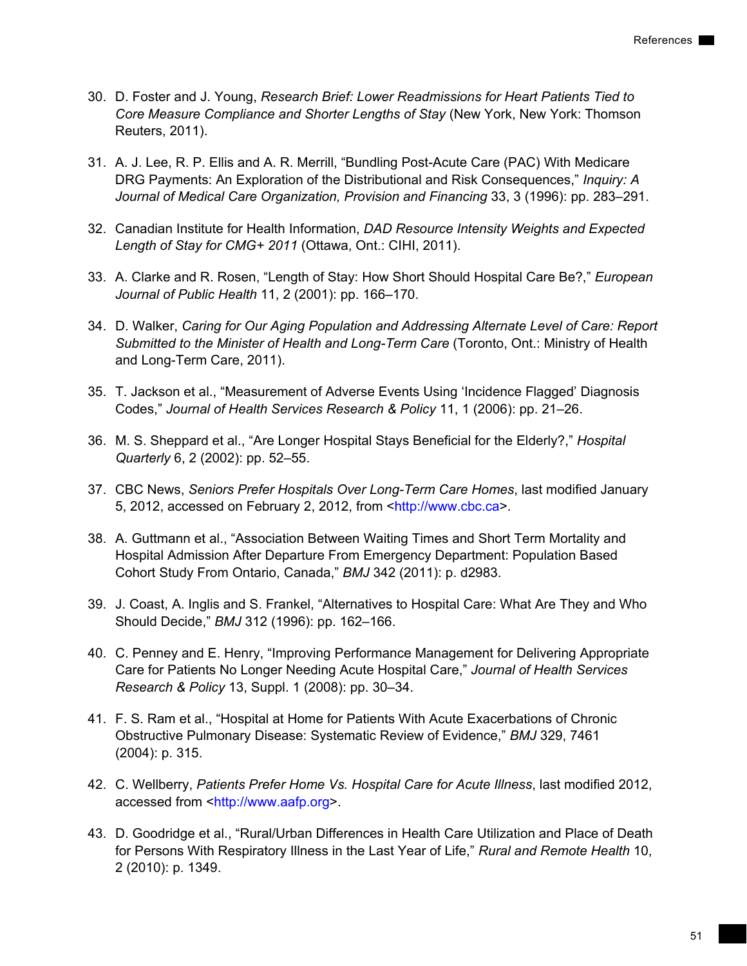- 30. D. Foster and J. Young, *Research Brief: Lower Readmissions for Heart Patients Tied to Core Measure Compliance and Shorter Lengths of Stay* (New York, New York: Thomson Reuters, 2011).
- 31. A. J. Lee, R. P. Ellis and A. R. Merrill, "Bundling Post-Acute Care (PAC) With Medicare DRG Payments: An Exploration of the Distributional and Risk Consequences," *Inquiry: A Journal of Medical Care Organization, Provision and Financing* 33, 3 (1996): pp. 283–291.
- 32. Canadian Institute for Health Information, *DAD Resource Intensity Weights and Expected Length of Stay for CMG+ 2011* (Ottawa, Ont.: CIHI, 2011).
- 33. A. Clarke and R. Rosen, "Length of Stay: How Short Should Hospital Care Be?," *European Journal of Public Health* 11, 2 (2001): pp. 166–170.
- 34. D. Walker, *Caring for Our Aging Population and Addressing Alternate Level of Care: Report Submitted to the Minister of Health and Long-Term Care* (Toronto, Ont.: Ministry of Health and Long-Term Care, 2011).
- 35. T. Jackson et al., "Measurement of Adverse Events Using 'Incidence Flagged' Diagnosis Codes," *Journal of Health Services Research & Policy* 11, 1 (2006): pp. 21–26.
- 36. M. S. Sheppard et al., "Are Longer Hospital Stays Beneficial for the Elderly?," *Hospital Quarterly* 6, 2 (2002): pp. 52–55.
- 37. CBC News, *Seniors Prefer Hospitals Over Long-Term Care Homes*, last modified January 5, 2012, accessed on February 2, 2012, from <http://www.cbc.ca>.
- 38. A. Guttmann et al., "Association Between Waiting Times and Short Term Mortality and Hospital Admission After Departure From Emergency Department: Population Based Cohort Study From Ontario, Canada," *BMJ* 342 (2011): p. d2983.
- 39. J. Coast, A. Inglis and S. Frankel, "Alternatives to Hospital Care: What Are They and Who Should Decide," *BMJ* 312 (1996): pp. 162–166.
- 40. C. Penney and E. Henry, "Improving Performance Management for Delivering Appropriate Care for Patients No Longer Needing Acute Hospital Care," *Journal of Health Services Research & Policy* 13, Suppl. 1 (2008): pp. 30–34.
- 41. F. S. Ram et al., "Hospital at Home for Patients With Acute Exacerbations of Chronic Obstructive Pulmonary Disease: Systematic Review of Evidence," *BMJ* 329, 7461 (2004): p. 315.
- 42. C. Wellberry, *Patients Prefer Home Vs. Hospital Care for Acute Illness*, last modified 2012, accessed from <http://www.aafp.org>.
- 43. D. Goodridge et al., "Rural/Urban Differences in Health Care Utilization and Place of Death for Persons With Respiratory Illness in the Last Year of Life," *Rural and Remote Health* 10, 2 (2010): p. 1349.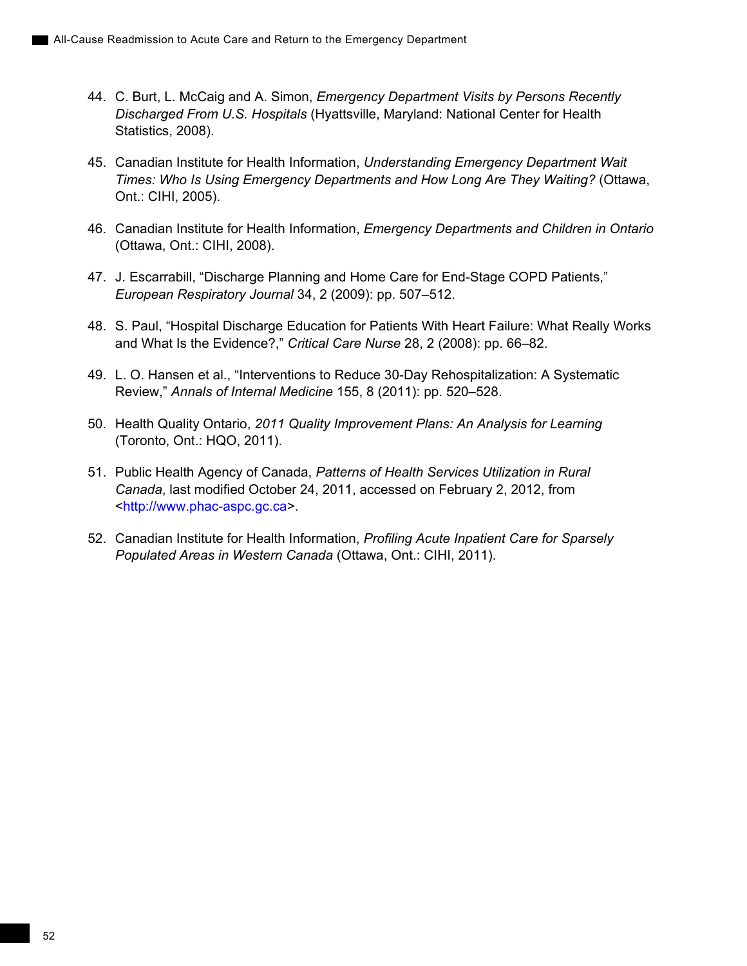- 44. C. Burt, L. McCaig and A. Simon, *Emergency Department Visits by Persons Recently Discharged From U.S. Hospitals* (Hyattsville, Maryland: National Center for Health Statistics, 2008).
- 45. Canadian Institute for Health Information, *Understanding Emergency Department Wait Times: Who Is Using Emergency Departments and How Long Are They Waiting?* (Ottawa, Ont.: CIHI, 2005).
- 46. Canadian Institute for Health Information, *Emergency Departments and Children in Ontario* (Ottawa, Ont.: CIHI, 2008).
- 47. J. Escarrabill, "Discharge Planning and Home Care for End-Stage COPD Patients," *European Respiratory Journal* 34, 2 (2009): pp. 507–512.
- 48. S. Paul, "Hospital Discharge Education for Patients With Heart Failure: What Really Works and What Is the Evidence?," *Critical Care Nurse* 28, 2 (2008): pp. 66–82.
- 49. L. O. Hansen et al., "Interventions to Reduce 30-Day Rehospitalization: A Systematic Review," *Annals of Internal Medicine* 155, 8 (2011): pp. 520–528.
- 50. Health Quality Ontario, *2011 Quality Improvement Plans: An Analysis for Learning* (Toronto, Ont.: HQO, 2011).
- 51. Public Health Agency of Canada, *Patterns of Health Services Utilization in Rural Canada*, last modified October 24, 2011, accessed on February 2, 2012, from <http://www.phac-aspc.gc.ca>.
- 52. Canadian Institute for Health Information, *Profiling Acute Inpatient Care for Sparsely Populated Areas in Western Canada* (Ottawa, Ont.: CIHI, 2011).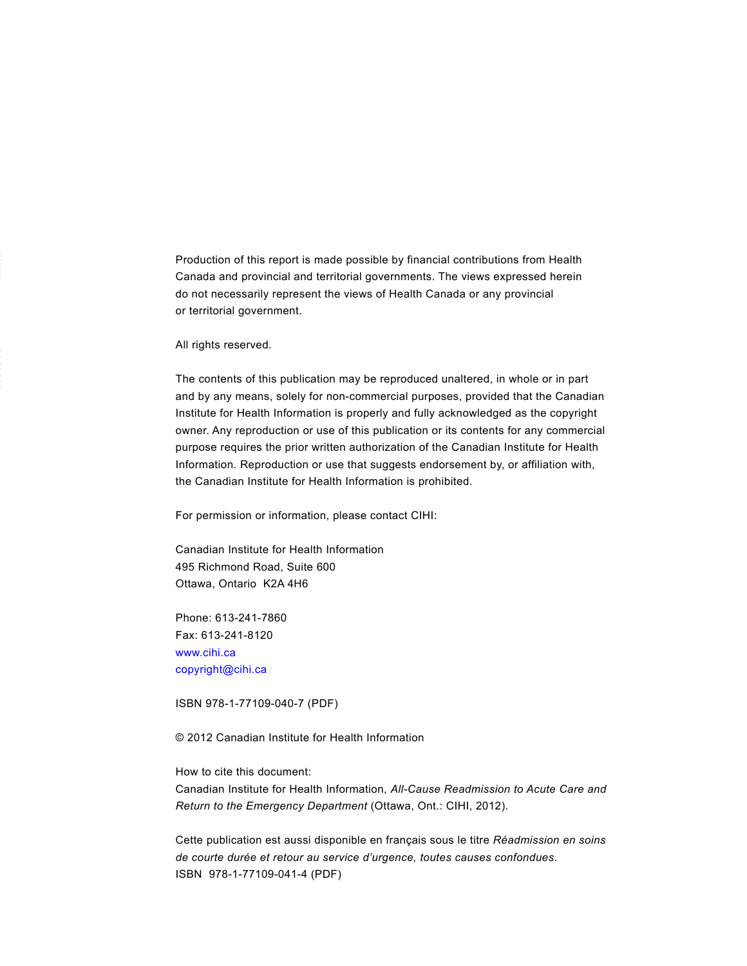Production of this report is made possible by financial contributions from Health Canada and provincial and territorial governments. The views expressed herein do not necessarily represent the views of Health Canada or any provincial or territorial government.

All rights reserved.

The contents of this publication may be reproduced unaltered, in whole or in part and by any means, solely for non-commercial purposes, provided that the Canadian Institute for Health Information is properly and fully acknowledged as the copyright owner. Any reproduction or use of this publication or its contents for any commercial purpose requires the prior written authorization of the Canadian Institute for Health Information. Reproduction or use that suggests endorsement by, or affiliation with, the Canadian Institute for Health Information is prohibited.

For permission or information, please contact CIHI:

Canadian Institute for Health Information 495 Richmond Road, Suite 600 Ottawa, Ontario K2A 4H6

Phone: 613-241-7860 Fax: 613-241-8120 www.cihi.ca copyright@cihi.ca

ISBN 978-1-77109-040-7 (PDF)

© 2012 Canadian Institute for Health Information

How to cite this document: Canadian Institute for Health Information, *All-Cause Readmission to Acute Care and Return to the Emergency Department* (Ottawa, Ont.: CIHI, 2012).

Cette publication est aussi disponible en français sous le titre *Réadmission en soins de courte durée et retour au service d'urgence, toutes causes confondues*. ISBN 978-1-77109-041-4 (PDF)